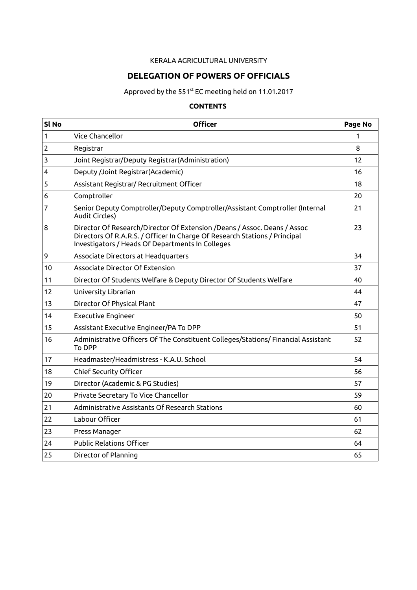#### KERALA AGRICULTURAL UNIVERSITY

## **DELEGATION OF POWERS OF OFFICIALS**

Approved by the 551<sup>st</sup> EC meeting held on 11.01.2017

### **CONTENTS**

| Sl No | <b>Officer</b>                                                                                                                                                                                             | Page No |
|-------|------------------------------------------------------------------------------------------------------------------------------------------------------------------------------------------------------------|---------|
| 1     | Vice Chancellor                                                                                                                                                                                            | 1       |
| 2     | Registrar                                                                                                                                                                                                  | 8       |
| 3     | Joint Registrar/Deputy Registrar(Administration)                                                                                                                                                           | 12      |
| 4     | Deputy /Joint Registrar(Academic)                                                                                                                                                                          | 16      |
| 5     | Assistant Registrar/ Recruitment Officer                                                                                                                                                                   | 18      |
| 6     | Comptroller                                                                                                                                                                                                | 20      |
| 7     | Senior Deputy Comptroller/Deputy Comptroller/Assistant Comptroller (Internal<br><b>Audit Circles)</b>                                                                                                      | 21      |
| 8     | Director Of Research/Director Of Extension /Deans / Assoc. Deans / Assoc<br>Directors Of R.A.R.S. / Officer In Charge Of Research Stations / Principal<br>Investigators / Heads Of Departments In Colleges | 23      |
| 9     | Associate Directors at Headquarters                                                                                                                                                                        | 34      |
| 10    | Associate Director Of Extension                                                                                                                                                                            | 37      |
| 11    | Director Of Students Welfare & Deputy Director Of Students Welfare                                                                                                                                         | 40      |
| 12    | University Librarian                                                                                                                                                                                       | 44      |
| 13    | Director Of Physical Plant                                                                                                                                                                                 | 47      |
| 14    | <b>Executive Engineer</b>                                                                                                                                                                                  | 50      |
| 15    | Assistant Executive Engineer/PA To DPP                                                                                                                                                                     | 51      |
| 16    | Administrative Officers Of The Constituent Colleges/Stations/ Financial Assistant<br>To DPP                                                                                                                | 52      |
| 17    | Headmaster/Headmistress - K.A.U. School                                                                                                                                                                    | 54      |
| 18    | <b>Chief Security Officer</b>                                                                                                                                                                              | 56      |
| 19    | Director (Academic & PG Studies)                                                                                                                                                                           | 57      |
| 20    | Private Secretary To Vice Chancellor                                                                                                                                                                       | 59      |
| 21    | Administrative Assistants Of Research Stations                                                                                                                                                             | 60      |
| 22    | Labour Officer                                                                                                                                                                                             | 61      |
| 23    | Press Manager                                                                                                                                                                                              | 62      |
| 24    | <b>Public Relations Officer</b>                                                                                                                                                                            | 64      |
| 25    | Director of Planning                                                                                                                                                                                       | 65      |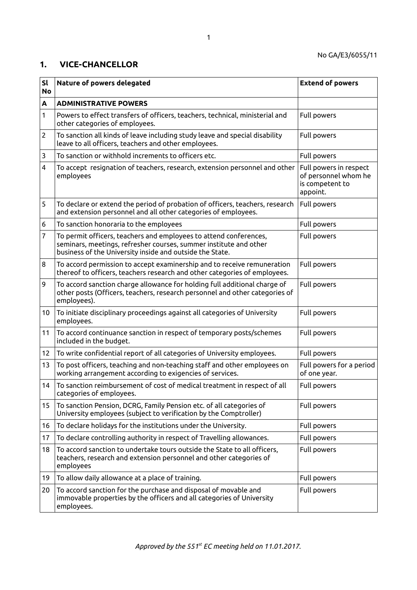#### **1. VICE-CHANCELLOR**

| <b>Sl</b><br><b>No</b> | Nature of powers delegated                                                                                                                                                                         | <b>Extend of powers</b>                                                       |
|------------------------|----------------------------------------------------------------------------------------------------------------------------------------------------------------------------------------------------|-------------------------------------------------------------------------------|
| A                      | <b>ADMINISTRATIVE POWERS</b>                                                                                                                                                                       |                                                                               |
| 1                      | Powers to effect transfers of officers, teachers, technical, ministerial and<br>other categories of employees.                                                                                     | Full powers                                                                   |
| 2                      | To sanction all kinds of leave including study leave and special disability<br>leave to all officers, teachers and other employees.                                                                | Full powers                                                                   |
| 3                      | To sanction or withhold increments to officers etc.                                                                                                                                                | Full powers                                                                   |
| 4                      | To accept resignation of teachers, research, extension personnel and other<br>employees                                                                                                            | Full powers in respect<br>of personnel whom he<br>is competent to<br>appoint. |
| 5                      | To declare or extend the period of probation of officers, teachers, research<br>and extension personnel and all other categories of employees.                                                     | Full powers                                                                   |
| 6                      | To sanction honoraria to the employees                                                                                                                                                             | Full powers                                                                   |
| 7                      | To permit officers, teachers and employees to attend conferences,<br>seminars, meetings, refresher courses, summer institute and other<br>business of the University inside and outside the State. | Full powers                                                                   |
| 8                      | To accord permission to accept examinership and to receive remuneration<br>thereof to officers, teachers research and other categories of employees.                                               | Full powers                                                                   |
| 9                      | To accord sanction charge allowance for holding full additional charge of<br>other posts (Officers, teachers, research personnel and other categories of<br>employees).                            | Full powers                                                                   |
| 10                     | To initiate disciplinary proceedings against all categories of University<br>employees.                                                                                                            | Full powers                                                                   |
| 11                     | To accord continuance sanction in respect of temporary posts/schemes<br>included in the budget.                                                                                                    | Full powers                                                                   |
| 12 <sub>2</sub>        | To write confidential report of all categories of University employees.                                                                                                                            | Full powers                                                                   |
| 13                     | To post officers, teaching and non-teaching staff and other employees on<br>working arrangement according to exigencies of services.                                                               | Full powers for a period<br>of one year.                                      |
| 14                     | To sanction reimbursement of cost of medical treatment in respect of all<br>categories of employees.                                                                                               | Full powers                                                                   |
| 15                     | To sanction Pension, DCRG, Family Pension etc. of all categories of<br>University employees (subject to verification by the Comptroller)                                                           | Full powers                                                                   |
| 16                     | To declare holidays for the institutions under the University.                                                                                                                                     | Full powers                                                                   |
| 17                     | To declare controlling authority in respect of Travelling allowances.                                                                                                                              | Full powers                                                                   |
| 18                     | To accord sanction to undertake tours outside the State to all officers,<br>teachers, research and extension personnel and other categories of<br>employees                                        | Full powers                                                                   |
| 19                     | To allow daily allowance at a place of training.                                                                                                                                                   | Full powers                                                                   |
| 20                     | To accord sanction for the purchase and disposal of movable and<br>immovable properties by the officers and all categories of University<br>employees.                                             | Full powers                                                                   |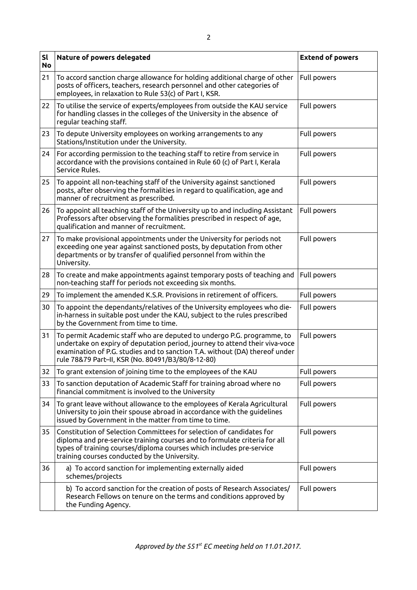| sl<br><b>No</b> | Nature of powers delegated                                                                                                                                                                                                                                                                | <b>Extend of powers</b> |
|-----------------|-------------------------------------------------------------------------------------------------------------------------------------------------------------------------------------------------------------------------------------------------------------------------------------------|-------------------------|
| 21              | To accord sanction charge allowance for holding additional charge of other<br>posts of officers, teachers, research personnel and other categories of<br>employees, in relaxation to Rule 53(c) of Part I, KSR.                                                                           | Full powers             |
| 22              | To utilise the service of experts/employees from outside the KAU service<br>for handling classes in the colleges of the University in the absence of<br>regular teaching staff.                                                                                                           | Full powers             |
| 23              | To depute University employees on working arrangements to any<br>Stations/Institution under the University.                                                                                                                                                                               | Full powers             |
| 24              | For according permission to the teaching staff to retire from service in<br>accordance with the provisions contained in Rule 60 (c) of Part I, Kerala<br>Service Rules.                                                                                                                   | Full powers             |
| 25              | To appoint all non-teaching staff of the University against sanctioned<br>posts, after observing the formalities in regard to qualification, age and<br>manner of recruitment as prescribed.                                                                                              | Full powers             |
| 26              | To appoint all teaching staff of the University up to and including Assistant<br>Professors after observing the formalities prescribed in respect of age,<br>qualification and manner of recruitment.                                                                                     | Full powers             |
| 27              | To make provisional appointments under the University for periods not<br>exceeding one year against sanctioned posts, by deputation from other<br>departments or by transfer of qualified personnel from within the<br>University.                                                        | Full powers             |
| 28              | To create and make appointments against temporary posts of teaching and<br>non-teaching staff for periods not exceeding six months.                                                                                                                                                       | Full powers             |
| 29              | To implement the amended K.S.R. Provisions in retirement of officers.                                                                                                                                                                                                                     | Full powers             |
| 30              | To appoint the dependants/relatives of the University employees who die-<br>in-harness in suitable post under the KAU, subject to the rules prescribed<br>by the Government from time to time.                                                                                            | Full powers             |
| 31              | To permit Academic staff who are deputed to undergo P.G. programme, to<br>undertake on expiry of deputation period, journey to attend their viva-voce<br>examination of P.G. studies and to sanction T.A. without (DA) thereof under<br>rule 78&79 Part-II, KSR (No. 80491/B3/80/8-12-80) | Full powers             |
| 32              | To grant extension of joining time to the employees of the KAU                                                                                                                                                                                                                            | Full powers             |
| 33              | To sanction deputation of Academic Staff for training abroad where no<br>financial commitment is involved to the University                                                                                                                                                               | Full powers             |
| 34              | To grant leave without allowance to the employees of Kerala Agricultural<br>University to join their spouse abroad in accordance with the guidelines<br>issued by Government in the matter from time to time.                                                                             | Full powers             |
| 35              | Constitution of Selection Committees for selection of candidates for<br>diploma and pre-service training courses and to formulate criteria for all<br>types of training courses/diploma courses which includes pre-service<br>training courses conducted by the University.               | Full powers             |
| 36              | a) To accord sanction for implementing externally aided<br>schemes/projects                                                                                                                                                                                                               | Full powers             |
|                 | b) To accord sanction for the creation of posts of Research Associates/<br>Research Fellows on tenure on the terms and conditions approved by<br>the Funding Agency.                                                                                                                      | Full powers             |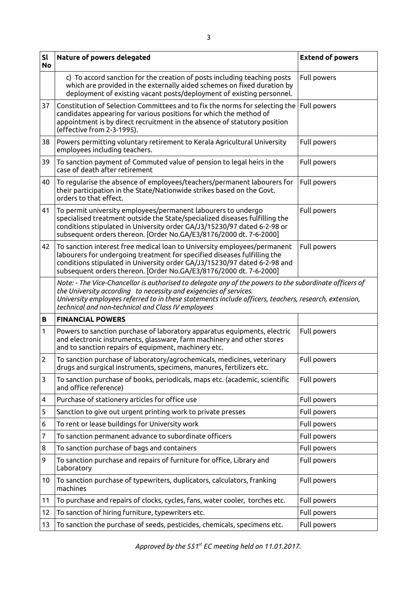| SI<br><b>No</b> | Nature of powers delegated                                                                                                                                                                                                                                                                                                                 | <b>Extend of powers</b> |
|-----------------|--------------------------------------------------------------------------------------------------------------------------------------------------------------------------------------------------------------------------------------------------------------------------------------------------------------------------------------------|-------------------------|
|                 | c) To accord sanction for the creation of posts including teaching posts<br>which are provided in the externally aided schemes on fixed duration by<br>deployment of existing vacant posts/deployment of existing personnel.                                                                                                               | Full powers             |
| 37              | Constitution of Selection Committees and to fix the norms for selecting the<br>candidates appearing for various positions for which the method of<br>appointment is by direct recruitment in the absence of statutory position<br>(effective from 2-3-1995).                                                                               | Full powers             |
| 38              | Powers permitting voluntary retirement to Kerala Agricultural University<br>employees including teachers.                                                                                                                                                                                                                                  | Full powers             |
| 39              | To sanction payment of Commuted value of pension to legal heirs in the<br>case of death after retirement                                                                                                                                                                                                                                   | Full powers             |
| 40              | To regularise the absence of employees/teachers/permanent labourers for<br>their participation in the State/Nationwide strikes based on the Govt.<br>orders to that effect.                                                                                                                                                                | Full powers             |
| 41              | To permit university employees/permanent labourers to undergo<br>specialised treatment outside the State/specialized diseases fulfilling the<br>conditions stipulated in University order GA/J3/15230/97 dated 6-2-98 or<br>subsequent orders thereon. [Order No.GA/E3/8176/2000 dt. 7-6-2000]                                             | Full powers             |
| 42              | To sanction interest free medical loan to University employees/permanent<br>labourers for undergoing treatment for specified diseases fulfilling the<br>conditions stipulated in University order GA/J3/15230/97 dated 6-2-98 and<br>subsequent orders thereon. [Order No.GA/E3/8176/2000 dt. 7-6-2000]                                    | Full powers             |
|                 | Note: - The Vice-Chancellor is authorised to delegate any of the powers to the subordinate officers of<br>the University according to necessity and exigencies of services.<br>University employees referred to in these statements include officers, teachers, research, extension,<br>technical and non-technical and Class IV employees |                         |
| В               | <b>FINANCIAL POWERS</b>                                                                                                                                                                                                                                                                                                                    |                         |
| 1               | Powers to sanction purchase of laboratory apparatus equipments, electric<br>and electronic instruments, glassware, farm machinery and other stores<br>and to sanction repairs of equipment, machinery etc.                                                                                                                                 | Full powers             |
| $\overline{c}$  | To sanction purchase of laboratory/agrochemicals, medicines, veterinary<br>drugs and surgical instruments, specimens, manures, fertilizers etc.                                                                                                                                                                                            | Full powers             |
| 3               | To sanction purchase of books, periodicals, maps etc. (academic, scientific<br>and office reference)                                                                                                                                                                                                                                       | Full powers             |
| 4               |                                                                                                                                                                                                                                                                                                                                            |                         |
|                 | Purchase of stationery articles for office use                                                                                                                                                                                                                                                                                             | Full powers             |
| 5               | Sanction to give out urgent printing work to private presses                                                                                                                                                                                                                                                                               | Full powers             |
| 6               | To rent or lease buildings for University work                                                                                                                                                                                                                                                                                             | Full powers             |
| 7               | To sanction permanent advance to subordinate officers                                                                                                                                                                                                                                                                                      | Full powers             |
| 8               | To sanction purchase of bags and containers                                                                                                                                                                                                                                                                                                | Full powers             |
| 9               | To sanction purchase and repairs of furniture for office, Library and<br>Laboratory                                                                                                                                                                                                                                                        | Full powers             |
| 10              | To sanction purchase of typewriters, duplicators, calculators, franking<br>machines                                                                                                                                                                                                                                                        | Full powers             |
| 11              | To purchase and repairs of clocks, cycles, fans, water cooler, torches etc.                                                                                                                                                                                                                                                                | Full powers             |
| 12              | To sanction of hiring furniture, typewriters etc.                                                                                                                                                                                                                                                                                          | Full powers             |

3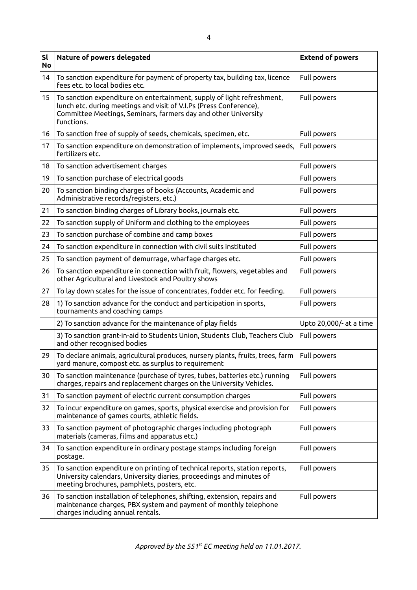| <b>Sl</b><br><b>No</b> | Nature of powers delegated                                                                                                                                                                                                   | <b>Extend of powers</b> |
|------------------------|------------------------------------------------------------------------------------------------------------------------------------------------------------------------------------------------------------------------------|-------------------------|
| 14                     | To sanction expenditure for payment of property tax, building tax, licence<br>fees etc. to local bodies etc.                                                                                                                 | Full powers             |
| 15 <sub>1</sub>        | To sanction expenditure on entertainment, supply of light refreshment,<br>lunch etc. during meetings and visit of V.I.Ps (Press Conference),<br>Committee Meetings, Seminars, farmers day and other University<br>functions. | Full powers             |
| 16                     | To sanction free of supply of seeds, chemicals, specimen, etc.                                                                                                                                                               | Full powers             |
| 17                     | To sanction expenditure on demonstration of implements, improved seeds,<br>fertilizers etc.                                                                                                                                  | Full powers             |
| 18                     | To sanction advertisement charges                                                                                                                                                                                            | Full powers             |
| 19                     | To sanction purchase of electrical goods                                                                                                                                                                                     | Full powers             |
| 20                     | To sanction binding charges of books (Accounts, Academic and<br>Administrative records/registers, etc.)                                                                                                                      | Full powers             |
| 21                     | To sanction binding charges of Library books, journals etc.                                                                                                                                                                  | Full powers             |
| 22                     | To sanction supply of Uniform and clothing to the employees                                                                                                                                                                  | Full powers             |
| 23                     | To sanction purchase of combine and camp boxes                                                                                                                                                                               | Full powers             |
| 24                     | To sanction expenditure in connection with civil suits instituted                                                                                                                                                            | Full powers             |
| 25                     | To sanction payment of demurrage, wharfage charges etc.                                                                                                                                                                      | Full powers             |
| 26                     | To sanction expenditure in connection with fruit, flowers, vegetables and<br>other Agricultural and Livestock and Poultry shows                                                                                              | Full powers             |
| 27                     | To lay down scales for the issue of concentrates, fodder etc. for feeding.                                                                                                                                                   | Full powers             |
| 28                     | 1) To sanction advance for the conduct and participation in sports,<br>tournaments and coaching camps                                                                                                                        | Full powers             |
|                        | 2) To sanction advance for the maintenance of play fields                                                                                                                                                                    | Upto 20,000/- at a time |
|                        | 3) To sanction grant-in-aid to Students Union, Students Club, Teachers Club<br>and other recognised bodies                                                                                                                   | Full powers             |
| 29                     | To declare animals, agricultural produces, nursery plants, fruits, trees, farm<br>yard manure, compost etc. as surplus to requirement                                                                                        | Full powers             |
| 30                     | To sanction maintenance (purchase of tyres, tubes, batteries etc.) running<br>charges, repairs and replacement charges on the University Vehicles.                                                                           | Full powers             |
| 31                     | To sanction payment of electric current consumption charges                                                                                                                                                                  | Full powers             |
| 32                     | To incur expenditure on games, sports, physical exercise and provision for<br>maintenance of games courts, athletic fields.                                                                                                  | Full powers             |
| 33                     | To sanction payment of photographic charges including photograph<br>materials (cameras, films and apparatus etc.)                                                                                                            | Full powers             |
| 34                     | To sanction expenditure in ordinary postage stamps including foreign<br>postage.                                                                                                                                             | Full powers             |
| 35                     | To sanction expenditure on printing of technical reports, station reports,<br>University calendars, University diaries, proceedings and minutes of<br>meeting brochures, pamphlets, posters, etc.                            | Full powers             |
| 36                     | To sanction installation of telephones, shifting, extension, repairs and<br>maintenance charges, PBX system and payment of monthly telephone<br>charges including annual rentals.                                            | Full powers             |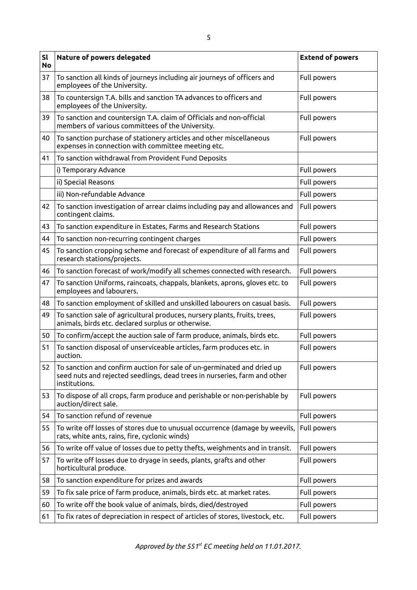| sl<br><b>No</b> | Nature of powers delegated                                                                                                                                           | <b>Extend of powers</b> |
|-----------------|----------------------------------------------------------------------------------------------------------------------------------------------------------------------|-------------------------|
| 37              | To sanction all kinds of journeys including air journeys of officers and<br>employees of the University.                                                             | Full powers             |
| 38              | To countersign T.A. bills and sanction TA advances to officers and<br>employees of the University.                                                                   | Full powers             |
| 39              | To sanction and countersign T.A. claim of Officials and non-official<br>members of various committees of the University.                                             | Full powers             |
| 40              | To sanction purchase of stationery articles and other miscellaneous<br>expenses in connection with committee meeting etc.                                            | Full powers             |
| 41              | To sanction withdrawal from Provident Fund Deposits                                                                                                                  |                         |
|                 | i) Temporary Advance                                                                                                                                                 | Full powers             |
|                 | ii) Special Reasons                                                                                                                                                  | Full powers             |
|                 | iii) Non-refundable Advance                                                                                                                                          | Full powers             |
| 42              | To sanction investigation of arrear claims including pay and allowances and<br>contingent claims.                                                                    | Full powers             |
| 43              | To sanction expenditure in Estates, Farms and Research Stations                                                                                                      | Full powers             |
| 44              | To sanction non-recurring contingent charges                                                                                                                         | Full powers             |
| 45              | To sanction cropping scheme and forecast of expenditure of all farms and<br>research stations/projects.                                                              | Full powers             |
| 46              | To sanction forecast of work/modify all schemes connected with research.                                                                                             | Full powers             |
| 47              | To sanction Uniforms, raincoats, chappals, blankets, aprons, gloves etc. to<br>employees and labourers.                                                              | Full powers             |
| 48              | To sanction employment of skilled and unskilled labourers on casual basis.                                                                                           | Full powers             |
| 49              | To sanction sale of agricultural produces, nursery plants, fruits, trees,<br>animals, birds etc. declared surplus or otherwise.                                      | Full powers             |
| 50              | To confirm/accept the auction sale of farm produce, animals, birds etc.                                                                                              | Full powers             |
| 51              | To sanction disposal of unserviceable articles, farm produces etc. in<br>auction.                                                                                    | Full powers             |
| 52              | To sanction and confirm auction for sale of un-germinated and dried up<br>seed nuts and rejected seedlings, dead trees in nurseries, farm and other<br>institutions. | Full powers             |
| 53              | To dispose of all crops, farm produce and perishable or non-perishable by<br>auction/direct sale.                                                                    | Full powers             |
| 54              | To sanction refund of revenue                                                                                                                                        | Full powers             |
| 55              | To write off losses of stores due to unusual occurrence (damage by weevils,<br>rats, white ants, rains, fire, cyclonic winds)                                        | Full powers             |
| 56              | To write off value of losses due to petty thefts, weighments and in transit.                                                                                         | Full powers             |
| 57              | To write off losses due to dryage in seeds, plants, grafts and other<br>horticultural produce.                                                                       | Full powers             |
| 58              | To sanction expenditure for prizes and awards                                                                                                                        | Full powers             |
| 59              | To fix sale price of farm produce, animals, birds etc. at market rates.                                                                                              | Full powers             |
| 60              | To write off the book value of animals, birds, died/destroyed                                                                                                        | Full powers             |
| 61              | To fix rates of depreciation in respect of articles of stores, livestock, etc.                                                                                       | Full powers             |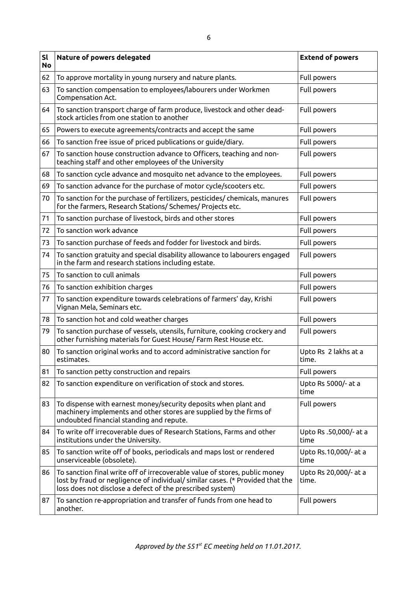| <b>Sl</b><br><b>No</b> | Nature of powers delegated                                                                                                                                                                                                | <b>Extend of powers</b>        |
|------------------------|---------------------------------------------------------------------------------------------------------------------------------------------------------------------------------------------------------------------------|--------------------------------|
| 62                     | To approve mortality in young nursery and nature plants.                                                                                                                                                                  | Full powers                    |
| 63                     | To sanction compensation to employees/labourers under Workmen<br>Compensation Act.                                                                                                                                        | Full powers                    |
| 64                     | To sanction transport charge of farm produce, livestock and other dead-<br>stock articles from one station to another                                                                                                     | Full powers                    |
| 65                     | Powers to execute agreements/contracts and accept the same                                                                                                                                                                | Full powers                    |
| 66                     | To sanction free issue of priced publications or guide/diary.                                                                                                                                                             | Full powers                    |
| 67                     | To sanction house construction advance to Officers, teaching and non-<br>teaching staff and other employees of the University                                                                                             | Full powers                    |
| 68                     | To sanction cycle advance and mosquito net advance to the employees.                                                                                                                                                      | Full powers                    |
| 69                     | To sanction advance for the purchase of motor cycle/scooters etc.                                                                                                                                                         | Full powers                    |
| 70                     | To sanction for the purchase of fertilizers, pesticides/ chemicals, manures<br>for the farmers, Research Stations/ Schemes/ Projects etc.                                                                                 | Full powers                    |
| 71                     | To sanction purchase of livestock, birds and other stores                                                                                                                                                                 | Full powers                    |
| 72                     | To sanction work advance                                                                                                                                                                                                  | Full powers                    |
| 73                     | To sanction purchase of feeds and fodder for livestock and birds.                                                                                                                                                         | Full powers                    |
| 74                     | To sanction gratuity and special disability allowance to labourers engaged<br>in the farm and research stations including estate.                                                                                         | Full powers                    |
| 75                     | To sanction to cull animals                                                                                                                                                                                               | Full powers                    |
| 76                     | To sanction exhibition charges                                                                                                                                                                                            | Full powers                    |
| 77                     | To sanction expenditure towards celebrations of farmers' day, Krishi<br>Vignan Mela, Seminars etc.                                                                                                                        | Full powers                    |
| 78                     | To sanction hot and cold weather charges                                                                                                                                                                                  | Full powers                    |
| 79                     | To sanction purchase of vessels, utensils, furniture, cooking crockery and<br>other furnishing materials for Guest House/ Farm Rest House etc.                                                                            | Full powers                    |
| 80                     | To sanction original works and to accord administrative sanction for<br>estimates.                                                                                                                                        | Upto Rs 2 lakhs at a<br>time.  |
| 81                     | To sanction petty construction and repairs                                                                                                                                                                                | Full powers                    |
| 82                     | To sanction expenditure on verification of stock and stores.                                                                                                                                                              | Upto Rs 5000/- at a<br>time    |
| 83                     | To dispense with earnest money/security deposits when plant and<br>machinery implements and other stores are supplied by the firms of<br>undoubted financial standing and repute.                                         | Full powers                    |
| 84                     | To write off irrecoverable dues of Research Stations, Farms and other<br>institutions under the University.                                                                                                               | Upto Rs .50,000/- at a<br>time |
| 85                     | To sanction write off of books, periodicals and maps lost or rendered<br>unserviceable (obsolete).                                                                                                                        | Upto Rs.10,000/- at a<br>time  |
| 86                     | To sanction final write off of irrecoverable value of stores, public money<br>lost by fraud or negligence of individual/ similar cases. (* Provided that the<br>loss does not disclose a defect of the prescribed system) | Upto Rs 20,000/- at a<br>time. |
| 87                     | To sanction re-appropriation and transfer of funds from one head to<br>another.                                                                                                                                           | Full powers                    |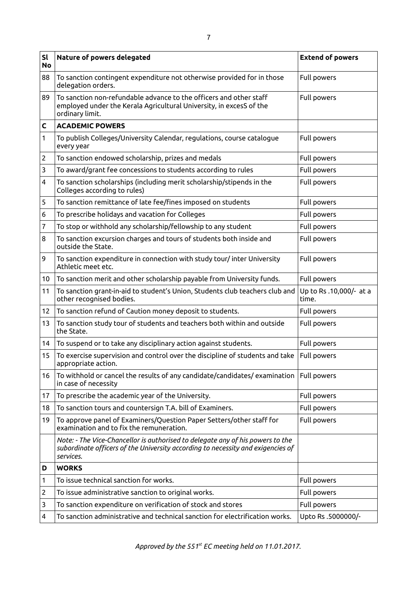| <b>Sl</b><br><b>No</b> | Nature of powers delegated                                                                                                                                                     | <b>Extend of powers</b>          |
|------------------------|--------------------------------------------------------------------------------------------------------------------------------------------------------------------------------|----------------------------------|
| 88                     | To sanction contingent expenditure not otherwise provided for in those<br>delegation orders.                                                                                   | Full powers                      |
| 89                     | To sanction non-refundable advance to the officers and other staff<br>employed under the Kerala Agricultural University, in excesS of the<br>ordinary limit.                   | Full powers                      |
| C                      | <b>ACADEMIC POWERS</b>                                                                                                                                                         |                                  |
| 1                      | To publish Colleges/University Calendar, regulations, course catalogue<br>every year                                                                                           | Full powers                      |
| $\overline{c}$         | To sanction endowed scholarship, prizes and medals                                                                                                                             | Full powers                      |
| 3                      | To award/grant fee concessions to students according to rules                                                                                                                  | Full powers                      |
| 4                      | To sanction scholarships (including merit scholarship/stipends in the<br>Colleges according to rules)                                                                          | Full powers                      |
| 5                      | To sanction remittance of late fee/fines imposed on students                                                                                                                   | Full powers                      |
| 6                      | To prescribe holidays and vacation for Colleges                                                                                                                                | Full powers                      |
| 7                      | To stop or withhold any scholarship/fellowship to any student                                                                                                                  | Full powers                      |
| 8                      | To sanction excursion charges and tours of students both inside and<br>outside the State.                                                                                      | Full powers                      |
| 9                      | To sanction expenditure in connection with study tour/ inter University<br>Athletic meet etc.                                                                                  | Full powers                      |
| 10 <sup>°</sup>        | To sanction merit and other scholarship payable from University funds.                                                                                                         | Full powers                      |
| 11                     | To sanction grant-in-aid to student's Union, Students club teachers club and<br>other recognised bodies.                                                                       | Up to Rs .10,000/- at a<br>time. |
| 12                     | To sanction refund of Caution money deposit to students.                                                                                                                       | Full powers                      |
| 13                     | To sanction study tour of students and teachers both within and outside<br>the State.                                                                                          | Full powers                      |
| 14                     | To suspend or to take any disciplinary action against students.                                                                                                                | Full powers                      |
| 15                     | To exercise supervision and control over the discipline of students and take<br>appropriate action.                                                                            | Full powers                      |
| 16                     | To withhold or cancel the results of any candidate/candidates/examination<br>in case of necessity                                                                              | Full powers                      |
| 17                     | To prescribe the academic year of the University.                                                                                                                              | Full powers                      |
| 18                     | To sanction tours and countersign T.A. bill of Examiners.                                                                                                                      | Full powers                      |
| 19                     | To approve panel of Examiners/Question Paper Setters/other staff for<br>examination and to fix the remuneration.                                                               | Full powers                      |
|                        | Note: - The Vice-Chancellor is authorised to delegate any of his powers to the<br>subordinate officers of the University according to necessity and exigencies of<br>services. |                                  |
| D                      | <b>WORKS</b>                                                                                                                                                                   |                                  |
| 1                      | To issue technical sanction for works.                                                                                                                                         | Full powers                      |
| 2                      | To issue administrative sanction to original works.                                                                                                                            | Full powers                      |
| 3                      | To sanction expenditure on verification of stock and stores                                                                                                                    | Full powers                      |
| 4                      | To sanction administrative and technical sanction for electrification works.                                                                                                   | Upto Rs .5000000/-               |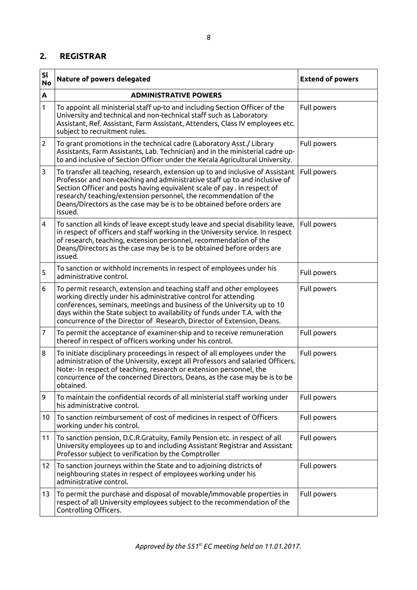## **2. REGISTRAR**

| <b>Sl</b><br><b>No</b> | Nature of powers delegated                                                                                                                                                                                                                                                                                                                                                                         | <b>Extend of powers</b> |
|------------------------|----------------------------------------------------------------------------------------------------------------------------------------------------------------------------------------------------------------------------------------------------------------------------------------------------------------------------------------------------------------------------------------------------|-------------------------|
| A                      | <b>ADMINISTRATIVE POWERS</b>                                                                                                                                                                                                                                                                                                                                                                       |                         |
| 1                      | To appoint all ministerial staff up-to and including Section Officer of the<br>University and technical and non-technical staff such as Laboratory<br>Assistant, Ref. Assistant, Farm Assistant, Attenders, Class IV employees etc.<br>subject to recruitment rules.                                                                                                                               | Full powers             |
| $\overline{2}$         | To grant promotions in the technical cadre (Laboratory Asst./ Library<br>Assistants, Farm Assistants, Lab. Technician) and in the ministerial cadre up-<br>to and inclusive of Section Officer under the Kerala Agricultural University.                                                                                                                                                           | Full powers             |
| 3                      | To transfer all teaching, research, extension up to and inclusive of Assistant<br>Professor and non-teaching and administrative staff up to and inclusive of<br>Section Officer and posts having equivalent scale of pay . In respect of<br>research/ teaching/extension personnel, the recommendation of the<br>Deans/Directors as the case may be is to be obtained before orders are<br>issued. | Full powers             |
| 4                      | To sanction all kinds of leave except study leave and special disability leave,<br>in respect of officers and staff working in the University service. In respect<br>of research, teaching, extension personnel, recommendation of the<br>Deans/Directors as the case may be is to be obtained before orders are<br>issued.                                                                        | Full powers             |
| 5                      | To sanction or withhold increments in respect of employees under his<br>administrative control.                                                                                                                                                                                                                                                                                                    | Full powers             |
| 6                      | To permit research, extension and teaching staff and other employees<br>working directly under his administrative control for attending<br>conferences, seminars, meetings and business of the University up to 10<br>days within the State subject to availability of funds under T.A. with the<br>concurrence of the Director of Research, Director of Extension, Deans.                         | Full powers             |
| 7                      | To permit the acceptance of examiner-ship and to receive remuneration<br>thereof in respect of officers working under his control.                                                                                                                                                                                                                                                                 | Full powers             |
| 8                      | To initiate disciplinary proceedings in respect of all employees under the<br>administration of the University, except all Professors and salaried Officers.<br>Note:- In respect of teaching, research or extension personnel, the<br>concurrence of the concerned Directors, Deans, as the case may be is to be<br>obtained.                                                                     | Full powers             |
| 9                      | To maintain the confidential records of all ministerial staff working under<br>his administrative control.                                                                                                                                                                                                                                                                                         | Full powers             |
| 10                     | To sanction reimbursement of cost of medicines in respect of Officers<br>working under his control.                                                                                                                                                                                                                                                                                                | Full powers             |
| 11                     | To sanction pension, D.C.R.Gratuity, Family Pension etc. in respect of all<br>University employees up to and including Assistant Registrar and Assistant<br>Professor subject to verification by the Comptroller                                                                                                                                                                                   | Full powers             |
| 12                     | To sanction journeys within the State and to adjoining districts of<br>neighbouring states in respect of employees working under his<br>administrative control.                                                                                                                                                                                                                                    | Full powers             |
| 13                     | To permit the purchase and disposal of movable/immovable properties in<br>respect of all University employees subject to the recommendation of the<br>Controlling Officers.                                                                                                                                                                                                                        | Full powers             |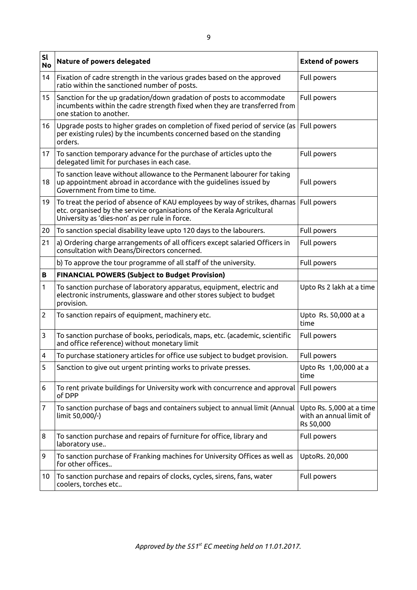| sl<br><b>No</b>         | Nature of powers delegated                                                                                                                                                                             | <b>Extend of powers</b>                                          |
|-------------------------|--------------------------------------------------------------------------------------------------------------------------------------------------------------------------------------------------------|------------------------------------------------------------------|
| 14                      | Fixation of cadre strength in the various grades based on the approved<br>ratio within the sanctioned number of posts.                                                                                 | Full powers                                                      |
| 15                      | Sanction for the up gradation/down gradation of posts to accommodate<br>incumbents within the cadre strength fixed when they are transferred from<br>one station to another.                           | Full powers                                                      |
| 16                      | Upgrade posts to higher grades on completion of fixed period of service (as<br>per existing rules) by the incumbents concerned based on the standing<br>orders.                                        | Full powers                                                      |
| 17                      | To sanction temporary advance for the purchase of articles upto the<br>delegated limit for purchases in each case.                                                                                     | Full powers                                                      |
| 18                      | To sanction leave without allowance to the Permanent labourer for taking<br>up appointment abroad in accordance with the guidelines issued by<br>Government from time to time.                         | Full powers                                                      |
| 19                      | To treat the period of absence of KAU employees by way of strikes, dharnas<br>etc. organised by the service organisations of the Kerala Agricultural<br>University as 'dies-non' as per rule in force. | Full powers                                                      |
| 20                      | To sanction special disability leave upto 120 days to the labourers.                                                                                                                                   | Full powers                                                      |
| 21                      | a) Ordering charge arrangements of all officers except salaried Officers in<br>consultation with Deans/Directors concerned.                                                                            | Full powers                                                      |
|                         | b) To approve the tour programme of all staff of the university.                                                                                                                                       | Full powers                                                      |
| В                       | <b>FINANCIAL POWERS (Subject to Budget Provision)</b>                                                                                                                                                  |                                                                  |
| 1                       | To sanction purchase of laboratory apparatus, equipment, electric and<br>electronic instruments, glassware and other stores subject to budget<br>provision.                                            | Upto Rs 2 lakh at a time                                         |
| $\overline{c}$          | To sanction repairs of equipment, machinery etc.                                                                                                                                                       | Upto Rs. 50,000 at a<br>time                                     |
| 3                       | To sanction purchase of books, periodicals, maps, etc. (academic, scientific<br>and office reference) without monetary limit                                                                           | Full powers                                                      |
| $\overline{\mathbf{4}}$ | To purchase stationery articles for office use subject to budget provision.                                                                                                                            | Full powers                                                      |
| 5                       | Sanction to give out urgent printing works to private presses.                                                                                                                                         | Upto Rs 1,00,000 at a<br>time                                    |
| 6                       | To rent private buildings for University work with concurrence and approval<br>of DPP                                                                                                                  | Full powers                                                      |
| 7                       | To sanction purchase of bags and containers subject to annual limit (Annual<br>limit 50,000/-)                                                                                                         | Upto Rs. 5,000 at a time<br>with an annual limit of<br>Rs 50,000 |
| 8                       | To sanction purchase and repairs of furniture for office, library and<br>laboratory use                                                                                                                | Full powers                                                      |
| 9                       | To sanction purchase of Franking machines for University Offices as well as<br>for other offices                                                                                                       | UptoRs. 20,000                                                   |
| 10                      | To sanction purchase and repairs of clocks, cycles, sirens, fans, water<br>coolers, torches etc                                                                                                        | Full powers                                                      |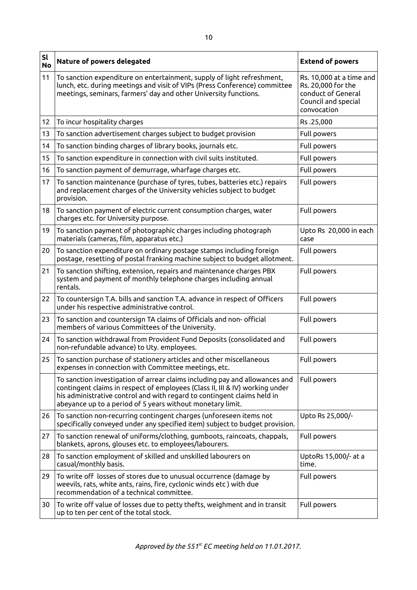| sl<br><b>No</b> | Nature of powers delegated                                                                                                                                                                                                                                                                           | <b>Extend of powers</b>                                                                                    |
|-----------------|------------------------------------------------------------------------------------------------------------------------------------------------------------------------------------------------------------------------------------------------------------------------------------------------------|------------------------------------------------------------------------------------------------------------|
| 11              | To sanction expenditure on entertainment, supply of light refreshment,<br>lunch, etc. during meetings and visit of VIPs (Press Conference) committee<br>meetings, seminars, farmers' day and other University functions.                                                                             | Rs. 10,000 at a time and<br>Rs. 20,000 for the<br>conduct of General<br>Council and special<br>convocation |
| 12              | To incur hospitality charges                                                                                                                                                                                                                                                                         | Rs.25,000                                                                                                  |
| 13              | To sanction advertisement charges subject to budget provision                                                                                                                                                                                                                                        | Full powers                                                                                                |
| 14              | To sanction binding charges of library books, journals etc.                                                                                                                                                                                                                                          | Full powers                                                                                                |
| 15              | To sanction expenditure in connection with civil suits instituted.                                                                                                                                                                                                                                   | Full powers                                                                                                |
| 16              | To sanction payment of demurrage, wharfage charges etc.                                                                                                                                                                                                                                              | Full powers                                                                                                |
| 17              | To sanction maintenance (purchase of tyres, tubes, batteries etc.) repairs<br>and replacement charges of the University vehicles subject to budget<br>provision.                                                                                                                                     | Full powers                                                                                                |
| 18              | To sanction payment of electric current consumption charges, water<br>charges etc. for University purpose.                                                                                                                                                                                           | Full powers                                                                                                |
| 19              | To sanction payment of photographic charges including photograph<br>materials (cameras, film, apparatus etc.)                                                                                                                                                                                        | Upto Rs 20,000 in each<br>case                                                                             |
| 20              | To sanction expenditure on ordinary postage stamps including foreign<br>postage, resetting of postal franking machine subject to budget allotment.                                                                                                                                                   | Full powers                                                                                                |
| 21              | To sanction shifting, extension, repairs and maintenance charges PBX<br>system and payment of monthly telephone charges including annual<br>rentals.                                                                                                                                                 | Full powers                                                                                                |
| 22              | To countersign T.A. bills and sanction T.A. advance in respect of Officers<br>under his respective administrative control.                                                                                                                                                                           | Full powers                                                                                                |
| 23              | To sanction and countersign TA claims of Officials and non- official<br>members of various Committees of the University.                                                                                                                                                                             | Full powers                                                                                                |
| 24              | To sanction withdrawal from Provident Fund Deposits (consolidated and<br>non-refundable advance) to Uty. employees.                                                                                                                                                                                  | Full powers                                                                                                |
| 25              | To sanction purchase of stationery articles and other miscellaneous<br>expenses in connection with Committee meetings, etc.                                                                                                                                                                          | Full powers                                                                                                |
|                 | To sanction investigation of arrear claims including pay and allowances and<br>contingent claims in respect of employees (Class II, III & IV) working under<br>his administrative control and with regard to contingent claims held in<br>abeyance up to a period of 5 years without monetary limit. | Full powers                                                                                                |
| 26              | To sanction non-recurring contingent charges (unforeseen items not<br>specifically conveyed under any specified item) subject to budget provision.                                                                                                                                                   | Upto Rs 25,000/-                                                                                           |
| 27              | To sanction renewal of uniforms/clothing, gumboots, raincoats, chappals,<br>blankets, aprons, glouses etc. to employees/labourers.                                                                                                                                                                   | Full powers                                                                                                |
| 28              | To sanction employment of skilled and unskilled labourers on<br>casual/monthly basis.                                                                                                                                                                                                                | UptoRs 15,000/- at a<br>time.                                                                              |
| 29              | To write off losses of stores due to unusual occurrence (damage by<br>weevils, rats, white ants, rains, fire, cyclonic winds etc) with due<br>recommendation of a technical committee.                                                                                                               | Full powers                                                                                                |
| 30              | To write off value of losses due to petty thefts, weighment and in transit<br>up to ten per cent of the total stock.                                                                                                                                                                                 | Full powers                                                                                                |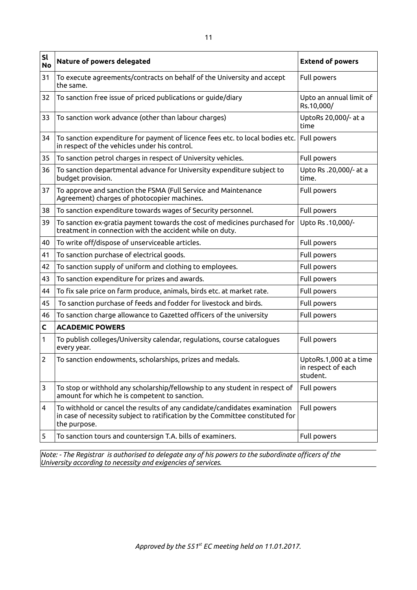| sl<br><b>No</b> | Nature of powers delegated                                                                                                                                                 | <b>Extend of powers</b>                                  |
|-----------------|----------------------------------------------------------------------------------------------------------------------------------------------------------------------------|----------------------------------------------------------|
| 31              | To execute agreements/contracts on behalf of the University and accept<br>the same.                                                                                        | Full powers                                              |
| 32              | To sanction free issue of priced publications or guide/diary                                                                                                               | Upto an annual limit of<br>Rs.10,000/                    |
| 33              | To sanction work advance (other than labour charges)                                                                                                                       | UptoRs 20,000/- at a<br>time                             |
| 34              | To sanction expenditure for payment of licence fees etc. to local bodies etc.<br>in respect of the vehicles under his control.                                             | Full powers                                              |
| 35              | To sanction petrol charges in respect of University vehicles.                                                                                                              | Full powers                                              |
| 36              | To sanction departmental advance for University expenditure subject to<br>budget provision.                                                                                | Upto Rs .20,000/- at a<br>time.                          |
| 37              | To approve and sanction the FSMA (Full Service and Maintenance<br>Agreement) charges of photocopier machines.                                                              | Full powers                                              |
| 38              | To sanction expenditure towards wages of Security personnel.                                                                                                               | Full powers                                              |
| 39              | To sanction ex-gratia payment towards the cost of medicines purchased for<br>treatment in connection with the accident while on duty.                                      | Upto Rs .10,000/-                                        |
| 40              | To write off/dispose of unserviceable articles.                                                                                                                            | Full powers                                              |
| 41              | To sanction purchase of electrical goods.                                                                                                                                  | Full powers                                              |
| 42              | To sanction supply of uniform and clothing to employees.                                                                                                                   | Full powers                                              |
| 43              | To sanction expenditure for prizes and awards.                                                                                                                             | Full powers                                              |
| 44              | To fix sale price on farm produce, animals, birds etc. at market rate.                                                                                                     | Full powers                                              |
| 45              | To sanction purchase of feeds and fodder for livestock and birds.                                                                                                          | Full powers                                              |
| 46              | To sanction charge allowance to Gazetted officers of the university                                                                                                        | Full powers                                              |
| C               | <b>ACADEMIC POWERS</b>                                                                                                                                                     |                                                          |
| 1               | To publish colleges/University calendar, regulations, course catalogues<br>every year.                                                                                     | Full powers                                              |
| 2               | To sanction endowments, scholarships, prizes and medals.                                                                                                                   | UptoRs.1,000 at a time<br>in respect of each<br>student. |
| 3               | To stop or withhold any scholarship/fellowship to any student in respect of<br>amount for which he is competent to sanction.                                               | Full powers                                              |
| 4               | To withhold or cancel the results of any candidate/candidates examination<br>in case of necessity subject to ratification by the Committee constituted for<br>the purpose. | Full powers                                              |
| 5               | To sanction tours and countersign T.A. bills of examiners.                                                                                                                 | Full powers                                              |

*Note: - The Registrar is authorised to delegate any of his powers to the subordinate officers of the University according to necessity and exigencies of services.*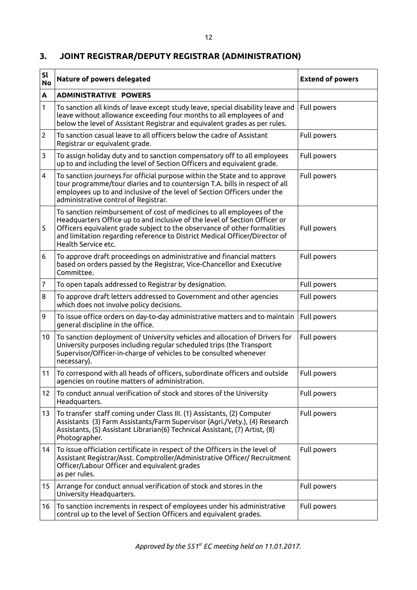## **3. JOINT REGISTRAR/DEPUTY REGISTRAR (ADMINISTRATION)**

| sl<br><b>No</b> | Nature of powers delegated                                                                                                                                                                                                                                                                                                            | <b>Extend of powers</b> |  |
|-----------------|---------------------------------------------------------------------------------------------------------------------------------------------------------------------------------------------------------------------------------------------------------------------------------------------------------------------------------------|-------------------------|--|
| A               | <b>ADMINISTRATIVE POWERS</b>                                                                                                                                                                                                                                                                                                          |                         |  |
| 1               | To sanction all kinds of leave except study leave, special disability leave and<br>leave without allowance exceeding four months to all employees of and<br>below the level of Assistant Registrar and equivalent grades as per rules.                                                                                                | Full powers             |  |
| 2               | To sanction casual leave to all officers below the cadre of Assistant<br>Registrar or equivalent grade.                                                                                                                                                                                                                               | Full powers             |  |
| 3               | To assign holiday duty and to sanction compensatory off to all employees<br>up to and including the level of Section Officers and equivalent grade.                                                                                                                                                                                   | Full powers             |  |
| 4               | To sanction journeys for official purpose within the State and to approve<br>tour programme/tour diaries and to countersign T.A. bills in respect of all<br>employees up to and inclusive of the level of Section Officers under the<br>administrative control of Registrar.                                                          | Full powers             |  |
| 5               | To sanction reimbursement of cost of medicines to all employees of the<br>Headquarters Office up to and inclusive of the level of Section Officer or<br>Officers equivalent grade subject to the observance of other formalities<br>and limitation regarding reference to District Medical Officer/Director of<br>Health Service etc. | Full powers             |  |
| 6               | To approve draft proceedings on administrative and financial matters<br>based on orders passed by the Registrar, Vice-Chancellor and Executive<br>Committee.                                                                                                                                                                          | Full powers             |  |
| 7               | To open tapals addressed to Registrar by designation.                                                                                                                                                                                                                                                                                 | Full powers             |  |
| 8               | To approve draft letters addressed to Government and other agencies<br>which does not involve policy decisions.                                                                                                                                                                                                                       | Full powers             |  |
| 9               | To issue office orders on day-to-day administrative matters and to maintain<br>general discipline in the office.                                                                                                                                                                                                                      | Full powers             |  |
| 10 <sup>°</sup> | To sanction deployment of University vehicles and allocation of Drivers for<br>University purposes including regular scheduled trips (the Transport<br>Supervisor/Officer-in-charge of vehicles to be consulted whenever<br>necessary).                                                                                               | Full powers             |  |
| 11              | To correspond with all heads of officers, subordinate officers and outside<br>agencies on routine matters of administration.                                                                                                                                                                                                          | Full powers             |  |
| 12              | To conduct annual verification of stock and stores of the University<br>Headquarters.                                                                                                                                                                                                                                                 | Full powers             |  |
| 13              | To transfer staff coming under Class III. (1) Assistants, (2) Computer<br>Assistants (3) Farm Assistants/Farm Supervisor (Agri./Vety.), (4) Research<br>Assistants, (5) Assistant Librarian(6) Technical Assistant, (7) Artist, (8)<br>Photographer.                                                                                  | Full powers             |  |
| 14              | To issue officiation certificate in respect of the Officers in the level of<br>Assistant Registrar/Asst. Comptroller/Administrative Officer/ Recruitment<br>Officer/Labour Officer and equivalent grades<br>as per rules.                                                                                                             | Full powers             |  |
| 15              | Arrange for conduct annual verification of stock and stores in the<br>University Headquarters.                                                                                                                                                                                                                                        | Full powers             |  |
| 16              | To sanction increments in respect of employees under his administrative<br>control up to the level of Section Officers and equivalent grades.                                                                                                                                                                                         | Full powers             |  |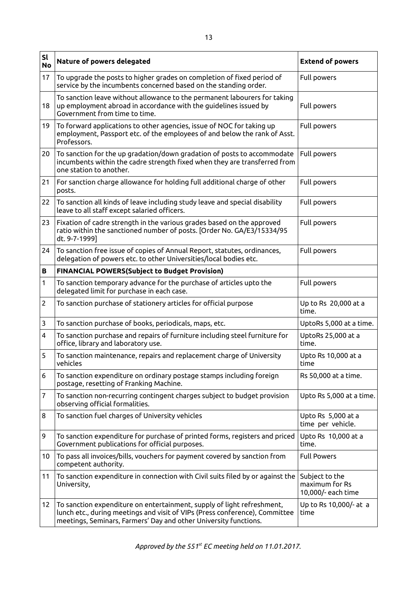| sl<br><b>No</b> | Nature of powers delegated                                                                                                                                                                                                | <b>Extend of powers</b>                                |  |
|-----------------|---------------------------------------------------------------------------------------------------------------------------------------------------------------------------------------------------------------------------|--------------------------------------------------------|--|
| 17              | To upgrade the posts to higher grades on completion of fixed period of<br>service by the incumbents concerned based on the standing order.                                                                                | Full powers                                            |  |
| 18              | To sanction leave without allowance to the permanent labourers for taking<br>up employment abroad in accordance with the guidelines issued by<br>Government from time to time.                                            | Full powers                                            |  |
| 19              | To forward applications to other agencies, issue of NOC for taking up<br>employment, Passport etc. of the employees of and below the rank of Asst.<br>Professors.                                                         | Full powers                                            |  |
| 20              | To sanction for the up gradation/down gradation of posts to accommodate<br>incumbents within the cadre strength fixed when they are transferred from<br>one station to another.                                           | Full powers                                            |  |
| 21              | For sanction charge allowance for holding full additional charge of other<br>posts.                                                                                                                                       | Full powers                                            |  |
| 22              | To sanction all kinds of leave including study leave and special disability<br>leave to all staff except salaried officers.                                                                                               | Full powers                                            |  |
| 23              | Fixation of cadre strength in the various grades based on the approved<br>ratio within the sanctioned number of posts. [Order No. GA/E3/15334/95<br>dt. 9-7-1999]                                                         | Full powers                                            |  |
| 24              | To sanction free issue of copies of Annual Report, statutes, ordinances,<br>delegation of powers etc. to other Universities/local bodies etc.                                                                             | Full powers                                            |  |
| В               | <b>FINANCIAL POWERS(Subject to Budget Provision)</b>                                                                                                                                                                      |                                                        |  |
| 1               | To sanction temporary advance for the purchase of articles upto the<br>delegated limit for purchase in each case.                                                                                                         | Full powers                                            |  |
| 2               | To sanction purchase of stationery articles for official purpose                                                                                                                                                          | Up to Rs 20,000 at a<br>time.                          |  |
| 3               | To sanction purchase of books, periodicals, maps, etc.                                                                                                                                                                    | UptoRs 5,000 at a time.                                |  |
| 4               | To sanction purchase and repairs of furniture including steel furniture for<br>office, library and laboratory use.                                                                                                        | UptoRs 25,000 at a<br>time.                            |  |
| 5               | To sanction maintenance, repairs and replacement charge of University<br>vehicles                                                                                                                                         | Upto Rs 10,000 at a<br>time                            |  |
| 6               | To sanction expenditure on ordinary postage stamps including foreign<br>postage, resetting of Franking Machine.                                                                                                           | Rs 50,000 at a time.                                   |  |
| $\overline{7}$  | To sanction non-recurring contingent charges subject to budget provision<br>observing official formalities.                                                                                                               | Upto Rs 5,000 at a time.                               |  |
| 8               | To sanction fuel charges of University vehicles                                                                                                                                                                           | Upto Rs 5,000 at a<br>time per vehicle.                |  |
| 9               | To sanction expenditure for purchase of printed forms, registers and priced<br>Government publications for official purposes.                                                                                             | Upto Rs 10,000 at a<br>time.                           |  |
| 10              | To pass all invoices/bills, vouchers for payment covered by sanction from<br>competent authority.                                                                                                                         | <b>Full Powers</b>                                     |  |
| 11              | To sanction expenditure in connection with Civil suits filed by or against the<br>University,                                                                                                                             | Subject to the<br>maximum for Rs<br>10,000/- each time |  |
| 12              | To sanction expenditure on entertainment, supply of light refreshment,<br>lunch etc., during meetings and visit of VIPs (Press conference), Committee<br>meetings, Seminars, Farmers' Day and other University functions. | Up to Rs 10,000/- at a<br>time                         |  |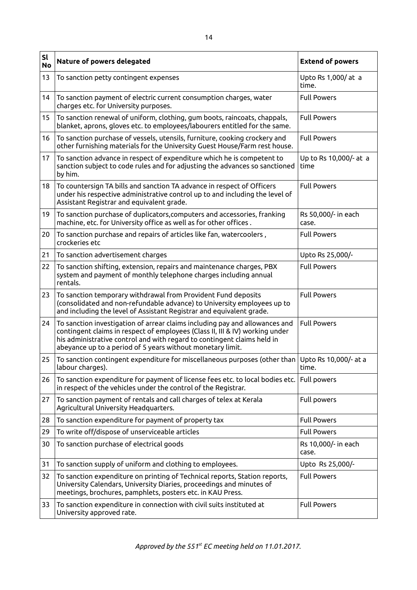| sl<br><b>No</b> | Nature of powers delegated                                                                                                                                                                                                                                                                           | <b>Extend of powers</b>        |  |
|-----------------|------------------------------------------------------------------------------------------------------------------------------------------------------------------------------------------------------------------------------------------------------------------------------------------------------|--------------------------------|--|
| 13              | To sanction petty contingent expenses                                                                                                                                                                                                                                                                | Upto Rs 1,000/ at a<br>time.   |  |
| 14              | To sanction payment of electric current consumption charges, water<br>charges etc. for University purposes.                                                                                                                                                                                          | <b>Full Powers</b>             |  |
| 15              | To sanction renewal of uniform, clothing, gum boots, raincoats, chappals,<br>blanket, aprons, gloves etc. to employees/labourers entitled for the same.                                                                                                                                              | <b>Full Powers</b>             |  |
| 16              | To sanction purchase of vessels, utensils, furniture, cooking crockery and<br>other furnishing materials for the University Guest House/Farm rest house.                                                                                                                                             | <b>Full Powers</b>             |  |
| 17              | To sanction advance in respect of expenditure which he is competent to<br>sanction subject to code rules and for adjusting the advances so sanctioned<br>by him.                                                                                                                                     | Up to Rs 10,000/- at a<br>time |  |
| 18              | To countersign TA bills and sanction TA advance in respect of Officers<br>under his respective administrative control up to and including the level of<br>Assistant Registrar and equivalent grade.                                                                                                  | <b>Full Powers</b>             |  |
| 19              | To sanction purchase of duplicators, computers and accessories, franking<br>machine, etc. for University office as well as for other offices.                                                                                                                                                        | Rs 50,000/- in each<br>case.   |  |
| 20              | To sanction purchase and repairs of articles like fan, watercoolers,<br>crockeries etc                                                                                                                                                                                                               | <b>Full Powers</b>             |  |
| 21              | To sanction advertisement charges                                                                                                                                                                                                                                                                    | Upto Rs 25,000/-               |  |
| 22              | To sanction shifting, extension, repairs and maintenance charges, PBX<br>system and payment of monthly telephone charges including annual<br>rentals.                                                                                                                                                | <b>Full Powers</b>             |  |
| 23              | To sanction temporary withdrawal from Provident Fund deposits<br>(consolidated and non-refundable advance) to University employees up to<br>and including the level of Assistant Registrar and equivalent grade.                                                                                     | <b>Full Powers</b>             |  |
| 24              | To sanction investigation of arrear claims including pay and allowances and<br>contingent claims in respect of employees (Class II, III & IV) working under<br>his administrative control and with regard to contingent claims held in<br>abeyance up to a period of 5 years without monetary limit. | <b>Full Powers</b>             |  |
| 25              | To sanction contingent expenditure for miscellaneous purposes (other than Upto Rs 10,000/- at a<br>labour charges).                                                                                                                                                                                  | time.                          |  |
| 26              | To sanction expenditure for payment of license fees etc. to local bodies etc.<br>in respect of the vehicles under the control of the Registrar.                                                                                                                                                      | Full powers                    |  |
| 27              | To sanction payment of rentals and call charges of telex at Kerala<br>Agricultural University Headquarters.                                                                                                                                                                                          | Full powers                    |  |
| 28              | To sanction expenditure for payment of property tax                                                                                                                                                                                                                                                  | <b>Full Powers</b>             |  |
| 29              | To write off/dispose of unserviceable articles                                                                                                                                                                                                                                                       | <b>Full Powers</b>             |  |
| 30              | To sanction purchase of electrical goods                                                                                                                                                                                                                                                             | Rs 10,000/- in each<br>case.   |  |
| 31              | To sanction supply of uniform and clothing to employees.                                                                                                                                                                                                                                             | Upto Rs 25,000/-               |  |
| 32              | To sanction expenditure on printing of Technical reports, Station reports,<br><b>Full Powers</b><br>University Calendars, University Diaries, proceedings and minutes of<br>meetings, brochures, pamphlets, posters etc. in KAU Press.                                                               |                                |  |
| 33              | To sanction expenditure in connection with civil suits instituted at<br>University approved rate.                                                                                                                                                                                                    | <b>Full Powers</b>             |  |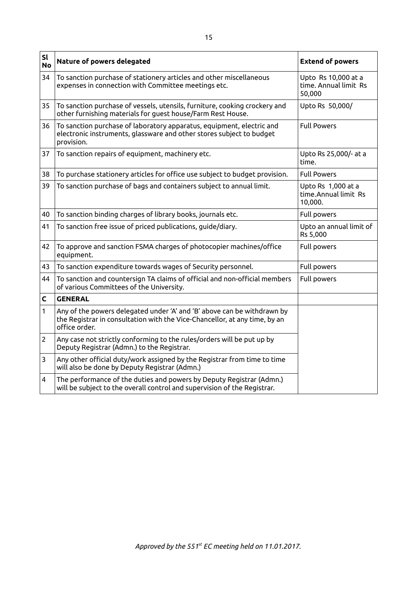| sl<br><b>No</b> | Nature of powers delegated                                                                                                                                             | <b>Extend of powers</b>                                |  |
|-----------------|------------------------------------------------------------------------------------------------------------------------------------------------------------------------|--------------------------------------------------------|--|
| 34              | To sanction purchase of stationery articles and other miscellaneous<br>expenses in connection with Committee meetings etc.                                             | Upto Rs 10,000 at a<br>time. Annual limit Rs<br>50,000 |  |
| 35              | To sanction purchase of vessels, utensils, furniture, cooking crockery and<br>other furnishing materials for guest house/Farm Rest House.                              | Upto Rs 50,000/                                        |  |
| 36              | To sanction purchase of laboratory apparatus, equipment, electric and<br>electronic instruments, glassware and other stores subject to budget<br>provision.            | <b>Full Powers</b>                                     |  |
| 37              | To sanction repairs of equipment, machinery etc.                                                                                                                       | Upto Rs 25,000/- at a<br>time.                         |  |
| 38              | To purchase stationery articles for office use subject to budget provision.                                                                                            | <b>Full Powers</b>                                     |  |
| 39              | To sanction purchase of bags and containers subject to annual limit.                                                                                                   | Upto Rs 1,000 at a<br>time. Annual limit Rs<br>10,000. |  |
| 40              | To sanction binding charges of library books, journals etc.                                                                                                            | Full powers                                            |  |
| 41              | To sanction free issue of priced publications, guide/diary.                                                                                                            | Upto an annual limit of<br>Rs 5,000                    |  |
| 42              | To approve and sanction FSMA charges of photocopier machines/office<br>equipment.                                                                                      | Full powers                                            |  |
| 43              | To sanction expenditure towards wages of Security personnel.                                                                                                           | Full powers                                            |  |
| 44              | To sanction and countersign TA claims of official and non-official members<br>of various Committees of the University.                                                 | Full powers                                            |  |
| C               | <b>GENERAL</b>                                                                                                                                                         |                                                        |  |
| 1               | Any of the powers delegated under 'A' and 'B' above can be withdrawn by<br>the Registrar in consultation with the Vice-Chancellor, at any time, by an<br>office order. |                                                        |  |
| $\overline{2}$  | Any case not strictly conforming to the rules/orders will be put up by<br>Deputy Registrar (Admn.) to the Registrar.                                                   |                                                        |  |
| 3               | Any other official duty/work assigned by the Registrar from time to time<br>will also be done by Deputy Registrar (Admn.)                                              |                                                        |  |
| 4               | The performance of the duties and powers by Deputy Registrar (Admn.)<br>will be subject to the overall control and supervision of the Registrar.                       |                                                        |  |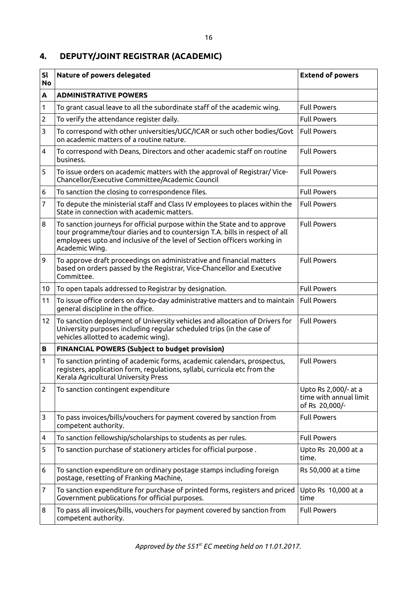#### 16

# **4. DEPUTY/JOINT REGISTRAR (ACADEMIC)**

| <b>Sl</b><br><b>No</b> | Nature of powers delegated                                                                                                                                                                                                                             | <b>Extend of powers</b>                                          |  |  |  |
|------------------------|--------------------------------------------------------------------------------------------------------------------------------------------------------------------------------------------------------------------------------------------------------|------------------------------------------------------------------|--|--|--|
| A                      | <b>ADMINISTRATIVE POWERS</b>                                                                                                                                                                                                                           |                                                                  |  |  |  |
| 1                      | To grant casual leave to all the subordinate staff of the academic wing.                                                                                                                                                                               | <b>Full Powers</b>                                               |  |  |  |
| $\overline{2}$         | To verify the attendance register daily.                                                                                                                                                                                                               | <b>Full Powers</b>                                               |  |  |  |
| 3                      | To correspond with other universities/UGC/ICAR or such other bodies/Govt<br>on academic matters of a routine nature.                                                                                                                                   | <b>Full Powers</b>                                               |  |  |  |
| 4                      | To correspond with Deans, Directors and other academic staff on routine<br>business.                                                                                                                                                                   | <b>Full Powers</b>                                               |  |  |  |
| 5                      | To issue orders on academic matters with the approval of Registrar/ Vice-<br>Chancellor/Executive Committee/Academic Council                                                                                                                           | <b>Full Powers</b>                                               |  |  |  |
| 6                      | To sanction the closing to correspondence files.                                                                                                                                                                                                       | <b>Full Powers</b>                                               |  |  |  |
| 7                      | To depute the ministerial staff and Class IV employees to places within the<br>State in connection with academic matters.                                                                                                                              | <b>Full Powers</b>                                               |  |  |  |
| 8                      | To sanction journeys for official purpose within the State and to approve<br>tour programme/tour diaries and to countersign T.A. bills in respect of all<br>employees upto and inclusive of the level of Section officers working in<br>Academic Wing. | <b>Full Powers</b>                                               |  |  |  |
| 9                      | To approve draft proceedings on administrative and financial matters<br>based on orders passed by the Registrar, Vice-Chancellor and Executive<br>Committee.                                                                                           | <b>Full Powers</b>                                               |  |  |  |
| 10                     | To open tapals addressed to Registrar by designation.                                                                                                                                                                                                  | <b>Full Powers</b>                                               |  |  |  |
| 11                     | To issue office orders on day-to-day administrative matters and to maintain<br>general discipline in the office.                                                                                                                                       | <b>Full Powers</b>                                               |  |  |  |
| 12                     | To sanction deployment of University vehicles and allocation of Drivers for<br>University purposes including regular scheduled trips (in the case of<br>vehicles allotted to academic wing).                                                           | <b>Full Powers</b>                                               |  |  |  |
| в                      | <b>FINANCIAL POWERS (Subject to budget provision)</b>                                                                                                                                                                                                  |                                                                  |  |  |  |
| 1                      | To sanction printing of academic forms, academic calendars, prospectus,<br>registers, application form, regulations, syllabi, curricula etc from the<br>Kerala Agricultural University Press                                                           | <b>Full Powers</b>                                               |  |  |  |
| $\overline{2}$         | To sanction contingent expenditure                                                                                                                                                                                                                     | Upto Rs 2,000/- at a<br>time with annual limit<br>of Rs 20,000/- |  |  |  |
| 3                      | To pass invoices/bills/vouchers for payment covered by sanction from<br>competent authority.                                                                                                                                                           | <b>Full Powers</b>                                               |  |  |  |
| 4                      | To sanction fellowship/scholarships to students as per rules.                                                                                                                                                                                          | <b>Full Powers</b>                                               |  |  |  |
| 5                      | To sanction purchase of stationery articles for official purpose.                                                                                                                                                                                      | Upto Rs 20,000 at a<br>time.                                     |  |  |  |
| 6                      | To sanction expenditure on ordinary postage stamps including foreign<br>postage, resetting of Franking Machine,                                                                                                                                        | Rs 50,000 at a time                                              |  |  |  |
| 7                      | To sanction expenditure for purchase of printed forms, registers and priced<br>Upto Rs 10,000 at a<br>Government publications for official purposes.<br>time                                                                                           |                                                                  |  |  |  |
| 8                      | To pass all invoices/bills, vouchers for payment covered by sanction from<br><b>Full Powers</b><br>competent authority.                                                                                                                                |                                                                  |  |  |  |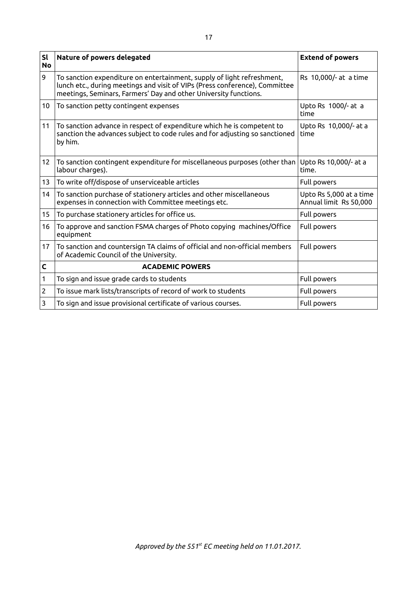| <b>Sl</b><br><b>No</b> | Nature of powers delegated                                                                                                                                                                                                | <b>Extend of powers</b>                           |  |
|------------------------|---------------------------------------------------------------------------------------------------------------------------------------------------------------------------------------------------------------------------|---------------------------------------------------|--|
| 9                      | To sanction expenditure on entertainment, supply of light refreshment,<br>lunch etc., during meetings and visit of VIPs (Press conference), Committee<br>meetings, Seminars, Farmers' Day and other University functions. | Rs 10,000/- at a time                             |  |
| 10                     | To sanction petty contingent expenses                                                                                                                                                                                     | Upto Rs 1000/- at a<br>time                       |  |
| 11                     | To sanction advance in respect of expenditure which he is competent to<br>sanction the advances subject to code rules and for adjusting so sanctioned<br>by him.                                                          | Upto Rs 10,000/- at a<br>time                     |  |
| 12                     | To sanction contingent expenditure for miscellaneous purposes (other than<br>labour charges).                                                                                                                             | Upto Rs 10,000/- at a<br>time.                    |  |
| 13                     | To write off/dispose of unserviceable articles                                                                                                                                                                            | Full powers                                       |  |
| 14                     | To sanction purchase of stationery articles and other miscellaneous<br>expenses in connection with Committee meetings etc.                                                                                                | Upto Rs 5,000 at a time<br>Annual limit Rs 50,000 |  |
| 15                     | To purchase stationery articles for office us.                                                                                                                                                                            | Full powers                                       |  |
| 16                     | To approve and sanction FSMA charges of Photo copying machines/Office<br>equipment                                                                                                                                        | Full powers                                       |  |
| 17                     | To sanction and countersign TA claims of official and non-official members<br>of Academic Council of the University.                                                                                                      | Full powers                                       |  |
| $\mathsf{C}$           | <b>ACADEMIC POWERS</b>                                                                                                                                                                                                    |                                                   |  |
| 1                      | To sign and issue grade cards to students                                                                                                                                                                                 | Full powers                                       |  |
| $\overline{c}$         | To issue mark lists/transcripts of record of work to students                                                                                                                                                             | Full powers                                       |  |
| 3                      | To sign and issue provisional certificate of various courses.                                                                                                                                                             | Full powers                                       |  |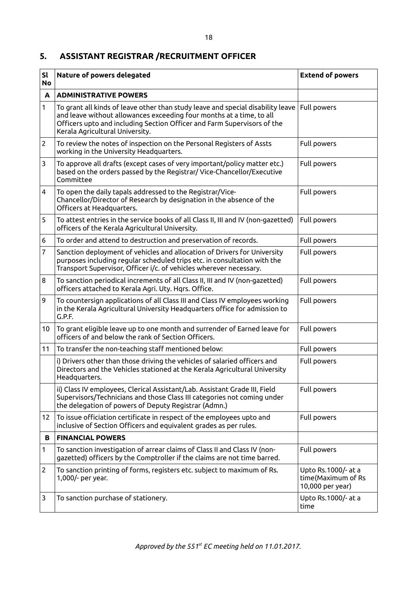## **5. ASSISTANT REGISTRAR /RECRUITMENT OFFICER**

| SI<br><b>No</b> | Nature of powers delegated                                                                                                                                                                                                                                            | <b>Extend of powers</b>                                       |  |  |
|-----------------|-----------------------------------------------------------------------------------------------------------------------------------------------------------------------------------------------------------------------------------------------------------------------|---------------------------------------------------------------|--|--|
| A               | <b>ADMINISTRATIVE POWERS</b>                                                                                                                                                                                                                                          |                                                               |  |  |
| $\mathbf{1}$    | To grant all kinds of leave other than study leave and special disability leave<br>and leave without allowances exceeding four months at a time, to all<br>Officers upto and including Section Officer and Farm Supervisors of the<br>Kerala Agricultural University. | Full powers                                                   |  |  |
| $\overline{2}$  | To review the notes of inspection on the Personal Registers of Assts<br>working in the University Headquarters.                                                                                                                                                       | Full powers                                                   |  |  |
| 3               | To approve all drafts (except cases of very important/policy matter etc.)<br>based on the orders passed by the Registrar/ Vice-Chancellor/Executive<br>Committee                                                                                                      | Full powers                                                   |  |  |
| 4               | To open the daily tapals addressed to the Registrar/Vice-<br>Chancellor/Director of Research by designation in the absence of the<br>Officers at Headquarters.                                                                                                        | Full powers                                                   |  |  |
| 5               | To attest entries in the service books of all Class II, III and IV (non-gazetted)<br>officers of the Kerala Agricultural University.                                                                                                                                  | Full powers                                                   |  |  |
| 6               | To order and attend to destruction and preservation of records.                                                                                                                                                                                                       | Full powers                                                   |  |  |
| $\overline{7}$  | Sanction deployment of vehicles and allocation of Drivers for University<br>purposes including regular scheduled trips etc. in consultation with the<br>Transport Supervisor, Officer i/c. of vehicles wherever necessary.                                            | Full powers                                                   |  |  |
| 8               | To sanction periodical increments of all Class II, III and IV (non-gazetted)<br>officers attached to Kerala Agri. Uty. Hqrs. Office.                                                                                                                                  | Full powers                                                   |  |  |
| 9               | To countersign applications of all Class III and Class IV employees working<br>in the Kerala Agricultural University Headquarters office for admission to<br>G.P.F.                                                                                                   | Full powers                                                   |  |  |
| 10 <sup>°</sup> | To grant eligible leave up to one month and surrender of Earned leave for<br>officers of and below the rank of Section Officers.                                                                                                                                      | Full powers                                                   |  |  |
| 11              | To transfer the non-teaching staff mentioned below:                                                                                                                                                                                                                   | Full powers                                                   |  |  |
|                 | i) Drivers other than those driving the vehicles of salaried officers and<br>Directors and the Vehicles stationed at the Kerala Agricultural University<br>Headquarters.                                                                                              | Full powers                                                   |  |  |
|                 | ii) Class IV employees, Clerical Assistant/Lab. Assistant Grade III, Field<br>Supervisors/Technicians and those Class III categories not coming under<br>the delegation of powers of Deputy Registrar (Admn.)                                                         | Full powers                                                   |  |  |
| 12              | To issue officiation certificate in respect of the employees upto and<br>inclusive of Section Officers and equivalent grades as per rules.                                                                                                                            | Full powers                                                   |  |  |
| B               | <b>FINANCIAL POWERS</b>                                                                                                                                                                                                                                               |                                                               |  |  |
| 1               | To sanction investigation of arrear claims of Class II and Class IV (non-<br>gazetted) officers by the Comptroller if the claims are not time barred.                                                                                                                 | Full powers                                                   |  |  |
| 2               | To sanction printing of forms, registers etc. subject to maximum of Rs.<br>1,000/- per year.                                                                                                                                                                          | Upto Rs.1000/- at a<br>time(Maximum of Rs<br>10,000 per year) |  |  |
| 3               | To sanction purchase of stationery.                                                                                                                                                                                                                                   | Upto Rs.1000/- at a<br>time                                   |  |  |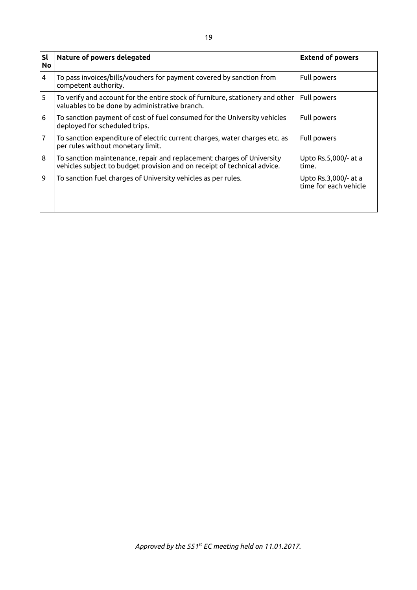| <b>Sl</b><br><b>No</b> | Nature of powers delegated                                                                                                                        | <b>Extend of powers</b>                       |  |
|------------------------|---------------------------------------------------------------------------------------------------------------------------------------------------|-----------------------------------------------|--|
| 4                      | To pass invoices/bills/vouchers for payment covered by sanction from<br>competent authority.                                                      | Full powers                                   |  |
| 5                      | To verify and account for the entire stock of furniture, stationery and other<br>valuables to be done by administrative branch.                   | Full powers                                   |  |
| 6                      | To sanction payment of cost of fuel consumed for the University vehicles<br>deployed for scheduled trips.                                         | Full powers                                   |  |
| 7                      | To sanction expenditure of electric current charges, water charges etc. as<br>per rules without monetary limit.                                   | Full powers                                   |  |
| 8                      | To sanction maintenance, repair and replacement charges of University<br>vehicles subject to budget provision and on receipt of technical advice. | Upto Rs.5,000/- at a<br>time.                 |  |
| 9                      | To sanction fuel charges of University vehicles as per rules.                                                                                     | Upto Rs.3,000/- at a<br>time for each vehicle |  |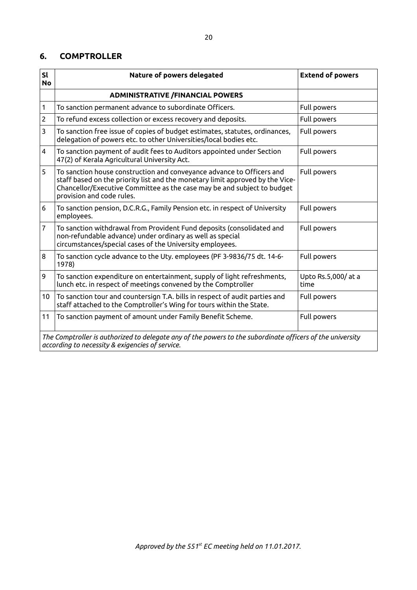### **6. COMPTROLLER**

| SI<br><b>No</b>                                                                                                                                              | Nature of powers delegated                                                                                                                                                                                                                                     | <b>Extend of powers</b>    |  |  |
|--------------------------------------------------------------------------------------------------------------------------------------------------------------|----------------------------------------------------------------------------------------------------------------------------------------------------------------------------------------------------------------------------------------------------------------|----------------------------|--|--|
|                                                                                                                                                              | <b>ADMINISTRATIVE /FINANCIAL POWERS</b>                                                                                                                                                                                                                        |                            |  |  |
| 1                                                                                                                                                            | To sanction permanent advance to subordinate Officers.                                                                                                                                                                                                         | Full powers                |  |  |
| $\overline{2}$                                                                                                                                               | To refund excess collection or excess recovery and deposits.                                                                                                                                                                                                   | Full powers                |  |  |
| 3                                                                                                                                                            | To sanction free issue of copies of budget estimates, statutes, ordinances,<br>delegation of powers etc. to other Universities/local bodies etc.                                                                                                               | Full powers                |  |  |
| 4                                                                                                                                                            | To sanction payment of audit fees to Auditors appointed under Section<br>47(2) of Kerala Agricultural University Act.                                                                                                                                          | Full powers                |  |  |
| 5                                                                                                                                                            | To sanction house construction and conveyance advance to Officers and<br>staff based on the priority list and the monetary limit approved by the Vice-<br>Chancellor/Executive Committee as the case may be and subject to budget<br>provision and code rules. | Full powers                |  |  |
| 6                                                                                                                                                            | To sanction pension, D.C.R.G., Family Pension etc. in respect of University<br>employees.                                                                                                                                                                      | Full powers                |  |  |
| $\overline{7}$                                                                                                                                               | To sanction withdrawal from Provident Fund deposits (consolidated and<br>non-refundable advance) under ordinary as well as special<br>circumstances/special cases of the University employees.                                                                 | Full powers                |  |  |
| 8                                                                                                                                                            | To sanction cycle advance to the Uty. employees (PF 3-9836/75 dt. 14-6-<br>1978)                                                                                                                                                                               | Full powers                |  |  |
| 9                                                                                                                                                            | To sanction expenditure on entertainment, supply of light refreshments,<br>lunch etc. in respect of meetings convened by the Comptroller                                                                                                                       | Upto Rs.5,000/at a<br>time |  |  |
| 10 <sup>°</sup>                                                                                                                                              | To sanction tour and countersign T.A. bills in respect of audit parties and<br>staff attached to the Comptroller's Wing for tours within the State.                                                                                                            | Full powers                |  |  |
| 11                                                                                                                                                           | To sanction payment of amount under Family Benefit Scheme.                                                                                                                                                                                                     | Full powers                |  |  |
| The Comptroller is authorized to delegate any of the powers to the subordinate officers of the university<br>according to necessity & exigencies of service. |                                                                                                                                                                                                                                                                |                            |  |  |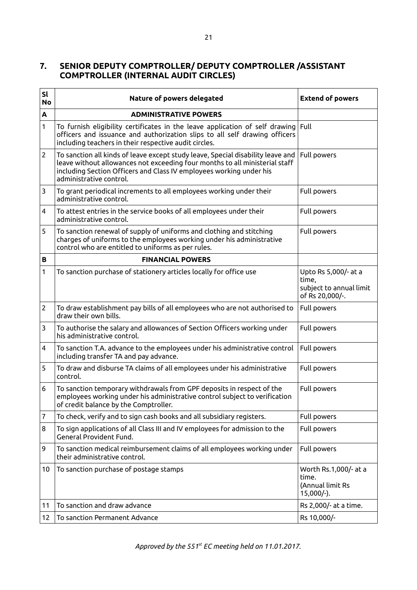## **7. SENIOR DEPUTY COMPTROLLER/ DEPUTY COMPTROLLER /ASSISTANT COMPTROLLER (INTERNAL AUDIT CIRCLES)**

| <b>Sl</b><br><b>No</b> | Nature of powers delegated                                                                                                                                                                                                                                       | <b>Extend of powers</b>                                                     |  |  |
|------------------------|------------------------------------------------------------------------------------------------------------------------------------------------------------------------------------------------------------------------------------------------------------------|-----------------------------------------------------------------------------|--|--|
| A                      | <b>ADMINISTRATIVE POWERS</b>                                                                                                                                                                                                                                     |                                                                             |  |  |
| 1                      | To furnish eligibility certificates in the leave application of self drawing<br>officers and issuance and authorization slips to all self drawing officers<br>including teachers in their respective audit circles.                                              | Full                                                                        |  |  |
| $\overline{2}$         | To sanction all kinds of leave except study leave, Special disability leave and<br>leave without allowances not exceeding four months to all ministerial staff<br>including Section Officers and Class IV employees working under his<br>administrative control. | Full powers                                                                 |  |  |
| 3                      | To grant periodical increments to all employees working under their<br>administrative control.                                                                                                                                                                   | Full powers                                                                 |  |  |
| 4                      | To attest entries in the service books of all employees under their<br>administrative control.                                                                                                                                                                   | Full powers                                                                 |  |  |
| 5                      | To sanction renewal of supply of uniforms and clothing and stitching<br>charges of uniforms to the employees working under his administrative<br>control who are entitled to uniforms as per rules.                                                              | Full powers                                                                 |  |  |
| В                      | <b>FINANCIAL POWERS</b>                                                                                                                                                                                                                                          |                                                                             |  |  |
| 1                      | To sanction purchase of stationery articles locally for office use                                                                                                                                                                                               | Upto Rs 5,000/- at a<br>time,<br>subject to annual limit<br>of Rs 20,000/-. |  |  |
| $\overline{2}$         | To draw establishment pay bills of all employees who are not authorised to<br>draw their own bills.                                                                                                                                                              | Full powers                                                                 |  |  |
| 3                      | To authorise the salary and allowances of Section Officers working under<br>his administrative control.                                                                                                                                                          | Full powers                                                                 |  |  |
| 4                      | To sanction T.A. advance to the employees under his administrative control<br>including transfer TA and pay advance.                                                                                                                                             | Full powers                                                                 |  |  |
| 5                      | To draw and disburse TA claims of all employees under his administrative<br>control.                                                                                                                                                                             | Full powers                                                                 |  |  |
| 6                      | To sanction temporary withdrawals from GPF deposits in respect of the<br>employees working under his administrative control subject to verification<br>of credit balance by the Comptroller.                                                                     | Full powers                                                                 |  |  |
| 7                      | To check, verify and to sign cash books and all subsidiary registers.                                                                                                                                                                                            | Full powers                                                                 |  |  |
| 8                      | To sign applications of all Class III and IV employees for admission to the<br>General Provident Fund.                                                                                                                                                           | Full powers                                                                 |  |  |
| 9                      | To sanction medical reimbursement claims of all employees working under<br>their administrative control.                                                                                                                                                         | Full powers                                                                 |  |  |
| 10                     | To sanction purchase of postage stamps                                                                                                                                                                                                                           | Worth Rs.1,000/- at a<br>time.<br>(Annual limit Rs<br>$15,000/-$ ).         |  |  |
| 11                     | To sanction and draw advance                                                                                                                                                                                                                                     | Rs 2,000/- at a time.                                                       |  |  |
| 12                     | To sanction Permanent Advance                                                                                                                                                                                                                                    | Rs 10,000/-                                                                 |  |  |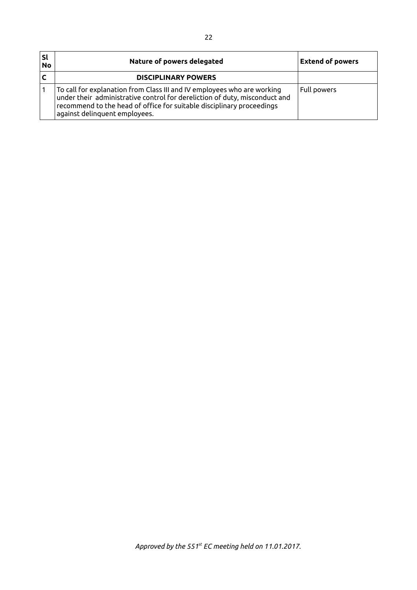| ˈsl<br><b>No</b> | Nature of powers delegated                                                                                                                                                                                                                                      | <b>Extend of powers</b> |  |
|------------------|-----------------------------------------------------------------------------------------------------------------------------------------------------------------------------------------------------------------------------------------------------------------|-------------------------|--|
|                  | <b>DISCIPLINARY POWERS</b>                                                                                                                                                                                                                                      |                         |  |
|                  | To call for explanation from Class III and IV employees who are working<br>under their administrative control for dereliction of duty, misconduct and<br>recommend to the head of office for suitable disciplinary proceedings<br>against delinquent employees. | Full powers             |  |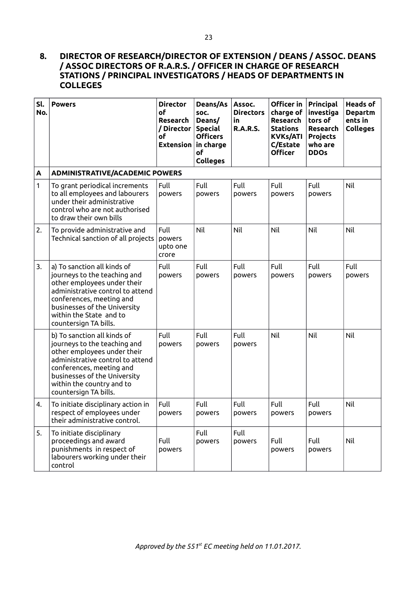### **8. DIRECTOR OF RESEARCH/DIRECTOR OF EXTENSION / DEANS / ASSOC. DEANS / ASSOC DIRECTORS OF R.A.R.S. / OFFICER IN CHARGE OF RESEARCH STATIONS / PRINCIPAL INVESTIGATORS / HEADS OF DEPARTMENTS IN COLLEGES**

| Sl.<br>No.   | <b>Powers</b>                                                                                                                                                                                                                                    | <b>Director</b><br>of<br>Research<br>/ Director<br><b>of</b><br><b>Extension</b> | Deans/As<br>SOC.<br>Deans/<br><b>Special</b><br><b>Officers</b><br>in charge<br>of<br><b>Colleges</b> | Assoc.<br><b>Directors</b><br>in<br><b>R.A.R.S.</b> | Officer in<br>charge of<br>Research<br><b>Stations</b><br><b>KVKs/ATI</b><br>C/Estate<br><b>Officer</b> | Principal<br>investiga<br>tors of<br>Research<br><b>Projects</b><br>who are<br><b>DDOs</b> | <b>Heads of</b><br><b>Departm</b><br>ents in<br><b>Colleges</b> |
|--------------|--------------------------------------------------------------------------------------------------------------------------------------------------------------------------------------------------------------------------------------------------|----------------------------------------------------------------------------------|-------------------------------------------------------------------------------------------------------|-----------------------------------------------------|---------------------------------------------------------------------------------------------------------|--------------------------------------------------------------------------------------------|-----------------------------------------------------------------|
| A            | <b>ADMINISTRATIVE/ACADEMIC POWERS</b>                                                                                                                                                                                                            |                                                                                  |                                                                                                       |                                                     |                                                                                                         |                                                                                            |                                                                 |
| $\mathbf{1}$ | To grant periodical increments<br>to all employees and labourers<br>under their administrative<br>control who are not authorised<br>to draw their own bills                                                                                      | Full<br>powers                                                                   | Full<br>powers                                                                                        | Full<br>powers                                      | Full<br>powers                                                                                          | Full<br>powers                                                                             | Nil                                                             |
| 2.           | To provide administrative and<br>Technical sanction of all projects                                                                                                                                                                              | Full<br>powers<br>upto one<br>crore                                              | Nil                                                                                                   | Nil                                                 | Nil                                                                                                     | Nil                                                                                        | Nil                                                             |
| 3.           | a) To sanction all kinds of<br>journeys to the teaching and<br>other employees under their<br>administrative control to attend<br>conferences, meeting and<br>businesses of the University<br>within the State and to<br>countersign TA bills.   | Full<br>powers                                                                   | Full<br>powers                                                                                        | Full<br>powers                                      | Full<br>powers                                                                                          | Full<br>powers                                                                             | Full<br>powers                                                  |
|              | b) To sanction all kinds of<br>journeys to the teaching and<br>other employees under their<br>administrative control to attend<br>conferences, meeting and<br>businesses of the University<br>within the country and to<br>countersign TA bills. | Full<br>powers                                                                   | Full<br>powers                                                                                        | Full<br>powers                                      | Nil                                                                                                     | Nil                                                                                        | Nil                                                             |
| 4.           | To initiate disciplinary action in<br>respect of employees under<br>their administrative control.                                                                                                                                                | Full<br>powers                                                                   | Full<br>powers                                                                                        | Full<br>powers                                      | Full<br>powers                                                                                          | Full<br>powers                                                                             | Nil                                                             |
| 5.           | To initiate disciplinary<br>proceedings and award<br>punishments in respect of<br>labourers working under their<br>control                                                                                                                       | Full<br>powers                                                                   | Full<br>powers                                                                                        | Full<br>powers                                      | Full<br>powers                                                                                          | Full<br>powers                                                                             | Nil                                                             |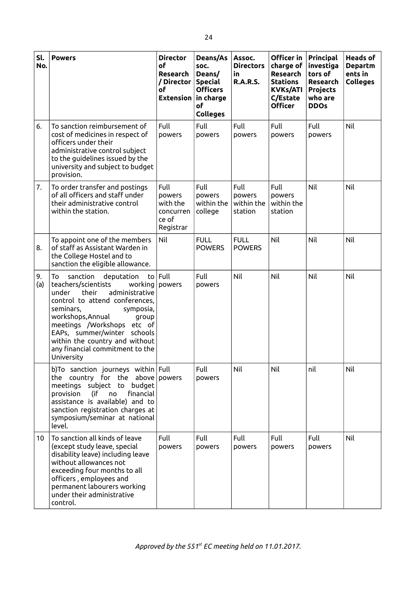| Sl.<br>No.      | <b>Powers</b>                                                                                                                                                                                                                                                                                                                                | <b>Director</b><br>of<br>Research<br>/ Director<br>оf<br><b>Extension</b> | Deans/As<br>SOC.<br>Deans/<br><b>Special</b><br><b>Officers</b><br>in charge<br>of<br><b>Colleges</b> | Assoc.<br><b>Directors</b><br>in<br><b>R.A.R.S.</b> | Officer in<br>charge of<br>Research<br><b>Stations</b><br><b>KVKs/ATI</b><br>C/Estate<br><b>Officer</b> | Principal<br>investiga<br>tors of<br><b>Research</b><br><b>Projects</b><br>who are<br><b>DDOs</b> | <b>Heads of</b><br><b>Departm</b><br>ents in<br><b>Colleges</b> |
|-----------------|----------------------------------------------------------------------------------------------------------------------------------------------------------------------------------------------------------------------------------------------------------------------------------------------------------------------------------------------|---------------------------------------------------------------------------|-------------------------------------------------------------------------------------------------------|-----------------------------------------------------|---------------------------------------------------------------------------------------------------------|---------------------------------------------------------------------------------------------------|-----------------------------------------------------------------|
| 6.              | To sanction reimbursement of<br>cost of medicines in respect of<br>officers under their<br>administrative control subject<br>to the guidelines issued by the<br>university and subject to budget<br>provision.                                                                                                                               | Full<br>powers                                                            | Full<br>powers                                                                                        | Full<br>powers                                      | Full<br>powers                                                                                          | Full<br>powers                                                                                    | Nil                                                             |
| 7.              | To order transfer and postings<br>of all officers and staff under<br>their administrative control<br>within the station.                                                                                                                                                                                                                     | Full<br>powers<br>with the<br>concurren<br>ce of<br>Registrar             | Full<br>powers<br>within the<br>college                                                               | Full<br>powers<br>within the<br>station             | Full<br>powers<br>within the<br>station                                                                 | Nil                                                                                               | Nil                                                             |
| 8.              | To appoint one of the members<br>of staff as Assistant Warden in<br>the College Hostel and to<br>sanction the eligible allowance.                                                                                                                                                                                                            | Nil                                                                       | <b>FULL</b><br><b>POWERS</b>                                                                          | <b>FULL</b><br><b>POWERS</b>                        | Nil                                                                                                     | Nil                                                                                               | Nil                                                             |
| 9.<br>(a)       | To<br>sanction<br>deputation<br>teachers/scientists<br>working<br>administrative<br>their<br>under<br>control to attend conferences,<br>seminars,<br>symposia,<br>workshops, Annual<br>group<br>meetings /Workshops etc of<br>EAPs, summer/winter schools<br>within the country and without<br>any financial commitment to the<br>University | to $ $ Full<br>powers                                                     | Full<br>powers                                                                                        | Nil                                                 | Nil                                                                                                     | Nil                                                                                               | Nil                                                             |
|                 | b)To sanction journeys within Full<br>the country for the above powers<br>meetings subject to budget<br>provision<br>(if no<br>financial<br>assistance is available) and to<br>sanction registration charges at<br>symposium/seminar at national<br>level.                                                                                   |                                                                           | Full<br>powers                                                                                        | Nil                                                 | Nil                                                                                                     | nil                                                                                               | Nil                                                             |
| 10 <sup>°</sup> | To sanction all kinds of leave<br>(except study leave, special<br>disability leave) including leave<br>without allowances not<br>exceeding four months to all<br>officers, employees and<br>permanent labourers working<br>under their administrative<br>control.                                                                            | Full<br>powers                                                            | Full<br>powers                                                                                        | Full<br>powers                                      | Full<br>powers                                                                                          | Full<br>powers                                                                                    | Nil                                                             |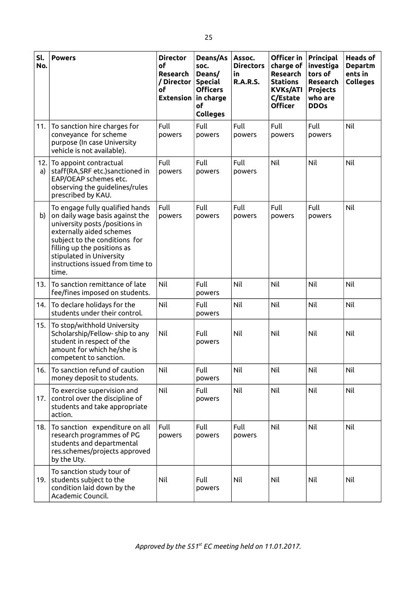| Sl.<br>No. | <b>Powers</b>                                                                                                                                                                                                                                                             | <b>Director</b><br>of<br>Research<br>/ Director<br>οf<br><b>Extension</b> | Deans/As<br>SOC.<br>Deans/<br><b>Special</b><br><b>Officers</b><br>in charge<br>of<br><b>Colleges</b> | Assoc.<br><b>Directors</b><br>in.<br><b>R.A.R.S.</b> | Officer in<br>charge of<br>Research<br><b>Stations</b><br><b>KVKs/ATI</b><br>C/Estate<br><b>Officer</b> | Principal<br>investiga<br>tors of<br>Research<br><b>Projects</b><br>who are<br><b>DDOs</b> | <b>Heads of</b><br><b>Departm</b><br>ents in<br><b>Colleges</b> |
|------------|---------------------------------------------------------------------------------------------------------------------------------------------------------------------------------------------------------------------------------------------------------------------------|---------------------------------------------------------------------------|-------------------------------------------------------------------------------------------------------|------------------------------------------------------|---------------------------------------------------------------------------------------------------------|--------------------------------------------------------------------------------------------|-----------------------------------------------------------------|
| 11.        | To sanction hire charges for<br>conveyance for scheme<br>purpose (In case University<br>vehicle is not available).                                                                                                                                                        | Full<br>powers                                                            | Full<br>powers                                                                                        | Full<br>powers                                       | Full<br>powers                                                                                          | Full<br>powers                                                                             | Nil                                                             |
| 12.<br>a)  | To appoint contractual<br>staff(RA,SRF etc.)sanctioned in<br>EAP/OEAP schemes etc.<br>observing the guidelines/rules<br>prescribed by KAU.                                                                                                                                | Full<br>powers                                                            | Full<br>powers                                                                                        | Full<br>powers                                       | Nil                                                                                                     | Nil                                                                                        | Nil                                                             |
| b)         | To engage fully qualified hands<br>on daily wage basis against the<br>university posts /positions in<br>externally aided schemes<br>subject to the conditions for<br>filling up the positions as<br>stipulated in University<br>instructions issued from time to<br>time. | Full<br>powers                                                            | Full<br>powers                                                                                        | Full<br>powers                                       | Full<br>powers                                                                                          | Full<br>powers                                                                             | Nil                                                             |
| 13.        | To sanction remittance of late<br>fee/fines imposed on students.                                                                                                                                                                                                          | Nil                                                                       | Full<br>powers                                                                                        | Nil                                                  | Nil                                                                                                     | Nil                                                                                        | Nil                                                             |
| 14.        | To declare holidays for the<br>students under their control.                                                                                                                                                                                                              | Nil                                                                       | Full<br>powers                                                                                        | Nil                                                  | Nil                                                                                                     | Nil                                                                                        | Nil                                                             |
| 15.        | To stop/withhold University<br>Scholarship/Fellow-ship to any<br>student in respect of the<br>amount for which he/she is<br>competent to sanction.                                                                                                                        | Nil                                                                       | Full<br>powers                                                                                        | Nil                                                  | Nil                                                                                                     | Nil                                                                                        | Nil                                                             |
| 16.        | To sanction refund of caution<br>money deposit to students.                                                                                                                                                                                                               | Nil                                                                       | Full<br>powers                                                                                        | Nil                                                  | Nil                                                                                                     | Nil                                                                                        | Nil                                                             |
| 17.        | To exercise supervision and<br>control over the discipline of<br>students and take appropriate<br>action.                                                                                                                                                                 | Nil                                                                       | Full<br>powers                                                                                        | Nil                                                  | Nil                                                                                                     | <b>Nil</b>                                                                                 | Nil                                                             |
| 18.        | To sanction expenditure on all<br>research programmes of PG<br>students and departmental<br>res.schemes/projects approved<br>by the Uty.                                                                                                                                  | Full<br>powers                                                            | Full<br>powers                                                                                        | Full<br>powers                                       | Nil                                                                                                     | Nil                                                                                        | Nil                                                             |
| 19.        | To sanction study tour of<br>students subject to the<br>condition laid down by the<br>Academic Council.                                                                                                                                                                   | Nil                                                                       | Full<br>powers                                                                                        | Nil                                                  | Nil                                                                                                     | Nil                                                                                        | Nil                                                             |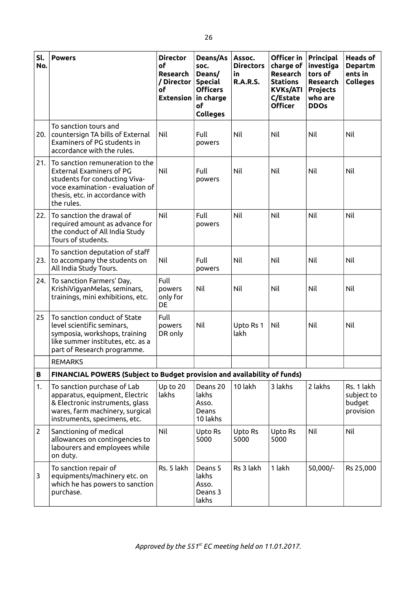| Sl.<br>No.   | <b>Powers</b>                                                                                                                                                                     | <b>Director</b><br><b>of</b><br>Research<br>/ Director<br>οf<br><b>Extension</b> | Deans/As<br>SOC.<br>Deans/<br><b>Special</b><br><b>Officers</b><br>in charge<br>of<br><b>Colleges</b> | Assoc.<br><b>Directors</b><br>in<br><b>R.A.R.S.</b> | Officer in<br>charge of<br><b>Research</b><br><b>Stations</b><br><b>KVKs/ATI</b><br>C/Estate<br><b>Officer</b> | Principal<br>investiga<br>tors of<br>Research<br><b>Projects</b><br>who are<br><b>DDOs</b> | <b>Heads of</b><br><b>Departm</b><br>ents in<br><b>Colleges</b> |
|--------------|-----------------------------------------------------------------------------------------------------------------------------------------------------------------------------------|----------------------------------------------------------------------------------|-------------------------------------------------------------------------------------------------------|-----------------------------------------------------|----------------------------------------------------------------------------------------------------------------|--------------------------------------------------------------------------------------------|-----------------------------------------------------------------|
| 20.          | To sanction tours and<br>countersign TA bills of External<br>Examiners of PG students in<br>accordance with the rules.                                                            | Nil                                                                              | Full<br>powers                                                                                        | Nil                                                 | Nil                                                                                                            | Nil                                                                                        | Nil                                                             |
| 21.          | To sanction remuneration to the<br>External Examiners of PG<br>students for conducting Viva-<br>voce examination - evaluation of<br>thesis, etc. in accordance with<br>the rules. | Nil                                                                              | Full<br>powers                                                                                        | Nil                                                 | Nil                                                                                                            | Nil                                                                                        | Nil                                                             |
| 22.          | To sanction the drawal of<br>required amount as advance for<br>the conduct of All India Study<br>Tours of students.                                                               | Nil                                                                              | Full<br>powers                                                                                        | Nil                                                 | Nil                                                                                                            | Nil                                                                                        | Nil                                                             |
| 23.          | To sanction deputation of staff<br>to accompany the students on<br>All India Study Tours.                                                                                         | Nil                                                                              | Full<br>powers                                                                                        | Nil                                                 | Nil                                                                                                            | Nil                                                                                        | Nil                                                             |
| 24.          | To sanction Farmers' Day,<br>KrishiVigyanMelas, seminars,<br>trainings, mini exhibitions, etc.                                                                                    | Full<br>powers<br>only for<br>DE                                                 | Nil                                                                                                   | Nil                                                 | Nil                                                                                                            | Nil                                                                                        | Nil                                                             |
| 25           | To sanction conduct of State<br>level scientific seminars,<br>symposia, workshops, training<br>like summer institutes, etc. as a<br>part of Research programme.                   | Full<br>powers<br>DR only                                                        | Nil                                                                                                   | Upto Rs 1<br>lakh                                   | Nil                                                                                                            | Nil                                                                                        | Nil                                                             |
|              | <b>REMARKS</b>                                                                                                                                                                    |                                                                                  |                                                                                                       |                                                     |                                                                                                                |                                                                                            |                                                                 |
| В            | FINANCIAL POWERS (Subject to Budget provision and availability of funds)                                                                                                          |                                                                                  |                                                                                                       |                                                     |                                                                                                                |                                                                                            |                                                                 |
| 1.           | To sanction purchase of Lab<br>apparatus, equipment, Electric<br>& Electronic instruments, glass<br>wares, farm machinery, surgical<br>instruments, specimens, etc.               | Up to 20<br>lakhs                                                                | Deans 20<br>lakhs<br>Asso.<br>Deans<br>10 lakhs                                                       | 10 lakh                                             | 3 lakhs                                                                                                        | 2 lakhs                                                                                    | Rs. 1 lakh<br>subject to<br>budget<br>provision                 |
| $\mathbf{2}$ | Sanctioning of medical<br>allowances on contingencies to<br>labourers and employees while<br>on duty.                                                                             | Nil                                                                              | Upto Rs<br>5000                                                                                       | Upto Rs<br>5000                                     | Upto Rs<br>5000                                                                                                | Nil                                                                                        | Nil                                                             |
| 3            | To sanction repair of<br>equipments/machinery etc. on<br>which he has powers to sanction<br>purchase.                                                                             | Rs. 5 lakh                                                                       | Deans 5<br>lakhs<br>Asso.<br>Deans 3<br>lakhs                                                         | Rs 3 lakh                                           | 1 lakh                                                                                                         | 50,000/-                                                                                   | Rs 25,000                                                       |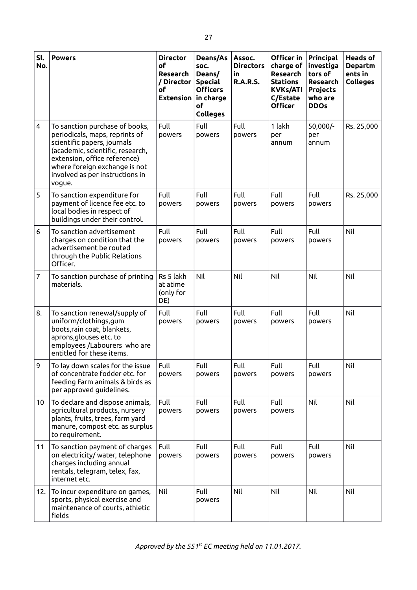| Sl.<br>No.      | <b>Powers</b>                                                                                                                                                                                                                                     | <b>Director</b><br>οf<br>Research<br>/ Director<br>οf<br><b>Extension</b> | Deans/As<br>soc.<br>Deans/<br><b>Special</b><br><b>Officers</b><br>in charge<br>of<br><b>Colleges</b> | Assoc.<br><b>Directors</b><br>in<br><b>R.A.R.S.</b> | Officer in<br>charge of<br>Research<br><b>Stations</b><br><b>KVKs/ATI</b><br>C/Estate<br><b>Officer</b> | Principal<br>investiga<br>tors of<br>Research<br><b>Projects</b><br>who are<br><b>DDOs</b> | <b>Heads of</b><br><b>Departm</b><br>ents in<br><b>Colleges</b> |
|-----------------|---------------------------------------------------------------------------------------------------------------------------------------------------------------------------------------------------------------------------------------------------|---------------------------------------------------------------------------|-------------------------------------------------------------------------------------------------------|-----------------------------------------------------|---------------------------------------------------------------------------------------------------------|--------------------------------------------------------------------------------------------|-----------------------------------------------------------------|
| 4               | To sanction purchase of books,<br>periodicals, maps, reprints of<br>scientific papers, journals<br>(academic, scientific, research,<br>extension, office reference)<br>where foreign exchange is not<br>involved as per instructions in<br>vogue. | Full<br>powers                                                            | Full<br>powers                                                                                        | Full<br>powers                                      | 1 lakh<br>рег<br>annum                                                                                  | 50,000/-<br>per<br>annum                                                                   | Rs. 25,000                                                      |
| 5               | To sanction expenditure for<br>payment of licence fee etc. to<br>local bodies in respect of<br>buildings under their control.                                                                                                                     | Full<br>powers                                                            | Full<br>powers                                                                                        | Full<br>powers                                      | Full<br>powers                                                                                          | Full<br>powers                                                                             | Rs. 25,000                                                      |
| 6               | To sanction advertisement<br>charges on condition that the<br>advertisement be routed<br>through the Public Relations<br>Officer.                                                                                                                 | Full<br>powers                                                            | Full<br>powers                                                                                        | Full<br>powers                                      | Full<br>powers                                                                                          | Full<br>powers                                                                             | Nil                                                             |
| $\overline{7}$  | To sanction purchase of printing<br>materials.                                                                                                                                                                                                    | Rs 5 lakh<br>at atime<br>(only for<br>DE)                                 | Nil                                                                                                   | Nil                                                 | Nil                                                                                                     | Nil                                                                                        | Nil                                                             |
| 8.              | To sanction renewal/supply of<br>uniform/clothings, gum<br>boots, rain coat, blankets,<br>aprons, glouses etc. to<br>employees /Labourers who are<br>entitled for these items.                                                                    | Full<br>powers                                                            | Full<br>powers                                                                                        | Full<br>powers                                      | Full<br>powers                                                                                          | Full<br>powers                                                                             | Nil                                                             |
| 9               | To lay down scales for the issue<br>of concentrate fodder etc. for<br>feeding Farm animals & birds as<br>per approved guidelines.                                                                                                                 | Full<br>powers                                                            | Full<br>powers                                                                                        | Full<br>powers                                      | Full<br>powers                                                                                          | Full<br>powers                                                                             | Nil                                                             |
| 10 <sup>°</sup> | To declare and dispose animals,<br>agricultural products, nursery<br>plants, fruits, trees, farm yard<br>manure, compost etc. as surplus<br>to requirement.                                                                                       | Full<br>powers                                                            | Full<br>powers                                                                                        | Full<br>powers                                      | Full<br>powers                                                                                          | Nil                                                                                        | Nil                                                             |
| 11              | To sanction payment of charges<br>on electricity/ water, telephone<br>charges including annual<br>rentals, telegram, telex, fax,<br>internet etc.                                                                                                 | Full<br>powers                                                            | Full<br>powers                                                                                        | Full<br>powers                                      | Full<br>powers                                                                                          | Full<br>powers                                                                             | Nil                                                             |
| 12.             | To incur expenditure on games,<br>sports, physical exercise and<br>maintenance of courts, athletic<br>fields                                                                                                                                      | Nil                                                                       | Full<br>powers                                                                                        | Nil                                                 | Nil                                                                                                     | Nil                                                                                        | Nil                                                             |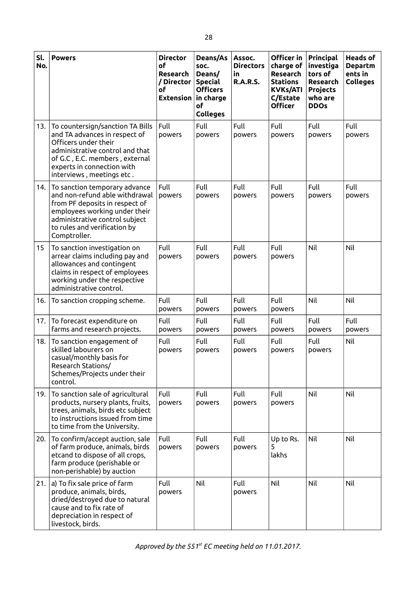| Sl.<br>No. | <b>Powers</b>                                                                                                                                                                                                             | <b>Director</b><br>of<br><b>Research</b><br>/ Director<br>οf<br><b>Extension</b> | Deans/As<br>soc.<br>Deans/<br><b>Special</b><br><b>Officers</b><br>in charge<br>of<br><b>Colleges</b> | Assoc.<br><b>Directors</b><br>in<br><b>R.A.R.S.</b> | Officer in<br>charge of<br>Research<br><b>Stations</b><br><b>KVKs/ATI</b><br>C/Estate<br><b>Officer</b> | Principal<br>investiga<br>tors of<br>Research<br>Projects<br>who are<br><b>DDOs</b> | <b>Heads of</b><br><b>Departm</b><br>ents in<br><b>Colleges</b> |
|------------|---------------------------------------------------------------------------------------------------------------------------------------------------------------------------------------------------------------------------|----------------------------------------------------------------------------------|-------------------------------------------------------------------------------------------------------|-----------------------------------------------------|---------------------------------------------------------------------------------------------------------|-------------------------------------------------------------------------------------|-----------------------------------------------------------------|
| 13.        | To countersign/sanction TA Bills<br>and TA advances in respect of<br>Officers under their<br>administrative control and that<br>of G.C, E.C. members, external<br>experts in connection with<br>interviews, meetings etc. | Full<br>powers                                                                   | Full<br>powers                                                                                        | Full<br>powers                                      | Full<br>powers                                                                                          | Full<br>powers                                                                      | Full<br>powers                                                  |
| 14.        | To sanction temporary advance<br>and non-refund able withdrawal<br>from PF deposits in respect of<br>employees working under their<br>administrative control subject<br>to rules and verification by<br>Comptroller.      | Full<br>powers                                                                   | Full<br>powers                                                                                        | Full<br>powers                                      | Full<br>powers                                                                                          | Full<br>powers                                                                      | Full<br>powers                                                  |
| 15         | To sanction investigation on<br>arrear claims including pay and<br>allowances and contingent<br>claims in respect of employees<br>working under the respective<br>administrative control.                                 | Full<br>powers                                                                   | Full<br>powers                                                                                        | Full<br>powers                                      | Full<br>powers                                                                                          | Nil                                                                                 | Nil                                                             |
| 16.        | To sanction cropping scheme.                                                                                                                                                                                              | Full<br>powers                                                                   | Full<br>powers                                                                                        | Full<br>powers                                      | Full<br>powers                                                                                          | Nil                                                                                 | Nil                                                             |
| 17.        | To forecast expenditure on<br>farms and research projects.                                                                                                                                                                | Full<br>powers                                                                   | Full<br>powers                                                                                        | Full<br>powers                                      | Full<br>powers                                                                                          | Full<br>powers                                                                      | Full<br>powers                                                  |
| 18.        | To sanction engagement of<br>skilled labourers on<br>casual/monthly basis for<br>Research Stations/<br>Schemes/Projects under their<br>control.                                                                           | Full<br>powers                                                                   | Full<br>powers                                                                                        | Full<br>powers                                      | Full<br>powers                                                                                          | Full<br>powers                                                                      | Nil                                                             |
| 19.        | To sanction sale of agricultural<br>products, nursery plants, fruits,<br>trees, animals, birds etc subject<br>to instructions issued from time<br>to time from the University.                                            | Full<br>powers                                                                   | Full<br>powers                                                                                        | Full<br>powers                                      | Full<br>powers                                                                                          | Nil                                                                                 | Nil                                                             |
| 20.        | To confirm/accept auction, sale<br>of farm produce, animals, birds<br>etcand to dispose of all crops,<br>farm produce (perishable or<br>non-perishable) by auction                                                        | Full<br>powers                                                                   | Full<br>powers                                                                                        | Full<br>powers                                      | Up to Rs.<br>5<br>lakhs                                                                                 | Nil                                                                                 | Nil                                                             |
| 21.        | a) To fix sale price of farm<br>produce, animals, birds,<br>dried/destroyed due to natural<br>cause and to fix rate of<br>depreciation in respect of<br>livestock, birds.                                                 | Full<br>powers                                                                   | Nil                                                                                                   | Full<br>powers                                      | Nil                                                                                                     | Nil                                                                                 | Nil                                                             |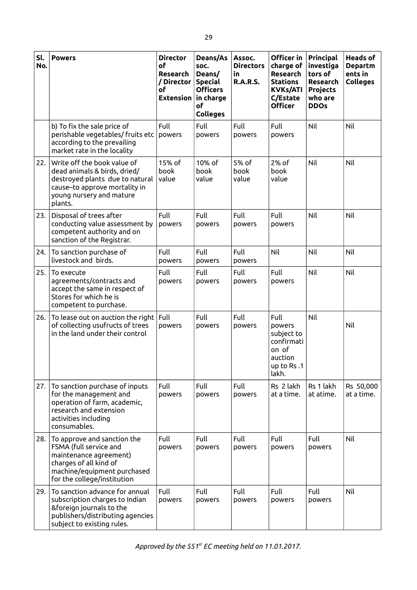| Sl.<br>No. | <b>Powers</b>                                                                                                                                                           | <b>Director</b><br>οf<br>Research<br>/ Director<br>οf<br><b>Extension</b> | Deans/As<br>soc.<br>Deans/<br><b>Special</b><br><b>Officers</b><br>in charge<br>of<br><b>Colleges</b> | Assoc.<br><b>Directors</b><br>in.<br><b>R.A.R.S.</b> | Officer in<br>charge of<br><b>Research</b><br><b>Stations</b><br><b>KVKs/ATI</b><br>C/Estate<br><b>Officer</b> | Principal<br>investiga<br>tors of<br>Research<br><b>Projects</b><br>who are<br><b>DDOs</b> | <b>Heads of</b><br><b>Departm</b><br>ents in<br><b>Colleges</b> |
|------------|-------------------------------------------------------------------------------------------------------------------------------------------------------------------------|---------------------------------------------------------------------------|-------------------------------------------------------------------------------------------------------|------------------------------------------------------|----------------------------------------------------------------------------------------------------------------|--------------------------------------------------------------------------------------------|-----------------------------------------------------------------|
|            | b) To fix the sale price of<br>perishable vegetables/ fruits etc<br>according to the prevailing<br>market rate in the locality                                          | Full<br>powers                                                            | Full<br>powers                                                                                        | Full<br>powers                                       | Full<br>powers                                                                                                 | Nil                                                                                        | Nil                                                             |
| 22.        | Write off the book value of<br>dead animals & birds, dried/<br>destroyed plants due to natural<br>cause-to approve mortality in<br>young nursery and mature<br>plants.  | 15% of<br>book<br>value                                                   | 10% of<br>book<br>value                                                                               | 5% of<br>book<br>value                               | 2% of<br>book<br>value                                                                                         | Nil                                                                                        | Nil                                                             |
| 23.        | Disposal of trees after<br>conducting value assessment by<br>competent authority and on<br>sanction of the Registrar.                                                   | Full<br>powers                                                            | <b>Full</b><br>powers                                                                                 | Full<br>powers                                       | Full<br>powers                                                                                                 | Nil                                                                                        | Nil                                                             |
| 24.        | To sanction purchase of<br>livestock and birds.                                                                                                                         | Full<br>powers                                                            | Full<br>powers                                                                                        | Full<br>powers                                       | Nil                                                                                                            | Nil                                                                                        | Nil                                                             |
| 25.        | To execute<br>agreements/contracts and<br>accept the same in respect of<br>Stores for which he is<br>competent to purchase.                                             | Full<br>powers                                                            | Full<br>powers                                                                                        | Full<br>powers                                       | Full<br>powers                                                                                                 | Nil                                                                                        | Nil                                                             |
| 26.        | To lease out on auction the right<br>of collecting usufructs of trees<br>in the land under their control                                                                | Full<br>powers                                                            | Full<br>powers                                                                                        | Full<br>powers                                       | Full<br>powers<br>subject to<br>confirmati<br>on of<br>auction<br>up to Rs.1<br>lakh.                          | Nil                                                                                        | Nil                                                             |
| 27.        | To sanction purchase of inputs<br>for the management and<br>operation of farm, academic,<br>research and extension<br>activities including<br>consumables.              | Full<br>powers                                                            | Full<br>powers                                                                                        | Full<br>powers                                       | Rs 2 lakh<br>at a time.                                                                                        | Rs 1 lakh<br>at atime.                                                                     | Rs 50,000<br>at a time.                                         |
| 28.        | To approve and sanction the<br>FSMA (full service and<br>maintenance agreement)<br>charges of all kind of<br>machine/equipment purchased<br>for the college/institution | Full<br>powers                                                            | <b>Full</b><br>powers                                                                                 | Full<br>powers                                       | Full<br>powers                                                                                                 | Full<br>powers                                                                             | Nil                                                             |
| 29.        | To sanction advance for annual<br>subscription charges to Indian<br>&foreign journals to the<br>publishers/distributing agencies<br>subject to existing rules.          | Full<br>powers                                                            | Full<br>powers                                                                                        | Full<br>powers                                       | Full<br>powers                                                                                                 | Full<br>powers                                                                             | Nil                                                             |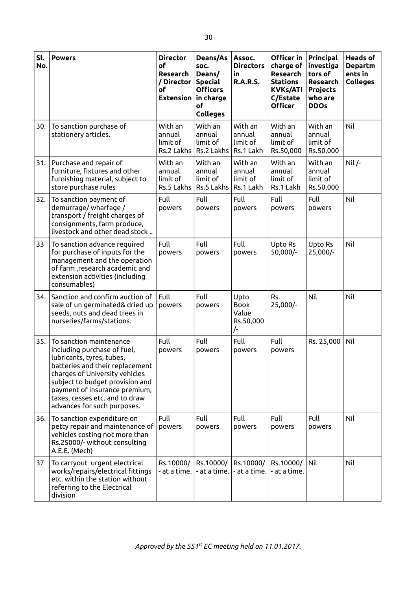| Sl.<br>No. | <b>Powers</b>                                                                                                                                                                                                                                                                                 | <b>Director</b><br>of<br>Research<br>/ Director<br>оf<br><b>Extension</b> | Deans/As<br>SOC.<br>Deans/<br><b>Special</b><br><b>Officers</b><br>in charge<br>of<br><b>Colleges</b> | Assoc.<br><b>Directors</b><br>in<br><b>R.A.R.S.</b> | Officer in<br>charge of<br><b>Research</b><br><b>Stations</b><br><b>KVKs/ATI</b><br>C/Estate<br><b>Officer</b> | Principal<br>investiga<br>tors of<br>Research<br><b>Projects</b><br>who are<br><b>DDOs</b> | <b>Heads of</b><br><b>Departm</b><br>ents in<br><b>Colleges</b> |
|------------|-----------------------------------------------------------------------------------------------------------------------------------------------------------------------------------------------------------------------------------------------------------------------------------------------|---------------------------------------------------------------------------|-------------------------------------------------------------------------------------------------------|-----------------------------------------------------|----------------------------------------------------------------------------------------------------------------|--------------------------------------------------------------------------------------------|-----------------------------------------------------------------|
| 30.        | To sanction purchase of<br>stationery articles.                                                                                                                                                                                                                                               | With an<br>annual<br>limit of<br>Rs.2 Lakhs                               | With an<br>annual<br>limit of<br>Rs.2 Lakhs                                                           | With an<br>annual<br>limit of<br>Rs.1 Lakh          | With an<br>annual<br>limit of<br>Rs.50,000                                                                     | With an<br>annual<br>limit of<br>Rs.50,000                                                 | Nil                                                             |
| 31.        | Purchase and repair of<br>furniture, fixtures and other<br>furnishing material, subject to<br>store purchase rules                                                                                                                                                                            | With an<br>annual<br>limit of<br>Rs.5 Lakhs                               | With an<br>annual<br>limit of<br>Rs.5 Lakhs                                                           | With an<br>annual<br>limit of<br>Rs.1 Lakh          | With an<br>annual<br>limit of<br>Rs.1 Lakh                                                                     | With an<br>annual<br>limit of<br>Rs.50,000                                                 | $Nil /-$                                                        |
| 32.        | To sanction payment of<br>demurrage/wharfage/<br>transport / freight charges of<br>consignments, farm produce,<br>livestock and other dead stock                                                                                                                                              | Full<br>powers                                                            | Full<br>powers                                                                                        | Full<br>powers                                      | Full<br>powers                                                                                                 | Full<br>powers                                                                             | Nil                                                             |
| 33         | To sanction advance required<br>for purchase of inputs for the<br>management and the operation<br>of farm, research academic and<br>extension activities (including<br>consumables)                                                                                                           | Full<br>powers                                                            | Full<br>powers                                                                                        | Full<br>powers                                      | Upto Rs<br>50,000/-                                                                                            | Upto Rs<br>25,000/-                                                                        | Nil                                                             |
| 34.        | Sanction and confirm auction of<br>sale of un germinated& dried up<br>seeds, nuts and dead trees in<br>nurseries/farms/stations.                                                                                                                                                              | Full<br>powers                                                            | Full<br>powers                                                                                        | Upto<br><b>Book</b><br>Value<br>Rs.50,000<br>/-     | Rs.<br>25,000/-                                                                                                | Nil                                                                                        | Nil                                                             |
| 35.        | To sanction maintenance<br>including purchase of fuel,<br>lubricants, tyres, tubes,<br>batteries and their replacement<br>charges of University vehicles<br>subject to budget provision and<br>payment of insurance premium,<br>taxes, cesses etc. and to draw<br>advances for such purposes. | Full<br>powers                                                            | Full<br>powers                                                                                        | Full<br>powers                                      | Full<br>powers                                                                                                 | Rs. 25,000                                                                                 | Nil                                                             |
| 36.        | To sanction expenditure on<br>petty repair and maintenance of<br>vehicles costing not more than<br>Rs.25000/- without consulting<br>A.E.E. (Mech)                                                                                                                                             | Full<br>powers                                                            | Full<br>powers                                                                                        | Full<br>powers                                      | Full<br>powers                                                                                                 | Full<br>powers                                                                             | Nil                                                             |
| 37         | To carryout urgent electrical<br>works/repairs/electrical fittings<br>etc. within the station without<br>referring to the Electrical<br>division                                                                                                                                              | Rs.10000/<br>- at a time.                                                 | Rs.10000/<br>- at a time.                                                                             | Rs.10000/<br>- at a time.                           | Rs.10000/<br>- at a time.                                                                                      | Nil                                                                                        | Nil                                                             |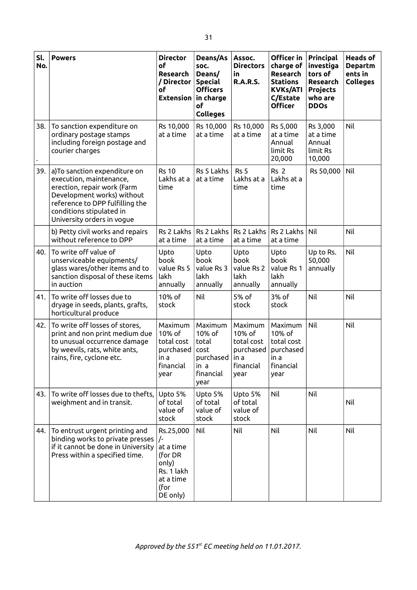| Sl.<br>No. | <b>Powers</b>                                                                                                                                                                                                      | <b>Director</b><br>of<br>Research<br>/ Director<br>οf<br><b>Extension</b>                               | Deans/As<br>soc.<br>Deans/<br><b>Special</b><br><b>Officers</b><br>in charge<br>οf<br><b>Colleges</b> | Assoc.<br><b>Directors</b><br>in<br><b>R.A.R.S.</b>                       | Officer in<br>charge of<br>Research<br><b>Stations</b><br><b>KVKs/ATI</b><br>C/Estate<br><b>Officer</b> | Principal<br>investiga<br>tors of<br>Research<br><b>Projects</b><br>who are<br><b>DDOs</b> | <b>Heads of</b><br><b>Departm</b><br>ents in<br><b>Colleges</b> |
|------------|--------------------------------------------------------------------------------------------------------------------------------------------------------------------------------------------------------------------|---------------------------------------------------------------------------------------------------------|-------------------------------------------------------------------------------------------------------|---------------------------------------------------------------------------|---------------------------------------------------------------------------------------------------------|--------------------------------------------------------------------------------------------|-----------------------------------------------------------------|
| 38.        | To sanction expenditure on<br>ordinary postage stamps<br>including foreign postage and<br>courier charges                                                                                                          | Rs 10,000<br>at a time                                                                                  | Rs 10,000<br>at a time                                                                                | Rs 10,000<br>at a time                                                    | Rs 5,000<br>at a time<br>Annual<br>limit Rs<br>20,000                                                   | Rs 3,000<br>at a time<br>Annual<br>limit Rs<br>10,000                                      | Nil                                                             |
| 39.        | a) To sanction expenditure on<br>execution, maintenance,<br>erection, repair work (Farm<br>Development works) without<br>reference to DPP fulfilling the<br>conditions stipulated in<br>University orders in vogue | <b>Rs 10</b><br>Lakhs at a<br>time                                                                      | Rs 5 Lakhs<br>at a time                                                                               | Rs <sub>5</sub><br>Lakhs at a<br>time                                     | Rs <sub>2</sub><br>Lakhs at a<br>time                                                                   | Rs 50,000                                                                                  | Nil                                                             |
|            | b) Petty civil works and repairs<br>without reference to DPP                                                                                                                                                       | Rs 2 Lakhs<br>at a time                                                                                 | Rs 2 Lakhs<br>at a time                                                                               | Rs 2 Lakhs<br>at a time                                                   | Rs 2 Lakhs<br>at a time                                                                                 | Nil                                                                                        | Nil                                                             |
| 40.        | To write off value of<br>unserviceable equipments/<br>glass wares/other items and to<br>sanction disposal of these items<br>in auction                                                                             | Upto<br>book<br>value Rs 5<br>lakh<br>annually                                                          | Upto<br>book<br>value Rs 3<br>lakh<br>annually                                                        | Upto<br>book<br>value Rs 2<br>lakh<br>annually                            | Upto<br>book<br>value Rs 1<br>lakh<br>annually                                                          | Up to Rs.<br>50,000<br>annually                                                            | Nil                                                             |
| 41.        | To write off losses due to<br>dryage in seeds, plants, grafts,<br>horticultural produce                                                                                                                            | 10% of<br>stock                                                                                         | Nil                                                                                                   | 5% of<br>stock                                                            | 3% of<br>stock                                                                                          | Nil                                                                                        | Nil                                                             |
| 42.        | To write off losses of stores,<br>print and non print medium due<br>to unusual occurrence damage<br>by weevils, rats, white ants,<br>rains, fire, cyclone etc.                                                     | Maximum<br>10% of<br>total cost<br>purchased<br>in a<br>financial<br>year                               | Maximum<br>10% of<br>total<br>cost<br>purchased<br>ın a<br>financial<br>year                          | Maximum<br>10% of<br>total cost<br>purchased<br>in a<br>financial<br>year | Maximum<br>10% of<br>total cost<br>purchased<br>in a<br>financial<br>year                               | Nil                                                                                        | Nil                                                             |
| 43.        | To write off losses due to thefts,<br>weighment and in transit.                                                                                                                                                    | Upto 5%<br>of total<br>value of<br>stock                                                                | Upto 5%<br>of total<br>value of<br>stock                                                              | Upto 5%<br>of total<br>value of<br>stock                                  | Nil                                                                                                     | Nil                                                                                        | Nil                                                             |
| 44.        | To entrust urgent printing and<br>binding works to private presses<br>if it cannot be done in University<br>Press within a specified time.                                                                         | Rs.25,000<br>$\sqrt{-}$<br>at a time<br>(for DR<br>only)<br>Rs. 1 lakh<br>at a time<br>(for<br>DE only) | Nil                                                                                                   | Nil                                                                       | Nil                                                                                                     | Nil                                                                                        | Nil                                                             |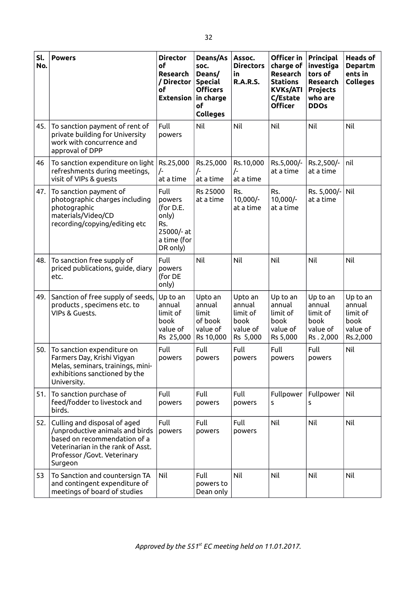| Sl.<br>No. | <b>Powers</b>                                                                                                                                                                  | <b>Director</b><br>of<br>Research<br>/ Director<br>оf<br><b>Extension</b>            | Deans/As<br>SOC.<br>Deans/<br><b>Special</b><br><b>Officers</b><br>in charge<br>of<br><b>Colleges</b> | Assoc.<br><b>Directors</b><br>in<br><b>R.A.R.S.</b>           | Officer in<br>charge of<br>Research<br><b>Stations</b><br><b>KVKs/ATI</b><br>C/Estate<br><b>Officer</b> | Principal<br>investiga<br>tors of<br>Research<br><b>Projects</b><br>who are<br><b>DDOs</b> | <b>Heads of</b><br><b>Departm</b><br>ents in<br><b>Colleges</b> |
|------------|--------------------------------------------------------------------------------------------------------------------------------------------------------------------------------|--------------------------------------------------------------------------------------|-------------------------------------------------------------------------------------------------------|---------------------------------------------------------------|---------------------------------------------------------------------------------------------------------|--------------------------------------------------------------------------------------------|-----------------------------------------------------------------|
| 45.        | To sanction payment of rent of<br>private building for University<br>work with concurrence and<br>approval of DPP                                                              | Full<br>powers                                                                       | Nil                                                                                                   | Nil                                                           | Nil                                                                                                     | Nil                                                                                        | Nil                                                             |
| 46         | To sanction expenditure on light<br>refreshments during meetings,<br>visit of VIPs & guests                                                                                    | Rs.25,000<br>$\sqrt{2}$<br>at a time                                                 | Rs.25,000<br>$\frac{1}{2}$<br>at a time                                                               | Rs.10,000<br>$\frac{1}{2}$<br>at a time                       | Rs.5,000/-<br>at a time                                                                                 | Rs.2,500/-<br>at a time                                                                    | nil                                                             |
| 47.        | To sanction payment of<br>photographic charges including<br>photographic<br>materials/Video/CD<br>recording/copying/editing etc                                                | Full<br>powers<br>(for D.E.<br>only)<br>Rs.<br>25000/- at<br>a time (for<br>DR only) | Rs 25000<br>at a time                                                                                 | Rs.<br>$10,000/-$<br>at a time                                | Rs.<br>$10,000/-$<br>at a time                                                                          | Rs. 5,000/-<br>at a time                                                                   | Nil                                                             |
| 48.        | To sanction free supply of<br>priced publications, guide, diary<br>etc.                                                                                                        | Full<br>powers<br>(for DE<br>only)                                                   | Nil                                                                                                   | Nil                                                           | Nil                                                                                                     | Nil                                                                                        | Nil                                                             |
| 49.        | Sanction of free supply of seeds,<br>products, specimens etc. to<br>VIPs & Guests.                                                                                             | Up to an<br>annual<br>limit of<br>book<br>value of<br>Rs 25,000                      | Upto an<br>annual<br>limit<br>of book<br>value of<br>Rs 10,000                                        | Upto an<br>annual<br>limit of<br>book<br>value of<br>Rs 5,000 | Up to an<br>annual<br>limit of<br>book<br>value of<br>Rs 5,000                                          | Up to an<br>annual<br>limit of<br>book<br>value of<br>Rs. 2,000                            | Up to an<br>annual<br>limit of<br>book<br>value of<br>Rs.2,000  |
| 50.        | To sanction expenditure on<br>Farmers Day, Krishi Vigyan<br>Melas, seminars, trainings, mini-<br>exhibitions sanctioned by the<br>University.                                  | Full<br>powers                                                                       | Full<br>powers                                                                                        | Full<br>powers                                                | Full<br>powers                                                                                          | Full<br>powers                                                                             | Nil                                                             |
| 51.        | To sanction purchase of<br>feed/fodder to livestock and<br>birds.                                                                                                              | Full<br>powers                                                                       | Full<br>powers                                                                                        | Full<br>powers                                                | Fullpower<br>S                                                                                          | Fullpower<br>s                                                                             | Nil                                                             |
| 52.        | Culling and disposal of aged<br>/unproductive animals and birds<br>based on recommendation of a<br>Veterinarian in the rank of Asst.<br>Professor /Govt. Veterinary<br>Surgeon | Full<br>powers                                                                       | Full<br>powers                                                                                        | Full<br>powers                                                | Nil                                                                                                     | Nil                                                                                        | Nil                                                             |
| 53         | To Sanction and countersign TA<br>and contingent expenditure of<br>meetings of board of studies                                                                                | Nil                                                                                  | Full<br>powers to<br>Dean only                                                                        | Nil                                                           | Nil                                                                                                     | Nil                                                                                        | Nil                                                             |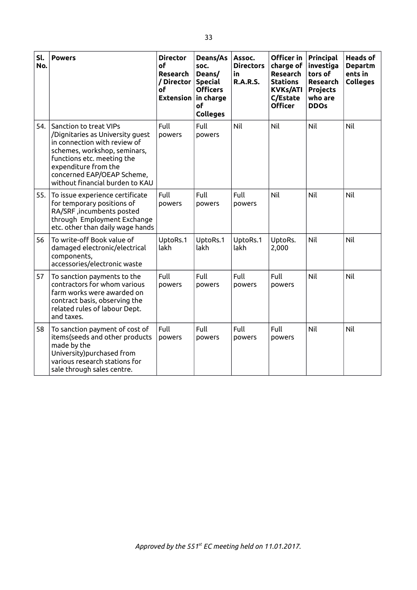| Sl.<br>No. | <b>Powers</b>                                                                                                                                                                                                                                     | <b>Director</b><br>οf<br>Research<br>/ Director<br>of<br><b>Extension</b> | Deans/As<br>SOC.<br>Deans/<br><b>Special</b><br><b>Officers</b><br>in charge<br>of<br><b>Colleges</b> | Assoc.<br><b>Directors</b><br>in.<br><b>R.A.R.S.</b> | Officer in<br>charge of<br>Research<br><b>Stations</b><br><b>KVKs/ATI</b><br>C/Estate<br><b>Officer</b> | Principal<br>investiga<br>tors of<br>Research<br><b>Projects</b><br>who are<br><b>DDOs</b> | <b>Heads of</b><br><b>Departm</b><br>ents in<br><b>Colleges</b> |
|------------|---------------------------------------------------------------------------------------------------------------------------------------------------------------------------------------------------------------------------------------------------|---------------------------------------------------------------------------|-------------------------------------------------------------------------------------------------------|------------------------------------------------------|---------------------------------------------------------------------------------------------------------|--------------------------------------------------------------------------------------------|-----------------------------------------------------------------|
| 54.        | Sanction to treat VIPs<br>/Dignitaries as University guest<br>in connection with review of<br>schemes, workshop, seminars,<br>functions etc. meeting the<br>expenditure from the<br>concerned EAP/OEAP Scheme,<br>without financial burden to KAU | Full<br>powers                                                            | Full<br>powers                                                                                        | Nil                                                  | Nil                                                                                                     | Nil                                                                                        | Nil                                                             |
| 55.        | To issue experience certificate<br>for temporary positions of<br>RA/SRF, incumbents posted<br>through Employment Exchange<br>etc. other than daily wage hands                                                                                     | Full<br>powers                                                            | Full<br>powers                                                                                        | Full<br>powers                                       | Nil                                                                                                     | Nil                                                                                        | Nil                                                             |
| 56         | To write-off Book value of<br>damaged electronic/electrical<br>components,<br>accessories/electronic waste                                                                                                                                        | UptoRs.1<br>lakh                                                          | UptoRs.1<br>lakh                                                                                      | UptoRs.1<br>lakh                                     | UptoRs.<br>2,000                                                                                        | Nil                                                                                        | Nil                                                             |
| 57         | To sanction payments to the<br>contractors for whom various<br>farm works were awarded on<br>contract basis, observing the<br>related rules of labour Dept.<br>and taxes.                                                                         | Full<br>powers                                                            | Full<br>powers                                                                                        | Full<br>powers                                       | Full<br>powers                                                                                          | Nil                                                                                        | Nil                                                             |
| 58         | To sanction payment of cost of<br>items(seeds and other products<br>made by the<br>University) purchased from<br>various research stations for<br>sale through sales centre.                                                                      | Full<br>powers                                                            | Full<br>powers                                                                                        | Full<br>powers                                       | Full<br>powers                                                                                          | Nil                                                                                        | Nil                                                             |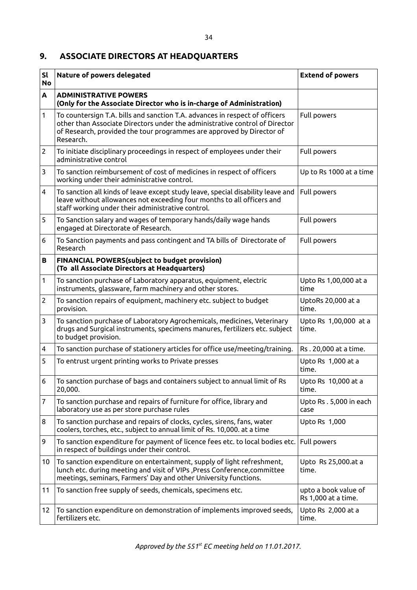## **9. ASSOCIATE DIRECTORS AT HEADQUARTERS**

| <b>Sl</b><br><b>No</b> | Nature of powers delegated                                                                                                                                                                                                                       | <b>Extend of powers</b>                     |
|------------------------|--------------------------------------------------------------------------------------------------------------------------------------------------------------------------------------------------------------------------------------------------|---------------------------------------------|
| A                      | <b>ADMINISTRATIVE POWERS</b><br>(Only for the Associate Director who is in-charge of Administration)                                                                                                                                             |                                             |
| 1                      | To countersign T.A. bills and sanction T.A. advances in respect of officers<br>other than Associate Directors under the administrative control of Director<br>of Research, provided the tour programmes are approved by Director of<br>Research. | Full powers                                 |
| 2                      | To initiate disciplinary proceedings in respect of employees under their<br>administrative control                                                                                                                                               | Full powers                                 |
| 3                      | To sanction reimbursement of cost of medicines in respect of officers<br>working under their administrative control.                                                                                                                             | Up to Rs 1000 at a time                     |
| 4                      | To sanction all kinds of leave except study leave, special disability leave and<br>leave without allowances not exceeding four months to all officers and<br>staff working under their administrative control.                                   | Full powers                                 |
| 5                      | To Sanction salary and wages of temporary hands/daily wage hands<br>engaged at Directorate of Research.                                                                                                                                          | Full powers                                 |
| 6                      | To Sanction payments and pass contingent and TA bills of Directorate of<br>Research                                                                                                                                                              | Full powers                                 |
| в                      | <b>FINANCIAL POWERS(subject to budget provision)</b><br>(To all Associate Directors at Headquarters)                                                                                                                                             |                                             |
| 1                      | To sanction purchase of Laboratory apparatus, equipment, electric<br>instruments, glassware, farm machinery and other stores.                                                                                                                    | Upto Rs 1,00,000 at a<br>time               |
| $\overline{2}$         | To sanction repairs of equipment, machinery etc. subject to budget<br>provision.                                                                                                                                                                 | UptoRs 20,000 at a<br>time.                 |
| 3                      | To sanction purchase of Laboratory Agrochemicals, medicines, Veterinary<br>drugs and Surgical instruments, specimens manures, fertilizers etc. subject<br>to budget provision.                                                                   | Upto Rs 1,00,000 at a<br>time.              |
| 4                      | To sanction purchase of stationery articles for office use/meeting/training.                                                                                                                                                                     | Rs. 20,000 at a time.                       |
| 5                      | To entrust urgent printing works to Private presses                                                                                                                                                                                              | Upto Rs 1,000 at a<br>time.                 |
| 6                      | To sanction purchase of bags and containers subject to annual limit of Rs<br>20,000.                                                                                                                                                             | Upto Rs 10,000 at a<br>time.                |
| 7                      | To sanction purchase and repairs of furniture for office, library and<br>laboratory use as per store purchase rules                                                                                                                              | Upto Rs. 5,000 in each<br>case              |
| 8                      | To sanction purchase and repairs of clocks, cycles, sirens, fans, water<br>coolers, torches, etc., subject to annual limit of Rs. 10,000. at a time                                                                                              | Upto Rs 1,000                               |
| 9                      | To sanction expenditure for payment of licence fees etc. to local bodies etc.<br>in respect of buildings under their control.                                                                                                                    | Full powers                                 |
| 10                     | To sanction expenditure on entertainment, supply of light refreshment,<br>lunch etc. during meeting and visit of VIPs , Press Conference, committee<br>meetings, seminars, Farmers' Day and other University functions.                          | Upto Rs 25,000.at a<br>time.                |
| 11                     | To sanction free supply of seeds, chemicals, specimens etc.                                                                                                                                                                                      | upto a book value of<br>Rs 1,000 at a time. |
| 12                     | To sanction expenditure on demonstration of implements improved seeds,<br>fertilizers etc.                                                                                                                                                       | Upto Rs 2,000 at a<br>time.                 |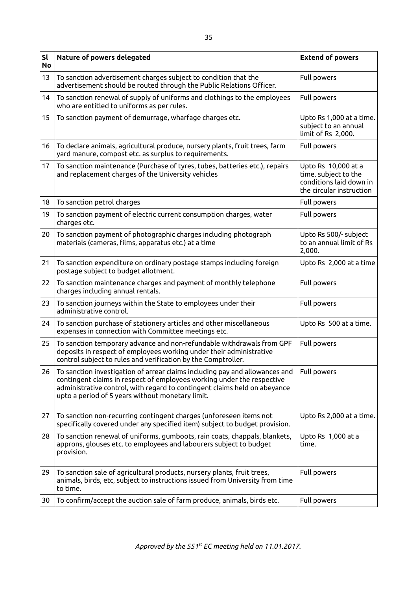| sl<br><b>No</b> | Nature of powers delegated                                                                                                                                                                                                                                                             | <b>Extend of powers</b>                                                                            |
|-----------------|----------------------------------------------------------------------------------------------------------------------------------------------------------------------------------------------------------------------------------------------------------------------------------------|----------------------------------------------------------------------------------------------------|
| 13              | To sanction advertisement charges subject to condition that the<br>advertisement should be routed through the Public Relations Officer.                                                                                                                                                | Full powers                                                                                        |
| 14              | To sanction renewal of supply of uniforms and clothings to the employees<br>who are entitled to uniforms as per rules.                                                                                                                                                                 | Full powers                                                                                        |
| 15              | To sanction payment of demurrage, wharfage charges etc.                                                                                                                                                                                                                                | Upto Rs 1,000 at a time.<br>subject to an annual<br>limit of Rs 2,000.                             |
| 16              | To declare animals, agricultural produce, nursery plants, fruit trees, farm<br>yard manure, compost etc. as surplus to requirements.                                                                                                                                                   | Full powers                                                                                        |
| 17              | To sanction maintenance (Purchase of tyres, tubes, batteries etc.), repairs<br>and replacement charges of the University vehicles                                                                                                                                                      | Upto Rs 10,000 at a<br>time. subject to the<br>conditions laid down in<br>the circular instruction |
| 18              | To sanction petrol charges                                                                                                                                                                                                                                                             | Full powers                                                                                        |
| 19              | To sanction payment of electric current consumption charges, water<br>charges etc.                                                                                                                                                                                                     | Full powers                                                                                        |
| 20              | To sanction payment of photographic charges including photograph<br>materials (cameras, films, apparatus etc.) at a time                                                                                                                                                               | Upto Rs 500/- subject<br>to an annual limit of Rs<br>2,000.                                        |
| 21              | To sanction expenditure on ordinary postage stamps including foreign<br>postage subject to budget allotment.                                                                                                                                                                           | Upto Rs 2,000 at a time                                                                            |
| 22              | To sanction maintenance charges and payment of monthly telephone<br>charges including annual rentals.                                                                                                                                                                                  | Full powers                                                                                        |
| 23              | To sanction journeys within the State to employees under their<br>administrative control.                                                                                                                                                                                              | Full powers                                                                                        |
| 24              | To sanction purchase of stationery articles and other miscellaneous<br>expenses in connection with Committee meetings etc.                                                                                                                                                             | Upto Rs 500 at a time.                                                                             |
| 25              | To sanction temporary advance and non-refundable withdrawals from GPF<br>deposits in respect of employees working under their administrative<br>control subject to rules and verification by the Comptroller.                                                                          | Full powers                                                                                        |
| 26              | To sanction investigation of arrear claims including pay and allowances and<br>contingent claims in respect of employees working under the respective<br>administrative control, with regard to contingent claims held on abeyance<br>upto a period of 5 years without monetary limit. | Full powers                                                                                        |
| 27              | To sanction non-recurring contingent charges (unforeseen items not<br>specifically covered under any specified item) subject to budget provision.                                                                                                                                      | Upto Rs 2,000 at a time.                                                                           |
| 28              | To sanction renewal of uniforms, gumboots, rain coats, chappals, blankets,<br>approns, glouses etc. to employees and labourers subject to budget<br>provision.                                                                                                                         | Upto Rs 1,000 at a<br>time.                                                                        |
| 29              | To sanction sale of agricultural products, nursery plants, fruit trees,<br>animals, birds, etc, subject to instructions issued from University from time<br>to time.                                                                                                                   | Full powers                                                                                        |
| 30              | To confirm/accept the auction sale of farm produce, animals, birds etc.                                                                                                                                                                                                                | Full powers                                                                                        |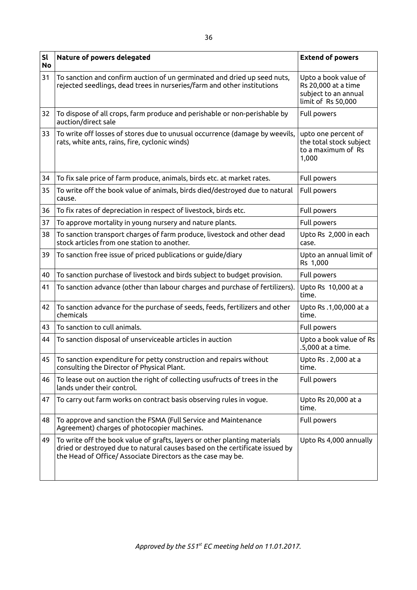| <b>Sl</b><br><b>No</b> | Nature of powers delegated                                                                                                                                                                                              | <b>Extend of powers</b>                                                                   |
|------------------------|-------------------------------------------------------------------------------------------------------------------------------------------------------------------------------------------------------------------------|-------------------------------------------------------------------------------------------|
| 31                     | To sanction and confirm auction of un germinated and dried up seed nuts,<br>rejected seedlings, dead trees in nurseries/farm and other institutions                                                                     | Upto a book value of<br>Rs 20,000 at a time<br>subject to an annual<br>limit of Rs 50,000 |
| 32                     | To dispose of all crops, farm produce and perishable or non-perishable by<br>auction/direct sale                                                                                                                        | Full powers                                                                               |
| 33                     | To write off losses of stores due to unusual occurrence (damage by weevils,<br>rats, white ants, rains, fire, cyclonic winds)                                                                                           | upto one percent of<br>the total stock subject<br>to a maximum of Rs<br>1,000             |
| 34                     | To fix sale price of farm produce, animals, birds etc. at market rates.                                                                                                                                                 | Full powers                                                                               |
| 35                     | To write off the book value of animals, birds died/destroyed due to natural<br>cause.                                                                                                                                   | Full powers                                                                               |
| 36                     | To fix rates of depreciation in respect of livestock, birds etc.                                                                                                                                                        | Full powers                                                                               |
| 37                     | To approve mortality in young nursery and nature plants.                                                                                                                                                                | Full powers                                                                               |
| 38                     | To sanction transport charges of farm produce, livestock and other dead<br>stock articles from one station to another.                                                                                                  | Upto Rs 2,000 in each<br>case.                                                            |
| 39                     | To sanction free issue of priced publications or guide/diary                                                                                                                                                            | Upto an annual limit of<br>Rs 1,000                                                       |
| 40                     | To sanction purchase of livestock and birds subject to budget provision.                                                                                                                                                | Full powers                                                                               |
| 41                     | To sanction advance (other than labour charges and purchase of fertilizers).                                                                                                                                            | Upto Rs 10,000 at a<br>time.                                                              |
| 42                     | To sanction advance for the purchase of seeds, feeds, fertilizers and other<br>chemicals                                                                                                                                | Upto Rs .1,00,000 at a<br>time.                                                           |
| 43                     | To sanction to cull animals.                                                                                                                                                                                            | Full powers                                                                               |
| 44                     | To sanction disposal of unserviceable articles in auction                                                                                                                                                               | Upto a book value of Rs<br>.5,000 at a time.                                              |
| 45                     | To sanction expenditure for petty construction and repairs without<br>consulting the Director of Physical Plant.                                                                                                        | Upto Rs. 2,000 at a<br>time.                                                              |
| 46                     | To lease out on auction the right of collecting usufructs of trees in the<br>lands under their control.                                                                                                                 | Full powers                                                                               |
| 47                     | To carry out farm works on contract basis observing rules in vogue.                                                                                                                                                     | Upto Rs 20,000 at a<br>time.                                                              |
| 48                     | To approve and sanction the FSMA (Full Service and Maintenance<br>Agreement) charges of photocopier machines.                                                                                                           | Full powers                                                                               |
| 49                     | To write off the book value of grafts, layers or other planting materials<br>dried or destroyed due to natural causes based on the certificate issued by<br>the Head of Office/ Associate Directors as the case may be. | Upto Rs 4,000 annually                                                                    |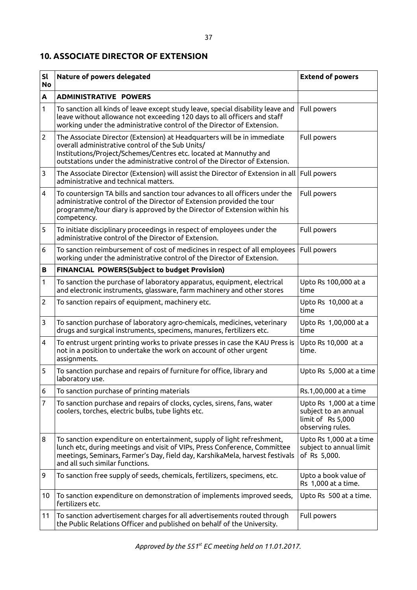### **10. ASSOCIATE DIRECTOR OF EXTENSION**

| <b>Sl</b><br><b>No</b> | Nature of powers delegated                                                                                                                                                                                                                                                     | <b>Extend of powers</b>                                                                  |
|------------------------|--------------------------------------------------------------------------------------------------------------------------------------------------------------------------------------------------------------------------------------------------------------------------------|------------------------------------------------------------------------------------------|
| $\mathbf{A}$           | <b>ADMINISTRATIVE POWERS</b>                                                                                                                                                                                                                                                   |                                                                                          |
| 1                      | To sanction all kinds of leave except study leave, special disability leave and<br>leave without allowance not exceeding 120 days to all officers and staff<br>working under the administrative control of the Director of Extension.                                          | Full powers                                                                              |
| $\overline{2}$         | The Associate Director (Extension) at Headquarters will be in immediate<br>overall administrative control of the Sub Units/<br>Institutions/Project/Schemes/Centres etc. located at Mannuthy and<br>outstations under the administrative control of the Director of Extension. | Full powers                                                                              |
| 3                      | The Associate Director (Extension) will assist the Director of Extension in all Full powers<br>administrative and technical matters.                                                                                                                                           |                                                                                          |
| $\overline{4}$         | To countersign TA bills and sanction tour advances to all officers under the<br>administrative control of the Director of Extension provided the tour<br>programme/tour diary is approved by the Director of Extension within his<br>competency.                               | Full powers                                                                              |
| 5                      | To initiate disciplinary proceedings in respect of employees under the<br>administrative control of the Director of Extension.                                                                                                                                                 | Full powers                                                                              |
| 6                      | To sanction reimbursement of cost of medicines in respect of all employees<br>working under the administrative control of the Director of Extension.                                                                                                                           | Full powers                                                                              |
| В                      | FINANCIAL POWERS(Subject to budget Provision)                                                                                                                                                                                                                                  |                                                                                          |
| 1                      | To sanction the purchase of laboratory apparatus, equipment, electrical<br>and electronic instruments, glassware, farm machinery and other stores                                                                                                                              | Upto Rs 100,000 at a<br>time                                                             |
| $\overline{2}$         | To sanction repairs of equipment, machinery etc.                                                                                                                                                                                                                               | Upto Rs 10,000 at a<br>time                                                              |
| 3                      | To sanction purchase of laboratory agro-chemicals, medicines, veterinary<br>drugs and surgical instruments, specimens, manures, fertilizers etc.                                                                                                                               | Upto Rs 1,00,000 at a<br>time                                                            |
| 4                      | To entrust urgent printing works to private presses in case the KAU Press is<br>not in a position to undertake the work on account of other urgent<br>assignments.                                                                                                             | Upto Rs 10,000 at a<br>time.                                                             |
| 5                      | To sanction purchase and repairs of furniture for office, library and<br>laboratory use.                                                                                                                                                                                       | Upto Rs 5,000 at a time                                                                  |
| 6                      | To sanction purchase of printing materials                                                                                                                                                                                                                                     | Rs.1,00,000 at a time                                                                    |
| 7                      | To sanction purchase and repairs of clocks, cycles, sirens, fans, water<br>coolers, torches, electric bulbs, tube lights etc.                                                                                                                                                  | Upto Rs 1,000 at a time<br>subject to an annual<br>limit of Rs 5,000<br>observing rules. |
| 8                      | To sanction expenditure on entertainment, supply of light refreshment,<br>lunch etc, during meetings and visit of VIPs, Press Conference, Committee<br>meetings, Seminars, Farmer's Day, field day, KarshikaMela, harvest festivals<br>and all such similar functions.         | Upto Rs 1,000 at a time<br>subject to annual limit<br>of Rs 5,000.                       |
| 9                      | To sanction free supply of seeds, chemicals, fertilizers, specimens, etc.                                                                                                                                                                                                      | Upto a book value of<br>Rs 1,000 at a time.                                              |
| 10                     | To sanction expenditure on demonstration of implements improved seeds,<br>fertilizers etc.                                                                                                                                                                                     | Upto Rs 500 at a time.                                                                   |
| 11                     | To sanction advertisement charges for all advertisements routed through<br>the Public Relations Officer and published on behalf of the University.                                                                                                                             | Full powers                                                                              |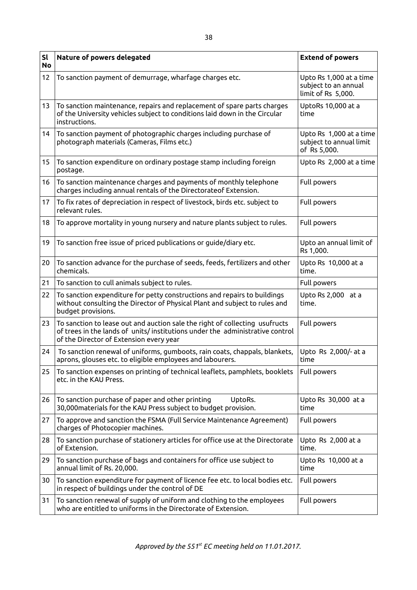| sl<br><b>No</b> | Nature of powers delegated                                                                                                                                                                             | <b>Extend of powers</b>                                               |
|-----------------|--------------------------------------------------------------------------------------------------------------------------------------------------------------------------------------------------------|-----------------------------------------------------------------------|
| 12              | To sanction payment of demurrage, wharfage charges etc.                                                                                                                                                | Upto Rs 1,000 at a time<br>subject to an annual<br>limit of Rs 5,000. |
| 13              | To sanction maintenance, repairs and replacement of spare parts charges<br>of the University vehicles subject to conditions laid down in the Circular<br>instructions.                                 | UptoRs 10,000 at a<br>time                                            |
| 14              | To sanction payment of photographic charges including purchase of<br>photograph materials (Cameras, Films etc.)                                                                                        | Upto Rs 1,000 at a time<br>subject to annual limit<br>of Rs 5,000.    |
| 15              | To sanction expenditure on ordinary postage stamp including foreign<br>postage.                                                                                                                        | Upto Rs 2,000 at a time                                               |
| 16              | To sanction maintenance charges and payments of monthly telephone<br>charges including annual rentals of the Directorateof Extension.                                                                  | Full powers                                                           |
| 17              | To fix rates of depreciation in respect of livestock, birds etc. subject to<br>relevant rules.                                                                                                         | Full powers                                                           |
| 18              | To approve mortality in young nursery and nature plants subject to rules.                                                                                                                              | Full powers                                                           |
| 19              | To sanction free issue of priced publications or guide/diary etc.                                                                                                                                      | Upto an annual limit of<br>Rs 1,000.                                  |
| 20              | To sanction advance for the purchase of seeds, feeds, fertilizers and other<br>chemicals.                                                                                                              | Upto Rs 10,000 at a<br>time.                                          |
| 21              | To sanction to cull animals subject to rules.                                                                                                                                                          | Full powers                                                           |
| 22              | To sanction expenditure for petty constructions and repairs to buildings<br>without consulting the Director of Physical Plant and subject to rules and<br>budget provisions.                           | Upto Rs 2,000 at a<br>time.                                           |
| 23              | To sanction to lease out and auction sale the right of collecting usufructs<br>of trees in the lands of units/institutions under the administrative control<br>of the Director of Extension every year | Full powers                                                           |
| 24              | To sanction renewal of uniforms, gumboots, rain coats, chappals, blankets,<br>aprons, glouses etc. to eligible employees and labourers.                                                                | Upto Rs 2,000/- at a<br>time                                          |
| 25              | To sanction expenses on printing of technical leaflets, pamphlets, booklets<br>etc. in the KAU Press.                                                                                                  | Full powers                                                           |
| 26              | To sanction purchase of paper and other printing<br>UptoRs.<br>30,000 materials for the KAU Press subject to budget provision.                                                                         | Upto Rs 30,000 at a<br>time                                           |
| 27              | To approve and sanction the FSMA (Full Service Maintenance Agreement)<br>charges of Photocopier machines.                                                                                              | Full powers                                                           |
| 28              | To sanction purchase of stationery articles for office use at the Directorate<br>of Extension.                                                                                                         | Upto Rs 2,000 at a<br>time.                                           |
| 29              | To sanction purchase of bags and containers for office use subject to<br>annual limit of Rs. 20,000.                                                                                                   | Upto Rs 10,000 at a<br>time                                           |
| 30              | To sanction expenditure for payment of licence fee etc. to local bodies etc.<br>in respect of buildings under the control of DE                                                                        | Full powers                                                           |
| 31              | To sanction renewal of supply of uniform and clothing to the employees<br>who are entitled to uniforms in the Directorate of Extension.                                                                | Full powers                                                           |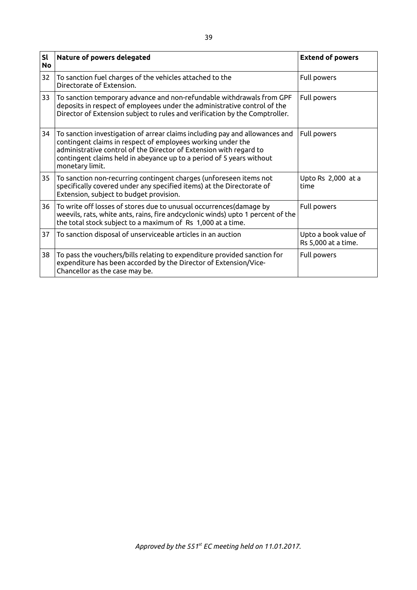| <b>Sl</b><br><b>No</b> | Nature of powers delegated                                                                                                                                                                                                                                                                                  | <b>Extend of powers</b>                     |
|------------------------|-------------------------------------------------------------------------------------------------------------------------------------------------------------------------------------------------------------------------------------------------------------------------------------------------------------|---------------------------------------------|
| 32                     | To sanction fuel charges of the vehicles attached to the<br>Directorate of Extension.                                                                                                                                                                                                                       | Full powers                                 |
| 33                     | To sanction temporary advance and non-refundable withdrawals from GPF<br>deposits in respect of employees under the administrative control of the<br>Director of Extension subject to rules and verification by the Comptroller.                                                                            | Full powers                                 |
| 34                     | To sanction investigation of arrear claims including pay and allowances and<br>contingent claims in respect of employees working under the<br>administrative control of the Director of Extension with regard to<br>contingent claims held in abeyance up to a period of 5 years without<br>monetary limit. | Full powers                                 |
| 35                     | To sanction non-recurring contingent charges (unforeseen items not<br>specifically covered under any specified items) at the Directorate of<br>Extension, subject to budget provision.                                                                                                                      | Upto Rs 2,000 at a<br>time                  |
| 36                     | To write off losses of stores due to unusual occurrences (damage by<br>weevils, rats, white ants, rains, fire andcyclonic winds) upto 1 percent of the<br>the total stock subject to a maximum of Rs 1,000 at a time.                                                                                       | Full powers                                 |
| 37                     | To sanction disposal of unserviceable articles in an auction                                                                                                                                                                                                                                                | Upto a book value of<br>Rs 5,000 at a time. |
| 38                     | To pass the vouchers/bills relating to expenditure provided sanction for<br>expenditure has been accorded by the Director of Extension/Vice-<br>Chancellor as the case may be.                                                                                                                              | Full powers                                 |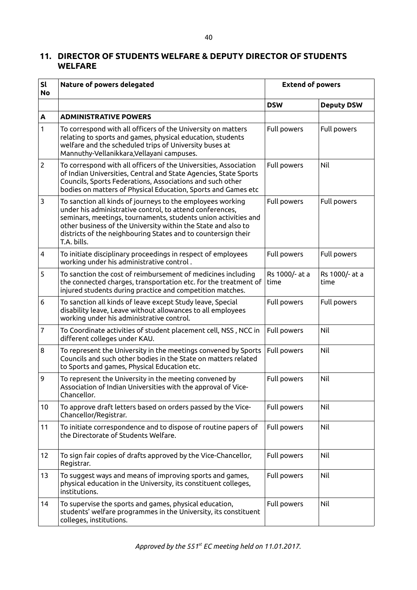## **11. DIRECTOR OF STUDENTS WELFARE & DEPUTY DIRECTOR OF STUDENTS WELFARE**

| <b>Sl</b><br><b>No</b>  | Nature of powers delegated                                                                                                                                                                                                                                                                                                                | <b>Extend of powers</b> |                        |
|-------------------------|-------------------------------------------------------------------------------------------------------------------------------------------------------------------------------------------------------------------------------------------------------------------------------------------------------------------------------------------|-------------------------|------------------------|
|                         |                                                                                                                                                                                                                                                                                                                                           | <b>DSW</b>              | <b>Deputy DSW</b>      |
| A                       | <b>ADMINISTRATIVE POWERS</b>                                                                                                                                                                                                                                                                                                              |                         |                        |
| 1                       | To correspond with all officers of the University on matters<br>relating to sports and games, physical education, students<br>welfare and the scheduled trips of University buses at<br>Mannuthy-Vellanikkara, Vellayani campuses.                                                                                                        | Full powers             | Full powers            |
| $\overline{2}$          | To correspond with all officers of the Universities, Association<br>of Indian Universities, Central and State Agencies, State Sports<br>Councils, Sports Federations, Associations and such other<br>bodies on matters of Physical Education, Sports and Games etc                                                                        | Full powers             | Nil                    |
| 3                       | To sanction all kinds of journeys to the employees working<br>under his administrative control, to attend conferences,<br>seminars, meetings, tournaments, students union activities and<br>other business of the University within the State and also to<br>districts of the neighbouring States and to countersign their<br>T.A. bills. | Full powers             | Full powers            |
| $\overline{\mathbf{4}}$ | To initiate disciplinary proceedings in respect of employees<br>working under his administrative control.                                                                                                                                                                                                                                 | Full powers             | Full powers            |
| 5                       | To sanction the cost of reimbursement of medicines including<br>the connected charges, transportation etc. for the treatment of<br>injured students during practice and competition matches.                                                                                                                                              | Rs 1000/- at a<br>time  | Rs 1000/- at a<br>time |
| 6                       | To sanction all kinds of leave except Study leave, Special<br>disability leave, Leave without allowances to all employees<br>working under his administrative control.                                                                                                                                                                    | Full powers             | Full powers            |
| 7                       | To Coordinate activities of student placement cell, NSS, NCC in<br>different colleges under KAU.                                                                                                                                                                                                                                          | Full powers             | Nil                    |
| 8                       | To represent the University in the meetings convened by Sports<br>Councils and such other bodies in the State on matters related<br>to Sports and games, Physical Education etc.                                                                                                                                                          | Full powers             | Nil                    |
| 9                       | To represent the University in the meeting convened by<br>Association of Indian Universities with the approval of Vice-<br>Chancellor.                                                                                                                                                                                                    | Full powers             | Nil                    |
| 10                      | To approve draft letters based on orders passed by the Vice-<br>Chancellor/Registrar.                                                                                                                                                                                                                                                     | Full powers             | Nil                    |
| 11                      | To initiate correspondence and to dispose of routine papers of<br>the Directorate of Students Welfare.                                                                                                                                                                                                                                    | Full powers             | Nil                    |
| 12                      | To sign fair copies of drafts approved by the Vice-Chancellor,<br>Registrar.                                                                                                                                                                                                                                                              | Full powers             | Nil                    |
| 13                      | To suggest ways and means of improving sports and games,<br>physical education in the University, its constituent colleges,<br>institutions.                                                                                                                                                                                              | Full powers             | Nil                    |
| 14                      | To supervise the sports and games, physical education,<br>students' welfare programmes in the University, its constituent<br>colleges, institutions.                                                                                                                                                                                      | Full powers             | Nil                    |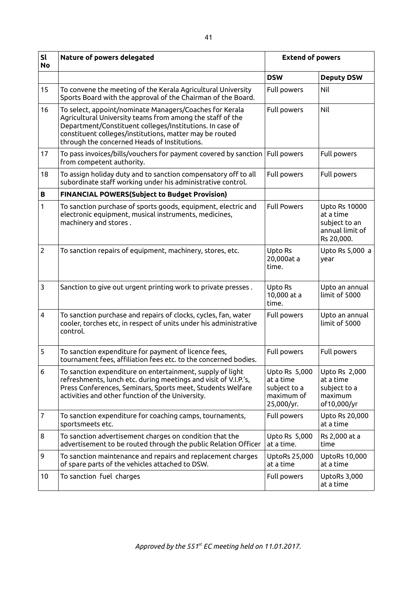| sl<br><b>No</b> | Nature of powers delegated                                                                                                                                                                                                                                                                  | <b>Extend of powers</b>                                                |                                                                                     |
|-----------------|---------------------------------------------------------------------------------------------------------------------------------------------------------------------------------------------------------------------------------------------------------------------------------------------|------------------------------------------------------------------------|-------------------------------------------------------------------------------------|
|                 |                                                                                                                                                                                                                                                                                             | <b>DSW</b>                                                             | <b>Deputy DSW</b>                                                                   |
| 15              | To convene the meeting of the Kerala Agricultural University<br>Sports Board with the approval of the Chairman of the Board.                                                                                                                                                                | Full powers                                                            | Nil                                                                                 |
| 16              | To select, appoint/nominate Managers/Coaches for Kerala<br>Agricultural University teams from among the staff of the<br>Department/Constituent colleges/Institutions. In case of<br>constituent colleges/institutions, matter may be routed<br>through the concerned Heads of Institutions. | Full powers                                                            | Nil                                                                                 |
| 17              | To pass invoices/bills/vouchers for payment covered by sanction<br>from competent authority.                                                                                                                                                                                                | Full powers                                                            | Full powers                                                                         |
| 18              | To assign holiday duty and to sanction compensatory off to all<br>subordinate staff working under his administrative control.                                                                                                                                                               | Full powers                                                            | Full powers                                                                         |
| $\, {\bf B}$    | <b>FINANCIAL POWERS(Subject to Budget Provision)</b>                                                                                                                                                                                                                                        |                                                                        |                                                                                     |
| 1               | To sanction purchase of sports goods, equipment, electric and<br>electronic equipment, musical instruments, medicines,<br>machinery and stores.                                                                                                                                             | <b>Full Powers</b>                                                     | <b>Upto Rs 10000</b><br>at a time<br>subject to an<br>annual limit of<br>Rs 20,000. |
| $\overline{2}$  | To sanction repairs of equipment, machinery, stores, etc.                                                                                                                                                                                                                                   | Upto Rs<br>20,000at a<br>time.                                         | Upto Rs 5,000 a<br>year                                                             |
| 3               | Sanction to give out urgent printing work to private presses.                                                                                                                                                                                                                               | Upto Rs<br>10,000 at a<br>time.                                        | Upto an annual<br>limit of 5000                                                     |
| $\overline{4}$  | To sanction purchase and repairs of clocks, cycles, fan, water<br>cooler, torches etc, in respect of units under his administrative<br>control.                                                                                                                                             | Full powers                                                            | Upto an annual<br>limit of 5000                                                     |
| 5               | To sanction expenditure for payment of licence fees,<br>tournament fees, affiliation fees etc. to the concerned bodies.                                                                                                                                                                     | Full powers                                                            | Full powers                                                                         |
| 6               | To sanction expenditure on entertainment, supply of light<br>refreshments, lunch etc. during meetings and visit of V.I.P.'s,<br>Press Conferences, Seminars, Sports meet, Students Welfare<br>activities and other function of the University.                                              | Upto Rs 5,000<br>at a time<br>subject to a<br>maximum of<br>25,000/yr. | Upto Rs 2,000<br>at a time<br>subject to a<br>maximum<br>of10,000/yr                |
| $\overline{7}$  | To sanction expenditure for coaching camps, tournaments,<br>sportsmeets etc.                                                                                                                                                                                                                | Full powers                                                            | Upto Rs 20,000<br>at a time                                                         |
| 8               | To sanction advertisement charges on condition that the<br>advertisement to be routed through the public Relation Officer                                                                                                                                                                   | Upto Rs 5,000<br>at a time.                                            | Rs 2,000 at a<br>time                                                               |
| 9               | To sanction maintenance and repairs and replacement charges<br>of spare parts of the vehicles attached to DSW.                                                                                                                                                                              | <b>UptoRs 25,000</b><br>at a time                                      | <b>UptoRs 10,000</b><br>at a time                                                   |
| 10              | To sanction fuel charges                                                                                                                                                                                                                                                                    | Full powers                                                            | UptoRs 3,000<br>at a time                                                           |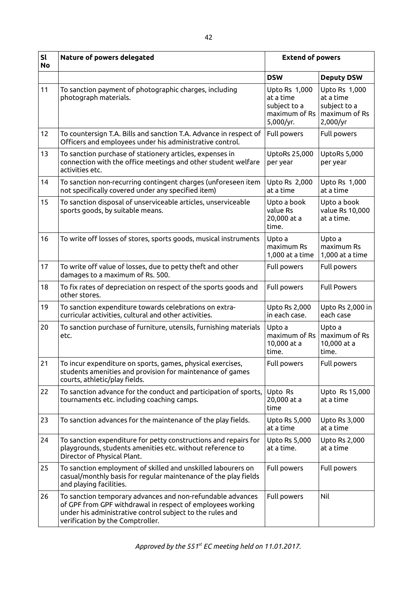| sl<br><b>No</b> | Nature of powers delegated                                                                                                                                                                                                | <b>Extend of powers</b>                                                  |                                                                         |
|-----------------|---------------------------------------------------------------------------------------------------------------------------------------------------------------------------------------------------------------------------|--------------------------------------------------------------------------|-------------------------------------------------------------------------|
|                 |                                                                                                                                                                                                                           | <b>DSW</b>                                                               | <b>Deputy DSW</b>                                                       |
| 11              | To sanction payment of photographic charges, including<br>photograph materials.                                                                                                                                           | Upto Rs 1,000<br>at a time<br>subject to a<br>maximum of Rs<br>5,000/yr. | Upto Rs 1,000<br>at a time<br>subject to a<br>maximum of Rs<br>2,000/yr |
| 12              | To countersign T.A. Bills and sanction T.A. Advance in respect of<br>Officers and employees under his administrative control.                                                                                             | Full powers                                                              | Full powers                                                             |
| 13              | To sanction purchase of stationery articles, expenses in<br>connection with the office meetings and other student welfare<br>activities etc.                                                                              | <b>UptoRs 25,000</b><br>per year                                         | UptoRs 5,000<br>per year                                                |
| 14              | To sanction non-recurring contingent charges (unforeseen item<br>not specifically covered under any specified item)                                                                                                       | Upto Rs 2,000<br>at a time                                               | Upto Rs 1,000<br>at a time                                              |
| 15              | To sanction disposal of unserviceable articles, unserviceable<br>sports goods, by suitable means.                                                                                                                         | Upto a book<br>value Rs<br>20,000 at a<br>time.                          | Upto a book<br>value Rs 10,000<br>at a time.                            |
| 16              | To write off losses of stores, sports goods, musical instruments                                                                                                                                                          | Upto a<br>maximum Rs<br>1,000 at a time                                  | Upto a<br>maximum Rs<br>1,000 at a time                                 |
| 17              | To write off value of losses, due to petty theft and other<br>damages to a maximum of Rs. 500.                                                                                                                            | Full powers                                                              | Full powers                                                             |
| 18              | To fix rates of depreciation on respect of the sports goods and<br>other stores.                                                                                                                                          | Full powers                                                              | <b>Full Powers</b>                                                      |
| 19              | To sanction expenditure towards celebrations on extra-<br>curricular activities, cultural and other activities.                                                                                                           | <b>Upto Rs 2,000</b><br>in each case.                                    | Upto Rs 2,000 in<br>each case                                           |
| 20              | To sanction purchase of furniture, utensils, furnishing materials<br>etc.                                                                                                                                                 | Upto a<br>maximum of Rs<br>10,000 at a<br>time.                          | Upto a<br>maximum of Rs<br>10,000 at a<br>time.                         |
| 21              | To incur expenditure on sports, games, physical exercises,<br>students amenities and provision for maintenance of games<br>courts, athletic/play fields.                                                                  | Full powers                                                              | Full powers                                                             |
| 22              | To sanction advance for the conduct and participation of sports,<br>tournaments etc. including coaching camps.                                                                                                            | Upto Rs<br>20,000 at a<br>time                                           | Upto Rs 15,000<br>at a time                                             |
| 23              | To sanction advances for the maintenance of the play fields.                                                                                                                                                              | <b>Upto Rs 5,000</b><br>at a time                                        | Upto Rs 3,000<br>at a time                                              |
| 24              | To sanction expenditure for petty constructions and repairs for<br>playgrounds, students amenities etc. without reference to<br>Director of Physical Plant.                                                               | <b>Upto Rs 5,000</b><br>at a time.                                       | Upto Rs 2,000<br>at a time                                              |
| 25              | To sanction employment of skilled and unskilled labourers on<br>casual/monthly basis for regular maintenance of the play fields<br>and playing facilities.                                                                | Full powers                                                              | Full powers                                                             |
| 26              | To sanction temporary advances and non-refundable advances<br>of GPF from GPF withdrawal in respect of employees working<br>under his administrative control subject to the rules and<br>verification by the Comptroller. | Full powers                                                              | Nil                                                                     |

42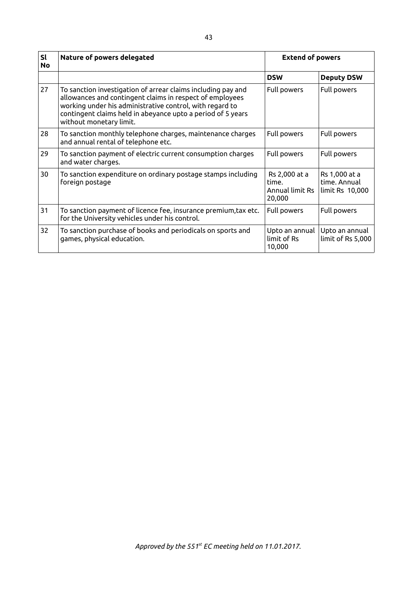| <b>Sl</b><br><b>No</b> | Nature of powers delegated                                                                                                                                                                                                                                                     | <b>Extend of powers</b>                             |                                                  |
|------------------------|--------------------------------------------------------------------------------------------------------------------------------------------------------------------------------------------------------------------------------------------------------------------------------|-----------------------------------------------------|--------------------------------------------------|
|                        |                                                                                                                                                                                                                                                                                | <b>DSW</b>                                          | <b>Deputy DSW</b>                                |
| 27                     | To sanction investigation of arrear claims including pay and<br>allowances and contingent claims in respect of employees<br>working under his administrative control, with regard to<br>contingent claims held in abeyance upto a period of 5 years<br>without monetary limit. | Full powers                                         | Full powers                                      |
| 28                     | To sanction monthly telephone charges, maintenance charges<br>and annual rental of telephone etc.                                                                                                                                                                              | Full powers                                         | Full powers                                      |
| 29                     | To sanction payment of electric current consumption charges<br>and water charges.                                                                                                                                                                                              | Full powers                                         | Full powers                                      |
| 30                     | To sanction expenditure on ordinary postage stamps including<br>foreign postage                                                                                                                                                                                                | Rs 2,000 at a<br>time.<br>Annual limit Rs<br>20,000 | Rs 1,000 at a<br>time. Annual<br>limit Rs 10,000 |
| 31                     | To sanction payment of licence fee, insurance premium, tax etc.<br>for the University vehicles under his control.                                                                                                                                                              | Full powers                                         | Full powers                                      |
| 32                     | To sanction purchase of books and periodicals on sports and<br>games, physical education.                                                                                                                                                                                      | Upto an annual<br>limit of Rs<br>10,000             | Upto an annual<br>limit of Rs 5,000              |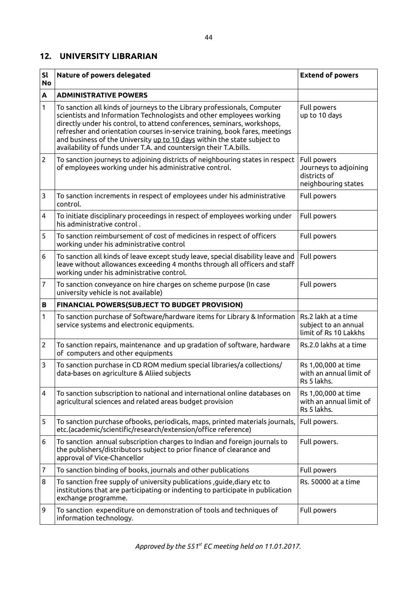#### **12. UNIVERSITY LIBRARIAN**

| SI<br><b>No</b> | Nature of powers delegated                                                                                                                                                                                                                                                                                                                                                                                                                                  | <b>Extend of powers</b>                                                     |
|-----------------|-------------------------------------------------------------------------------------------------------------------------------------------------------------------------------------------------------------------------------------------------------------------------------------------------------------------------------------------------------------------------------------------------------------------------------------------------------------|-----------------------------------------------------------------------------|
| A               | <b>ADMINISTRATIVE POWERS</b>                                                                                                                                                                                                                                                                                                                                                                                                                                |                                                                             |
| 1               | To sanction all kinds of journeys to the Library professionals, Computer<br>scientists and Information Technologists and other employees working<br>directly under his control, to attend conferences, seminars, workshops,<br>refresher and orientation courses in-service training, book fares, meetings<br>and business of the University up to 10 days within the state subject to<br>availability of funds under T.A. and countersign their T.A.bills. | Full powers<br>up to 10 days                                                |
| $\overline{2}$  | To sanction journeys to adjoining districts of neighbouring states in respect<br>of employees working under his administrative control.                                                                                                                                                                                                                                                                                                                     | Full powers<br>Journeys to adjoining<br>districts of<br>neighbouring states |
| 3               | To sanction increments in respect of employees under his administrative<br>control.                                                                                                                                                                                                                                                                                                                                                                         | Full powers                                                                 |
| 4               | To initiate disciplinary proceedings in respect of employees working under<br>his administrative control.                                                                                                                                                                                                                                                                                                                                                   | Full powers                                                                 |
| 5               | To sanction reimbursement of cost of medicines in respect of officers<br>working under his administrative control                                                                                                                                                                                                                                                                                                                                           | Full powers                                                                 |
| 6               | To sanction all kinds of leave except study leave, special disability leave and<br>leave without allowances exceeding 4 months through all officers and staff<br>working under his administrative control.                                                                                                                                                                                                                                                  | Full powers                                                                 |
| 7               | To sanction conveyance on hire charges on scheme purpose (In case<br>university vehicle is not available)                                                                                                                                                                                                                                                                                                                                                   | Full powers                                                                 |
| B               | FINANCIAL POWERS(SUBJECT TO BUDGET PROVISION)                                                                                                                                                                                                                                                                                                                                                                                                               |                                                                             |
| 1               | To sanction purchase of Software/hardware items for Library & Information<br>service systems and electronic equipments.                                                                                                                                                                                                                                                                                                                                     | Rs.2 lakh at a time<br>subject to an annual<br>limit of Rs 10 Lakkhs        |
| $\overline{2}$  | To sanction repairs, maintenance and up gradation of software, hardware<br>of computers and other equipments                                                                                                                                                                                                                                                                                                                                                | Rs.2.0 lakhs at a time                                                      |
| 3               | To sanction purchase in CD ROM medium special libraries/a collections/<br>data-bases on agriculture & Aliied subjects                                                                                                                                                                                                                                                                                                                                       | Rs 1,00,000 at time<br>with an annual limit of<br>Rs 5 lakhs.               |
| 4               | To sanction subscription to national and international online databases on<br>agricultural sciences and related areas budget provision                                                                                                                                                                                                                                                                                                                      | Rs 1,00,000 at time<br>with an annual limit of<br>Rs 5 lakhs.               |
| 5               | To sanction purchase ofbooks, periodicals, maps, printed materials journals,<br>etc.(academic/scientific/research/extension/office reference)                                                                                                                                                                                                                                                                                                               | Full powers.                                                                |
| 6               | To sanction annual subscription charges to Indian and foreign journals to<br>the publishers/distributors subject to prior finance of clearance and<br>approval of Vice-Chancellor                                                                                                                                                                                                                                                                           | Full powers.                                                                |
| 7               | To sanction binding of books, journals and other publications                                                                                                                                                                                                                                                                                                                                                                                               | Full powers                                                                 |
| 8               | To sanction free supply of university publications , guide, diary etc to<br>institutions that are participating or indenting to participate in publication<br>exchange programme.                                                                                                                                                                                                                                                                           | Rs. 50000 at a time                                                         |
| 9               | To sanction expenditure on demonstration of tools and techniques of<br>information technology.                                                                                                                                                                                                                                                                                                                                                              | Full powers                                                                 |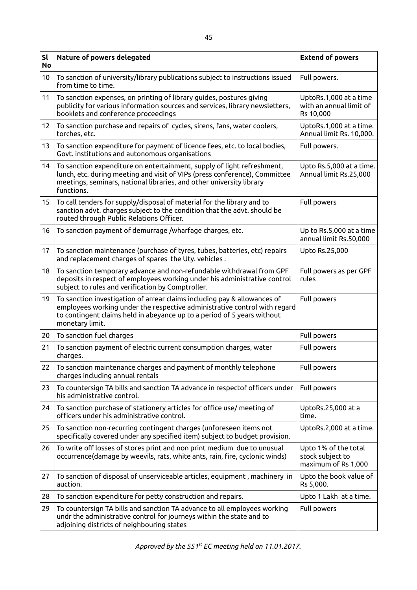| <b>Sl</b><br><b>No</b> | Nature of powers delegated                                                                                                                                                                                                                          | <b>Extend of powers</b>                                         |
|------------------------|-----------------------------------------------------------------------------------------------------------------------------------------------------------------------------------------------------------------------------------------------------|-----------------------------------------------------------------|
| 10                     | To sanction of university/library publications subject to instructions issued<br>from time to time.                                                                                                                                                 | Full powers.                                                    |
| 11                     | To sanction expenses, on printing of library guides, postures giving<br>publicity for various information sources and services, library newsletters,<br>booklets and conference proceedings                                                         | UptoRs.1,000 at a time<br>with an annual limit of<br>Rs 10,000  |
| 12                     | To sanction purchase and repairs of cycles, sirens, fans, water coolers,<br>torches, etc.                                                                                                                                                           | UptoRs.1,000 at a time.<br>Annual limit Rs. 10,000.             |
| 13                     | To sanction expenditure for payment of licence fees, etc. to local bodies,<br>Govt. institutions and autonomous organisations                                                                                                                       | Full powers.                                                    |
| 14                     | To sanction expenditure on entertainment, supply of light refreshment,<br>lunch, etc. during meeting and visit of VIPs (press conference), Committee<br>meetings, seminars, national libraries, and other university library<br>functions.          | Upto Rs.5,000 at a time.<br>Annual limit Rs.25,000              |
| 15 <sub>1</sub>        | To call tenders for supply/disposal of material for the library and to<br>sanction advt. charges subject to the condition that the advt. should be<br>routed through Public Relations Officer.                                                      | Full powers                                                     |
| 16                     | To sanction payment of demurrage /wharfage charges, etc.                                                                                                                                                                                            | Up to Rs.5,000 at a time<br>annual limit Rs.50,000              |
| 17                     | To sanction maintenance (purchase of tyres, tubes, batteries, etc) repairs<br>and replacement charges of spares the Uty. vehicles.                                                                                                                  | Upto Rs.25,000                                                  |
| 18                     | To sanction temporary advance and non-refundable withdrawal from GPF<br>deposits in respect of employees working under his administrative control<br>subject to rules and verification by Comptroller.                                              | Full powers as per GPF<br>rules                                 |
| 19                     | To sanction investigation of arrear claims including pay & allowances of<br>employees working under the respective administrative control with regard<br>to contingent claims held in abeyance up to a period of 5 years without<br>monetary limit. | Full powers                                                     |
| 20                     | To sanction fuel charges                                                                                                                                                                                                                            | Full powers                                                     |
| 21                     | To sanction payment of electric current consumption charges, water<br>charges.                                                                                                                                                                      | Full powers                                                     |
| 22                     | To sanction maintenance charges and payment of monthly telephone<br>charges including annual rentals                                                                                                                                                | Full powers                                                     |
| 23                     | To countersign TA bills and sanction TA advance in respectof officers under<br>his administrative control.                                                                                                                                          | Full powers                                                     |
| 24                     | To sanction purchase of stationery articles for office use/ meeting of<br>officers under his administrative control.                                                                                                                                | UptoRs.25,000 at a<br>time.                                     |
| 25                     | To sanction non-recurring contingent charges (unforeseen items not<br>specifically covered under any specified item) subject to budget provision.                                                                                                   | UptoRs.2,000 at a time.                                         |
| 26                     | To write off losses of stores print and non print medium due to unusual<br>occurrence(damage by weevils, rats, white ants, rain, fire, cyclonic winds)                                                                                              | Upto 1% of the total<br>stock subject to<br>maximum of Rs 1,000 |
| 27                     | To sanction of disposal of unserviceable articles, equipment, machinery in<br>auction.                                                                                                                                                              | Upto the book value of<br>Rs 5,000.                             |
| 28                     | To sanction expenditure for petty construction and repairs.                                                                                                                                                                                         | Upto 1 Lakh at a time.                                          |
| 29                     | To countersign TA bills and sanction TA advance to all employees working<br>undr the administrative control for journeys within the state and to<br>adjoining districts of neighbouring states                                                      | Full powers                                                     |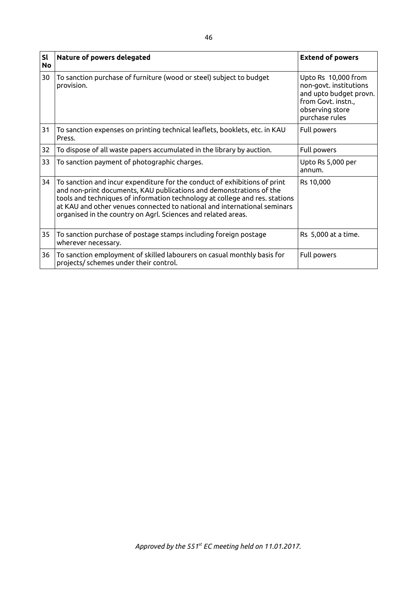| <b>Sl</b><br><b>No</b> | Nature of powers delegated                                                                                                                                                                                                                                                                                                                                                   | <b>Extend of powers</b>                                                                                                            |
|------------------------|------------------------------------------------------------------------------------------------------------------------------------------------------------------------------------------------------------------------------------------------------------------------------------------------------------------------------------------------------------------------------|------------------------------------------------------------------------------------------------------------------------------------|
| 30                     | To sanction purchase of furniture (wood or steel) subject to budget<br>provision.                                                                                                                                                                                                                                                                                            | Upto Rs 10,000 from<br>non-govt. institutions<br>and upto budget provn.<br>from Govt. instn.,<br>observing store<br>purchase rules |
| 31                     | To sanction expenses on printing technical leaflets, booklets, etc. in KAU<br>Press.                                                                                                                                                                                                                                                                                         | Full powers                                                                                                                        |
| 32                     | To dispose of all waste papers accumulated in the library by auction.                                                                                                                                                                                                                                                                                                        | Full powers                                                                                                                        |
| 33                     | To sanction payment of photographic charges.                                                                                                                                                                                                                                                                                                                                 | Upto Rs 5,000 per<br>annum.                                                                                                        |
| 34                     | To sanction and incur expenditure for the conduct of exhibitions of print<br>and non-print documents, KAU publications and demonstrations of the<br>tools and techniques of information technology at college and res. stations<br>at KAU and other venues connected to national and international seminars<br>organised in the country on Agrl. Sciences and related areas. | Rs 10,000                                                                                                                          |
| 35                     | To sanction purchase of postage stamps including foreign postage<br>wherever necessary.                                                                                                                                                                                                                                                                                      | Rs 5,000 at a time.                                                                                                                |
| 36                     | To sanction employment of skilled labourers on casual monthly basis for<br>projects/ schemes under their control.                                                                                                                                                                                                                                                            | Full powers                                                                                                                        |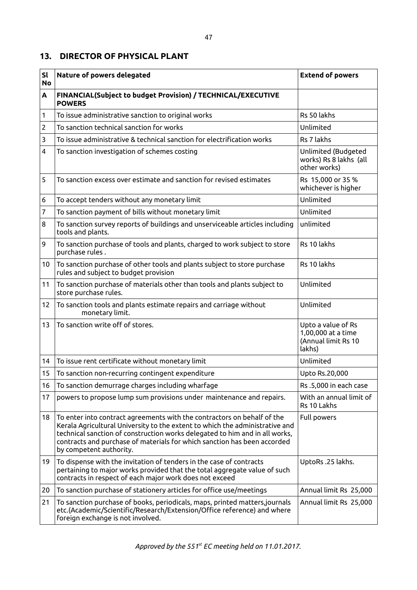#### **13. DIRECTOR OF PHYSICAL PLANT**

| <b>Sl</b><br><b>No</b> | Nature of powers delegated                                                                                                                                                                                                                                                                                                                    | <b>Extend of powers</b>                                                   |
|------------------------|-----------------------------------------------------------------------------------------------------------------------------------------------------------------------------------------------------------------------------------------------------------------------------------------------------------------------------------------------|---------------------------------------------------------------------------|
| A                      | FINANCIAL(Subject to budget Provision) / TECHNICAL/EXECUTIVE<br><b>POWERS</b>                                                                                                                                                                                                                                                                 |                                                                           |
| 1                      | To issue administrative sanction to original works                                                                                                                                                                                                                                                                                            | Rs 50 lakhs                                                               |
| 2                      | To sanction technical sanction for works                                                                                                                                                                                                                                                                                                      | Unlimited                                                                 |
| 3                      | To issue administrative & technical sanction for electrification works                                                                                                                                                                                                                                                                        | Rs 7 lakhs                                                                |
| 4                      | To sanction investigation of schemes costing                                                                                                                                                                                                                                                                                                  | Unlimited (Budgeted<br>works) Rs 8 lakhs (all<br>other works)             |
| 5                      | To sanction excess over estimate and sanction for revised estimates                                                                                                                                                                                                                                                                           | Rs 15,000 or 35 %<br>whichever is higher                                  |
| 6                      | To accept tenders without any monetary limit                                                                                                                                                                                                                                                                                                  | Unlimited                                                                 |
| 7                      | To sanction payment of bills without monetary limit                                                                                                                                                                                                                                                                                           | Unlimited                                                                 |
| 8                      | To sanction survey reports of buildings and unserviceable articles including<br>tools and plants.                                                                                                                                                                                                                                             | unlimited                                                                 |
| 9                      | To sanction purchase of tools and plants, charged to work subject to store<br>purchase rules.                                                                                                                                                                                                                                                 | Rs 10 lakhs                                                               |
| 10                     | To sanction purchase of other tools and plants subject to store purchase<br>rules and subject to budget provision                                                                                                                                                                                                                             | Rs 10 lakhs                                                               |
| 11                     | To sanction purchase of materials other than tools and plants subject to<br>store purchase rules.                                                                                                                                                                                                                                             | Unlimited                                                                 |
| 12                     | To sanction tools and plants estimate repairs and carriage without<br>monetary limit.                                                                                                                                                                                                                                                         | Unlimited                                                                 |
| 13                     | To sanction write off of stores.                                                                                                                                                                                                                                                                                                              | Upto a value of Rs<br>1,00,000 at a time<br>(Annual limit Rs 10<br>lakhs) |
| 14                     | To issue rent certificate without monetary limit                                                                                                                                                                                                                                                                                              | Unlimited                                                                 |
| 15                     | To sanction non-recurring contingent expenditure                                                                                                                                                                                                                                                                                              | Upto Rs.20,000                                                            |
| 16                     | To sanction demurrage charges including wharfage                                                                                                                                                                                                                                                                                              | Rs.5,000 in each case                                                     |
| 17                     | powers to propose lump sum provisions under maintenance and repairs.                                                                                                                                                                                                                                                                          | With an annual limit of<br>Rs 10 Lakhs                                    |
| 18                     | To enter into contract agreements with the contractors on behalf of the<br>Kerala Agricultural University to the extent to which the administrative and<br>technical sanction of construction works delegated to him and in all works,<br>contracts and purchase of materials for which sanction has been accorded<br>by competent authority. | Full powers                                                               |
| 19                     | To dispense with the invitation of tenders in the case of contracts<br>pertaining to major works provided that the total aggregate value of such<br>contracts in respect of each major work does not exceed                                                                                                                                   | UptoRs.25 lakhs.                                                          |
| 20                     | To sanction purchase of stationery articles for office use/meetings                                                                                                                                                                                                                                                                           | Annual limit Rs 25,000                                                    |
| 21                     | To sanction purchase of books, periodicals, maps, printed matters, journals<br>etc.(Academic/Scientific/Research/Extension/Office reference) and where<br>foreign exchange is not involved.                                                                                                                                                   | Annual limit Rs 25,000                                                    |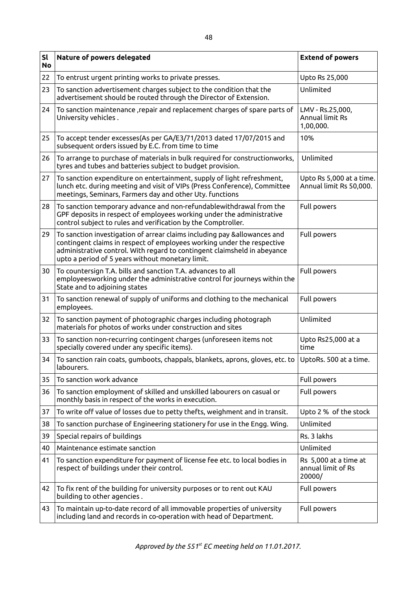| sl<br><b>No</b> | Nature of powers delegated                                                                                                                                                                                                                                                         | <b>Extend of powers</b>                               |
|-----------------|------------------------------------------------------------------------------------------------------------------------------------------------------------------------------------------------------------------------------------------------------------------------------------|-------------------------------------------------------|
| 22              | To entrust urgent printing works to private presses.                                                                                                                                                                                                                               | Upto Rs 25,000                                        |
| 23              | To sanction advertisement charges subject to the condition that the<br>advertisement should be routed through the Director of Extension.                                                                                                                                           | Unlimited                                             |
| 24              | To sanction maintenance , repair and replacement charges of spare parts of<br>University vehicles.                                                                                                                                                                                 | LMV - Rs.25,000,<br>Annual limit Rs<br>1,00,000.      |
| 25              | To accept tender excesses(As per GA/E3/71/2013 dated 17/07/2015 and<br>subsequent orders issued by E.C. from time to time                                                                                                                                                          | 10%                                                   |
| 26              | To arrange to purchase of materials in bulk required for constructionworks,<br>tyres and tubes and batteries subject to budget provision.                                                                                                                                          | Unlimited                                             |
| 27              | To sanction expenditure on entertainment, supply of light refreshment,<br>lunch etc. during meeting and visit of VIPs (Press Conference), Committee<br>meetings, Seminars, Farmers day and other Uty. functions                                                                    | Upto Rs 5,000 at a time.<br>Annual limit Rs 50,000.   |
| 28              | To sanction temporary advance and non-refundablewithdrawal from the<br>GPF deposits in respect of employees working under the administrative<br>control subject to rules and verification by the Comptroller.                                                                      | Full powers                                           |
| 29              | To sanction investigation of arrear claims including pay &allowances and<br>contingent claims in respect of employees working under the respective<br>administrative control. With regard to contingent claimsheld in abeyance<br>upto a period of 5 years without monetary limit. | Full powers                                           |
| 30              | To countersign T.A. bills and sanction T.A. advances to all<br>employeesworking under the administrative control for journeys within the<br>State and to adjoining states                                                                                                          | Full powers                                           |
| 31              | To sanction renewal of supply of uniforms and clothing to the mechanical<br>employees.                                                                                                                                                                                             | Full powers                                           |
| 32              | To sanction payment of photographic charges including photograph<br>materials for photos of works under construction and sites                                                                                                                                                     | Unlimited                                             |
| 33              | To sanction non-recurring contingent charges (unforeseen items not<br>specially covered under any specific items).                                                                                                                                                                 | Upto Rs25,000 at a<br>time                            |
| 34              | To sanction rain coats, gumboots, chappals, blankets, aprons, gloves, etc. to<br>labourers.                                                                                                                                                                                        | UptoRs. 500 at a time.                                |
| 35              | To sanction work advance                                                                                                                                                                                                                                                           | Full powers                                           |
| 36              | To sanction employment of skilled and unskilled labourers on casual or<br>monthly basis in respect of the works in execution.                                                                                                                                                      | Full powers                                           |
| 37              | To write off value of losses due to petty thefts, weighment and in transit.                                                                                                                                                                                                        | Upto 2 % of the stock                                 |
| 38              | To sanction purchase of Engineering stationery for use in the Engg. Wing.                                                                                                                                                                                                          | Unlimited                                             |
| 39              | Special repairs of buildings                                                                                                                                                                                                                                                       | Rs. 3 lakhs                                           |
| 40              | Maintenance estimate sanction                                                                                                                                                                                                                                                      | Unlimited                                             |
| 41              | To sanction expenditure for payment of license fee etc. to local bodies in<br>respect of buildings under their control.                                                                                                                                                            | Rs 5,000 at a time at<br>annual limit of Rs<br>20000/ |
| 42              | To fix rent of the building for university purposes or to rent out KAU<br>building to other agencies.                                                                                                                                                                              | Full powers                                           |
| 43              | To maintain up-to-date record of all immovable properties of university<br>including land and records in co-operation with head of Department.                                                                                                                                     | Full powers                                           |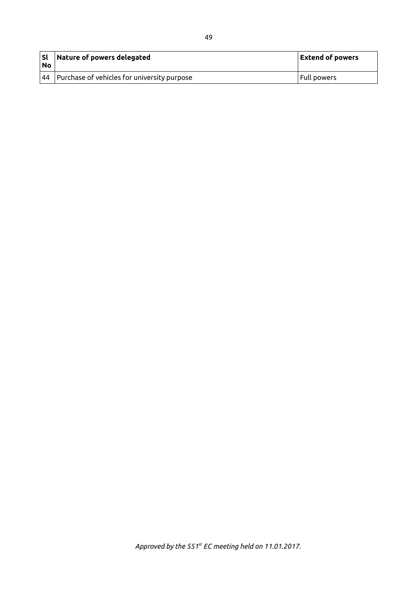| l Sl<br><b>No</b> | Nature of powers delegated                                     | <b>Extend of powers</b> |
|-------------------|----------------------------------------------------------------|-------------------------|
|                   | $\vert$ 44 $\vert$ Purchase of vehicles for university purpose | Full powers             |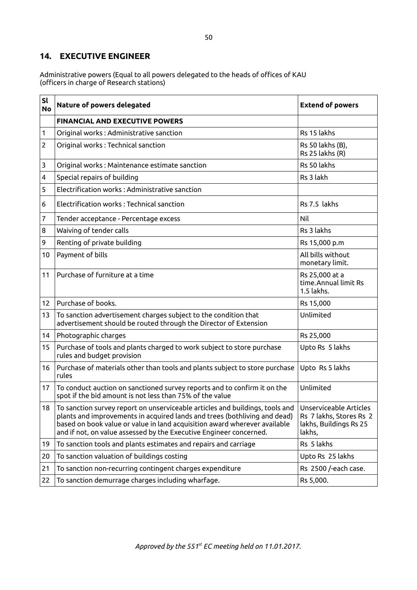### **14. EXECUTIVE ENGINEER**

Administrative powers (Equal to all powers delegated to the heads of offices of KAU (officers in charge of Research stations)

| sl<br><b>No</b> | Nature of powers delegated                                                                                                                                                                                                                                                                                          | <b>Extend of powers</b>                                                               |
|-----------------|---------------------------------------------------------------------------------------------------------------------------------------------------------------------------------------------------------------------------------------------------------------------------------------------------------------------|---------------------------------------------------------------------------------------|
|                 | <b>FINANCIAL AND EXECUTIVE POWERS</b>                                                                                                                                                                                                                                                                               |                                                                                       |
| 1               | Original works: Administrative sanction                                                                                                                                                                                                                                                                             | Rs 15 lakhs                                                                           |
| $\overline{c}$  | Original works: Technical sanction                                                                                                                                                                                                                                                                                  | Rs 50 lakhs (B),<br>Rs 25 lakhs (R)                                                   |
| 3               | Original works: Maintenance estimate sanction                                                                                                                                                                                                                                                                       | Rs 50 lakhs                                                                           |
| 4               | Special repairs of building                                                                                                                                                                                                                                                                                         | Rs 3 lakh                                                                             |
| 5               | Electrification works: Administrative sanction                                                                                                                                                                                                                                                                      |                                                                                       |
| 6               | Electrification works: Technical sanction                                                                                                                                                                                                                                                                           | Rs 7.5 lakhs                                                                          |
| 7               | Tender acceptance - Percentage excess                                                                                                                                                                                                                                                                               | Nil                                                                                   |
| 8               | Waiving of tender calls                                                                                                                                                                                                                                                                                             | Rs 3 lakhs                                                                            |
| 9               | Renting of private building                                                                                                                                                                                                                                                                                         | Rs 15,000 p.m                                                                         |
| 10              | Payment of bills                                                                                                                                                                                                                                                                                                    | All bills without<br>monetary limit.                                                  |
| 11              | Purchase of furniture at a time                                                                                                                                                                                                                                                                                     | Rs 25,000 at a<br>time. Annual limit Rs<br>1.5 lakhs.                                 |
| 12 <sup>2</sup> | Purchase of books.                                                                                                                                                                                                                                                                                                  | Rs 15,000                                                                             |
| 13              | To sanction advertisement charges subject to the condition that<br>advertisement should be routed through the Director of Extension                                                                                                                                                                                 | Unlimited                                                                             |
| 14              | Photographic charges                                                                                                                                                                                                                                                                                                | Rs 25,000                                                                             |
| 15              | Purchase of tools and plants charged to work subject to store purchase<br>rules and budget provision                                                                                                                                                                                                                | Upto Rs 5 lakhs                                                                       |
| 16              | Purchase of materials other than tools and plants subject to store purchase<br>rules                                                                                                                                                                                                                                | Upto Rs 5 lakhs                                                                       |
| 17              | To conduct auction on sanctioned survey reports and to confirm it on the<br>spot if the bid amount is not less than 75% of the value                                                                                                                                                                                | Unlimited                                                                             |
| 18              | $\mid$ To sanction survey report on unserviceable articles and buildings, tools and<br>plants and improvements in acquired lands and trees (bothliving and dead)<br>based on book value or value in land acquisition award wherever available<br>and if not, on value assessed by the Executive Engineer concerned. | Unserviceable Articles<br>Rs 7 lakhs, Stores Rs 2<br>lakhs, Buildings Rs 25<br>lakhs, |
| 19              | To sanction tools and plants estimates and repairs and carriage                                                                                                                                                                                                                                                     | Rs 5 lakhs                                                                            |
| 20              | To sanction valuation of buildings costing                                                                                                                                                                                                                                                                          | Upto Rs 25 lakhs                                                                      |
| 21              | To sanction non-recurring contingent charges expenditure                                                                                                                                                                                                                                                            | Rs 2500 /-each case.                                                                  |
| 22              | To sanction demurrage charges including wharfage.                                                                                                                                                                                                                                                                   | Rs 5,000.                                                                             |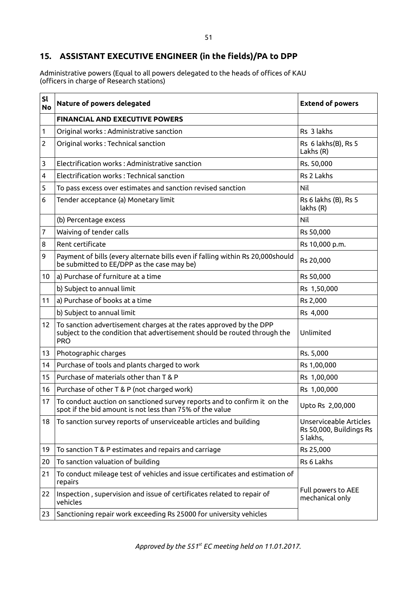## **15. ASSISTANT EXECUTIVE ENGINEER (in the fields)/PA to DPP**

Administrative powers (Equal to all powers delegated to the heads of offices of KAU (officers in charge of Research stations)

| <b>Sl</b><br><b>No</b> | Nature of powers delegated                                                                                                                                   | <b>Extend of powers</b>                                       |
|------------------------|--------------------------------------------------------------------------------------------------------------------------------------------------------------|---------------------------------------------------------------|
|                        | <b>FINANCIAL AND EXECUTIVE POWERS</b>                                                                                                                        |                                                               |
| 1                      | Original works: Administrative sanction                                                                                                                      | Rs 3 lakhs                                                    |
| 2                      | Original works: Technical sanction                                                                                                                           | Rs 6 lakhs(B), Rs 5<br>Lakhs (R)                              |
| 3                      | Electrification works: Administrative sanction                                                                                                               | Rs. 50,000                                                    |
| 4                      | Electrification works: Technical sanction                                                                                                                    | Rs 2 Lakhs                                                    |
| 5                      | To pass excess over estimates and sanction revised sanction                                                                                                  | Nil                                                           |
| 6                      | Tender acceptance (a) Monetary limit                                                                                                                         | Rs 6 lakhs (B), Rs 5<br>lakhs (R)                             |
|                        | (b) Percentage excess                                                                                                                                        | Nil                                                           |
| 7                      | Waiving of tender calls                                                                                                                                      | Rs 50,000                                                     |
| 8                      | Rent certificate                                                                                                                                             | Rs 10,000 p.m.                                                |
| 9                      | Payment of bills (every alternate bills even if falling within Rs 20,000should<br>be submitted to EE/DPP as the case may be)                                 | Rs 20,000                                                     |
| 10 <sup>°</sup>        | a) Purchase of furniture at a time                                                                                                                           | Rs 50,000                                                     |
|                        | b) Subject to annual limit                                                                                                                                   | Rs 1,50,000                                                   |
| 11                     | a) Purchase of books at a time                                                                                                                               | Rs 2,000                                                      |
|                        | b) Subject to annual limit                                                                                                                                   | Rs 4,000                                                      |
| 12 <sub>2</sub>        | To sanction advertisement charges at the rates approved by the DPP<br>subject to the condition that advertisement should be routed through the<br><b>PRO</b> | Unlimited                                                     |
| 13                     | Photographic charges                                                                                                                                         | Rs. 5,000                                                     |
| 14                     | Purchase of tools and plants charged to work                                                                                                                 | Rs 1,00,000                                                   |
| 15                     | Purchase of materials other than T & P                                                                                                                       | Rs 1,00,000                                                   |
| 16                     | Purchase of other T & P (not charged work)                                                                                                                   | Rs 1,00,000                                                   |
| 17                     | To conduct auction on sanctioned survey reports and to confirm it on the<br>spot if the bid amount is not less than 75% of the value                         | Upto Rs 2,00,000                                              |
| 18                     | To sanction survey reports of unserviceable articles and building                                                                                            | Unserviceable Articles<br>Rs 50,000, Buildings Rs<br>5 lakhs, |
| 19                     | To sanction T & P estimates and repairs and carriage                                                                                                         | Rs 25,000                                                     |
| 20                     | To sanction valuation of building                                                                                                                            | Rs 6 Lakhs                                                    |
| 21                     | To conduct mileage test of vehicles and issue certificates and estimation of<br>repairs                                                                      |                                                               |
| 22                     | Inspection, supervision and issue of certificates related to repair of<br>vehicles                                                                           | Full powers to AEE<br>mechanical only                         |
| 23                     | Sanctioning repair work exceeding Rs 25000 for university vehicles                                                                                           |                                                               |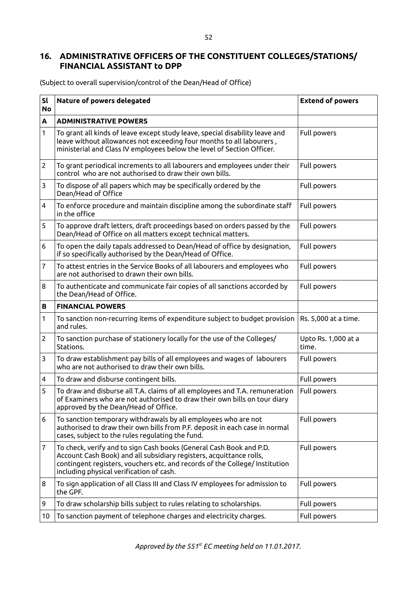### **16. ADMINISTRATIVE OFFICERS OF THE CONSTITUENT COLLEGES/STATIONS/ FINANCIAL ASSISTANT to DPP**

**Sl No Nature of powers delegated Extend of powers A ADMINISTRATIVE POWERS** 1 To grant all kinds of leave except study leave, special disability leave and leave without allowances not exceeding four months to all labourers , ministerial and Class IV employees below the level of Section Officer. Full powers 2 To grant periodical increments to all labourers and employees under their control who are not authorised to draw their own bills. Full powers 3 To dispose of all papers which may be specifically ordered by the Dean/Head of Office Full powers 4 To enforce procedure and maintain discipline among the subordinate staff in the office Full powers 5 To approve draft letters, draft proceedings based on orders passed by the Dean/Head of Office on all matters except technical matters. Full powers  $6$  To open the daily tapals addressed to Dean/Head of office by designation, if so specifically authorised by the Dean/Head of Office. Full powers 7 To attest entries in the Service Books of all labourers and employees who are not authorised to drawn their own bills. Full powers 8 To authenticate and communicate fair copies of all sanctions accorded by the Dean/Head of Office. Full powers **B FINANCIAL POWERS** 1 To sanction non-recurring items of expenditure subject to budget provision and rules. Rs. 5,000 at a time. 2 To sanction purchase of stationery locally for the use of the Colleges/ Stations. Upto Rs. 1,000 at a time. 3 To draw establishment pay bills of all employees and wages of labourers who are not authorised to draw their own bills. Full powers 4 To draw and disburse contingent bills. The state of the state of Full powers 5 To draw and disburse all T.A. claims of all employees and T.A. remuneration of Examiners who are not authorised to draw their own bills on tour diary approved by the Dean/Head of Office. Full powers  $6$  To sanction temporary withdrawals by all employees who are not authorised to draw their own bills from P.F. deposit in each case in normal cases, subject to the rules regulating the fund. Full powers 7 To check, verify and to sign Cash books (General Cash Book and P.D. Account Cash Book) and all subsidiary registers, acquittance rolls, contingent registers, vouchers etc. and records of the College/ Institution including physical verification of cash. Full powers 8 To sign application of all Class III and Class IV employees for admission to the GPF. Full powers 9 To draw scholarship bills subject to rules relating to scholarships. Full powers 10  $\vert$  To sanction payment of telephone charges and electricity charges.  $\vert$  Full powers

(Subject to overall supervision/control of the Dean/Head of Office)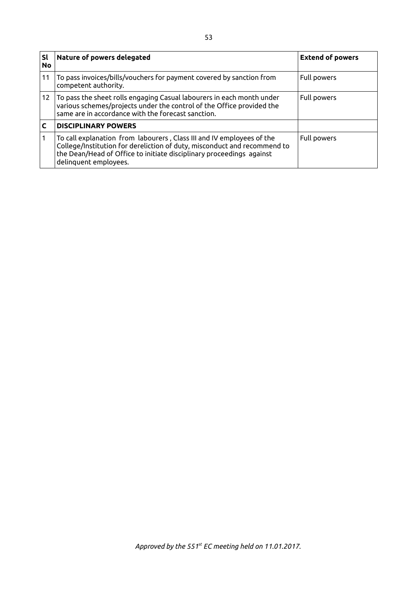| Sl<br><b>No</b> | Nature of powers delegated                                                                                                                                                                                                                         | <b>Extend of powers</b> |
|-----------------|----------------------------------------------------------------------------------------------------------------------------------------------------------------------------------------------------------------------------------------------------|-------------------------|
| 11              | To pass invoices/bills/vouchers for payment covered by sanction from<br>competent authority.                                                                                                                                                       | Full powers             |
| 12              | $\mid$ To pass the sheet rolls engaging Casual labourers in each month under<br>various schemes/projects under the control of the Office provided the<br>same are in accordance with the forecast sanction.                                        | Full powers             |
|                 | <b>DISCIPLINARY POWERS</b>                                                                                                                                                                                                                         |                         |
|                 | To call explanation from labourers, Class III and IV employees of the<br>College/Institution for dereliction of duty, misconduct and recommend to<br>the Dean/Head of Office to initiate disciplinary proceedings against<br>delinquent employees. | Full powers             |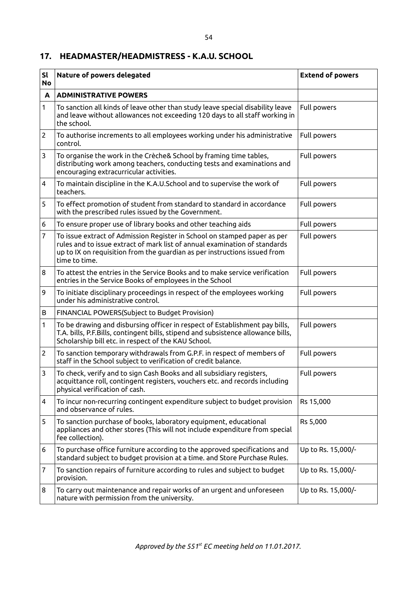## **17. HEADMASTER/HEADMISTRESS - K.A.U. SCHOOL**

| <b>Sl</b><br><b>No</b> | Nature of powers delegated                                                                                                                                                                                                                           | <b>Extend of powers</b> |
|------------------------|------------------------------------------------------------------------------------------------------------------------------------------------------------------------------------------------------------------------------------------------------|-------------------------|
| A                      | <b>ADMINISTRATIVE POWERS</b>                                                                                                                                                                                                                         |                         |
| 1                      | To sanction all kinds of leave other than study leave special disability leave<br>and leave without allowances not exceeding 120 days to all staff working in<br>the school.                                                                         | Full powers             |
| $\overline{c}$         | To authorise increments to all employees working under his administrative<br>control.                                                                                                                                                                | Full powers             |
| 3                      | To organise the work in the Crèche& School by framing time tables,<br>distributing work among teachers, conducting tests and examinations and<br>encouraging extracurricular activities.                                                             | Full powers             |
| 4                      | To maintain discipline in the K.A.U.School and to supervise the work of<br>teachers.                                                                                                                                                                 | Full powers             |
| 5                      | To effect promotion of student from standard to standard in accordance<br>with the prescribed rules issued by the Government.                                                                                                                        | Full powers             |
| 6                      | To ensure proper use of library books and other teaching aids                                                                                                                                                                                        | Full powers             |
| 7                      | To issue extract of Admission Register in School on stamped paper as per<br>rules and to issue extract of mark list of annual examination of standards<br>up to IX on requisition from the guardian as per instructions issued from<br>time to time. | Full powers             |
| 8                      | To attest the entries in the Service Books and to make service verification<br>entries in the Service Books of employees in the School                                                                                                               | Full powers             |
| 9                      | To initiate disciplinary proceedings in respect of the employees working<br>under his administrative control.                                                                                                                                        | Full powers             |
| В                      | FINANCIAL POWERS(Subject to Budget Provision)                                                                                                                                                                                                        |                         |
| 1                      | To be drawing and disbursing officer in respect of Establishment pay bills,<br>T.A. bills, P.F.Bills, contingent bills, stipend and subsistence allowance bills,<br>Scholarship bill etc. in respect of the KAU School.                              | Full powers             |
| $\overline{c}$         | To sanction temporary withdrawals from G.P.F. in respect of members of<br>staff in the School subject to verification of credit balance.                                                                                                             | Full powers             |
| 3                      | To check, verify and to sign Cash Books and all subsidiary registers,<br>acquittance roll, contingent registers, vouchers etc. and records including<br>physical verification of cash.                                                               | Full powers             |
| 4                      | To incur non-recurring contingent expenditure subject to budget provision<br>and observance of rules.                                                                                                                                                | Rs 15,000               |
| 5                      | To sanction purchase of books, laboratory equipment, educational<br>appliances and other stores (This will not include expenditure from special<br>fee collection).                                                                                  | Rs 5,000                |
| 6                      | To purchase office furniture according to the approved specifications and<br>standard subject to budget provision at a time. and Store Purchase Rules.                                                                                               | Up to Rs. 15,000/-      |
| 7                      | To sanction repairs of furniture according to rules and subject to budget<br>provision.                                                                                                                                                              | Up to Rs. 15,000/-      |
| 8                      | To carry out maintenance and repair works of an urgent and unforeseen<br>nature with permission from the university.                                                                                                                                 | Up to Rs. 15,000/-      |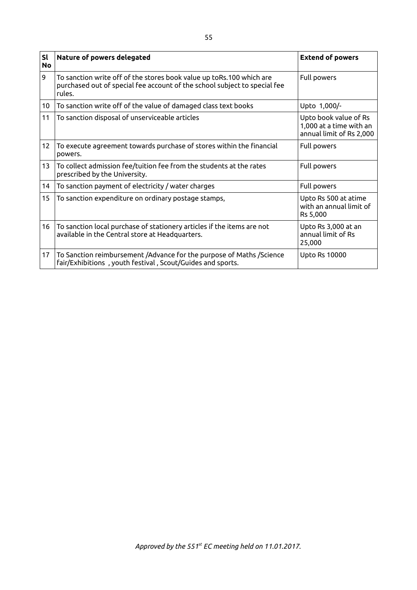| <b>Sl</b><br><b>No</b> | Nature of powers delegated                                                                                                                                  | <b>Extend of powers</b>                                                      |
|------------------------|-------------------------------------------------------------------------------------------------------------------------------------------------------------|------------------------------------------------------------------------------|
| 9                      | To sanction write off of the stores book value up toRs.100 which are<br>purchased out of special fee account of the school subject to special fee<br>rules. | Full powers                                                                  |
| 10 <sup>°</sup>        | To sanction write off of the value of damaged class text books                                                                                              | Upto 1,000/-                                                                 |
| 11                     | To sanction disposal of unserviceable articles                                                                                                              | Upto book value of Rs<br>1,000 at a time with an<br>annual limit of Rs 2,000 |
| 12                     | To execute agreement towards purchase of stores within the financial<br>powers.                                                                             | Full powers                                                                  |
| 13                     | To collect admission fee/tuition fee from the students at the rates<br>prescribed by the University.                                                        | Full powers                                                                  |
| 14                     | To sanction payment of electricity / water charges                                                                                                          | Full powers                                                                  |
| 15                     | To sanction expenditure on ordinary postage stamps,                                                                                                         | Upto Rs 500 at atime<br>with an annual limit of<br>Rs 5,000                  |
| 16                     | To sanction local purchase of stationery articles if the items are not<br>available in the Central store at Headquarters.                                   | Upto Rs 3,000 at an<br>annual limit of Rs<br>25,000                          |
| 17                     | To Sanction reimbursement /Advance for the purpose of Maths /Science<br>fair/Exhibitions, youth festival, Scout/Guides and sports.                          | <b>Upto Rs 10000</b>                                                         |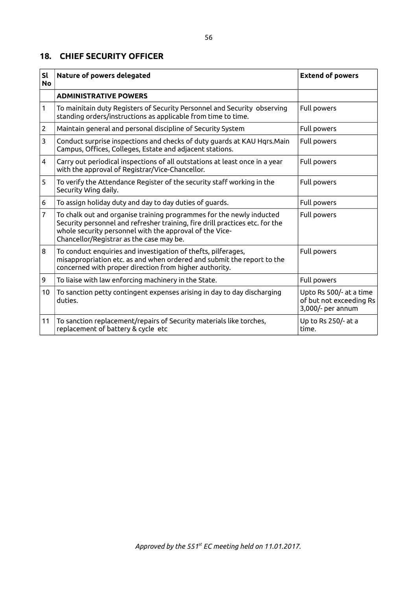#### **18. CHIEF SECURITY OFFICER**

| <b>Sl</b><br><b>No</b> | Nature of powers delegated                                                                                                                                                                                                                                  | <b>Extend of powers</b>                                                 |
|------------------------|-------------------------------------------------------------------------------------------------------------------------------------------------------------------------------------------------------------------------------------------------------------|-------------------------------------------------------------------------|
|                        | <b>ADMINISTRATIVE POWERS</b>                                                                                                                                                                                                                                |                                                                         |
| 1                      | To mainitain duty Registers of Security Personnel and Security observing<br>standing orders/instructions as applicable from time to time.                                                                                                                   | Full powers                                                             |
| $\overline{2}$         | Maintain general and personal discipline of Security System                                                                                                                                                                                                 | Full powers                                                             |
| 3                      | Conduct surprise inspections and checks of duty guards at KAU Hqrs. Main<br>Campus, Offices, Colleges, Estate and adjacent stations.                                                                                                                        | Full powers                                                             |
| 4                      | Carry out periodical inspections of all outstations at least once in a year<br>with the approval of Registrar/Vice-Chancellor.                                                                                                                              | Full powers                                                             |
| 5                      | To verify the Attendance Register of the security staff working in the<br>Security Wing daily.                                                                                                                                                              | Full powers                                                             |
| 6                      | To assign holiday duty and day to day duties of guards.                                                                                                                                                                                                     | Full powers                                                             |
| 7                      | To chalk out and organise training programmes for the newly inducted<br>Security personnel and refresher training, fire drill practices etc. for the<br>whole security personnel with the approval of the Vice-<br>Chancellor/Registrar as the case may be. | Full powers                                                             |
| 8                      | To conduct enquiries and investigation of thefts, pilferages,<br>misappropriation etc. as and when ordered and submit the report to the<br>concerned with proper direction from higher authority.                                                           | Full powers                                                             |
| 9                      | To liaise with law enforcing machinery in the State.                                                                                                                                                                                                        | Full powers                                                             |
| 10                     | To sanction petty contingent expenses arising in day to day discharging<br>duties.                                                                                                                                                                          | Upto Rs 500/- at a time<br>of but not exceeding Rs<br>3,000/- per annum |
| 11                     | To sanction replacement/repairs of Security materials like torches,<br>replacement of battery & cycle etc                                                                                                                                                   | Up to Rs 250/- at a<br>time.                                            |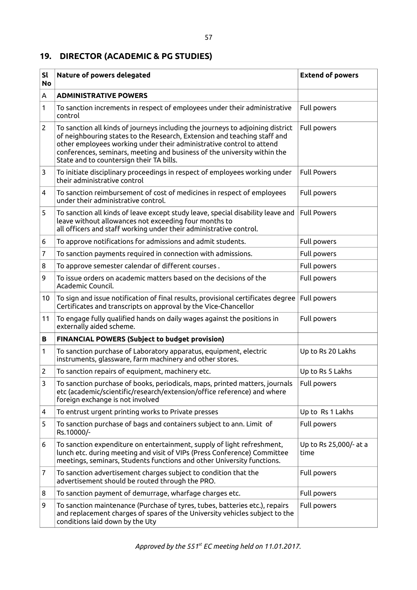# **19. DIRECTOR (ACADEMIC & PG STUDIES)**

| <b>Sl</b><br><b>No</b> | Nature of powers delegated                                                                                                                                                                                                                                                                                                                                 | <b>Extend of powers</b>        |
|------------------------|------------------------------------------------------------------------------------------------------------------------------------------------------------------------------------------------------------------------------------------------------------------------------------------------------------------------------------------------------------|--------------------------------|
| A                      | <b>ADMINISTRATIVE POWERS</b>                                                                                                                                                                                                                                                                                                                               |                                |
| 1                      | To sanction increments in respect of employees under their administrative<br>control                                                                                                                                                                                                                                                                       | Full powers                    |
| $\overline{2}$         | To sanction all kinds of journeys including the journeys to adjoining district<br>of neighbouring states to the Research, Extension and teaching staff and<br>other employees working under their administrative control to attend<br>conferences, seminars, meeting and business of the university within the<br>State and to countersign their TA bills. | Full powers                    |
| 3                      | To initiate disciplinary proceedings in respect of employees working under<br>their administrative control                                                                                                                                                                                                                                                 | <b>Full Powers</b>             |
| 4                      | To sanction reimbursement of cost of medicines in respect of employees<br>under their administrative control.                                                                                                                                                                                                                                              | Full powers                    |
| 5                      | To sanction all kinds of leave except study leave, special disability leave and<br>leave without allowances not exceeding four months to<br>all officers and staff working under their administrative control.                                                                                                                                             | <b>Full Powers</b>             |
| 6                      | To approve notifications for admissions and admit students.                                                                                                                                                                                                                                                                                                | Full powers                    |
| 7                      | To sanction payments required in connection with admissions.                                                                                                                                                                                                                                                                                               | Full powers                    |
| 8                      | To approve semester calendar of different courses.                                                                                                                                                                                                                                                                                                         | Full powers                    |
| 9                      | To issue orders on academic matters based on the decisions of the<br>Academic Council.                                                                                                                                                                                                                                                                     | Full powers                    |
| 10                     | To sign and issue notification of final results, provisional certificates degree<br>Certificates and transcripts on approval by the Vice-Chancellor                                                                                                                                                                                                        | Full powers                    |
| 11                     | To engage fully qualified hands on daily wages against the positions in<br>externally aided scheme.                                                                                                                                                                                                                                                        | Full powers                    |
| В                      | <b>FINANCIAL POWERS (Subject to budget provision)</b>                                                                                                                                                                                                                                                                                                      |                                |
| 1                      | To sanction purchase of Laboratory apparatus, equipment, electric<br>instruments, glassware, farm machinery and other stores.                                                                                                                                                                                                                              | Up to Rs 20 Lakhs              |
| 2                      | To sanction repairs of equipment, machinery etc.                                                                                                                                                                                                                                                                                                           | Up to Rs 5 Lakhs               |
| 3                      | To sanction purchase of books, periodicals, maps, printed matters, journals<br>etc (academic/scientific/research/extension/office reference) and where<br>foreign exchange is not involved                                                                                                                                                                 | Full powers                    |
| 4                      | To entrust urgent printing works to Private presses                                                                                                                                                                                                                                                                                                        | Up to Rs 1 Lakhs               |
| 5                      | To sanction purchase of bags and containers subject to ann. Limit of<br>Rs.10000/-                                                                                                                                                                                                                                                                         | Full powers                    |
| 6                      | To sanction expenditure on entertainment, supply of light refreshment,<br>lunch etc. during meeting and visit of VIPs (Press Conference) Committee<br>meetings, seminars, Students functions and other University functions.                                                                                                                               | Up to Rs 25,000/- at a<br>time |
| 7                      | To sanction advertisement charges subject to condition that the<br>advertisement should be routed through the PRO.                                                                                                                                                                                                                                         | Full powers                    |
| 8                      | To sanction payment of demurrage, wharfage charges etc.                                                                                                                                                                                                                                                                                                    | Full powers                    |
| 9                      | To sanction maintenance (Purchase of tyres, tubes, batteries etc.), repairs<br>and replacement charges of spares of the University vehicles subject to the<br>conditions laid down by the Uty                                                                                                                                                              | Full powers                    |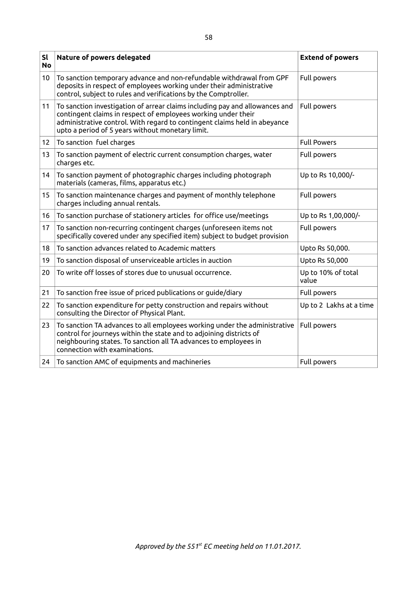| <b>Sl</b><br><b>No</b> | Nature of powers delegated                                                                                                                                                                                                                                                    | <b>Extend of powers</b>     |
|------------------------|-------------------------------------------------------------------------------------------------------------------------------------------------------------------------------------------------------------------------------------------------------------------------------|-----------------------------|
| 10                     | To sanction temporary advance and non-refundable withdrawal from GPF<br>deposits in respect of employees working under their administrative<br>control, subject to rules and verifications by the Comptroller.                                                                | Full powers                 |
| 11                     | To sanction investigation of arrear claims including pay and allowances and<br>contingent claims in respect of employees working under their<br>administrative control. With regard to contingent claims held in abeyance<br>upto a period of 5 years without monetary limit. | Full powers                 |
| 12 <sub>2</sub>        | To sanction fuel charges                                                                                                                                                                                                                                                      | <b>Full Powers</b>          |
| 13                     | To sanction payment of electric current consumption charges, water<br>charges etc.                                                                                                                                                                                            | Full powers                 |
| 14                     | To sanction payment of photographic charges including photograph<br>materials (cameras, films, apparatus etc.)                                                                                                                                                                | Up to Rs 10,000/-           |
| 15                     | To sanction maintenance charges and payment of monthly telephone<br>charges including annual rentals.                                                                                                                                                                         | Full powers                 |
| 16                     | To sanction purchase of stationery articles for office use/meetings                                                                                                                                                                                                           | Up to Rs 1,00,000/-         |
| 17                     | To sanction non-recurring contingent charges (unforeseen items not<br>specifically covered under any specified item) subject to budget provision                                                                                                                              | Full powers                 |
| 18                     | To sanction advances related to Academic matters                                                                                                                                                                                                                              | Upto Rs 50,000.             |
| 19                     | To sanction disposal of unserviceable articles in auction                                                                                                                                                                                                                     | Upto Rs 50,000              |
| 20                     | To write off losses of stores due to unusual occurrence.                                                                                                                                                                                                                      | Up to 10% of total<br>value |
| 21                     | To sanction free issue of priced publications or guide/diary                                                                                                                                                                                                                  | Full powers                 |
| 22                     | To sanction expenditure for petty construction and repairs without<br>consulting the Director of Physical Plant.                                                                                                                                                              | Up to 2 Lakhs at a time     |
| 23                     | To sanction TA advances to all employees working under the administrative<br>control for journeys within the state and to adjoining districts of<br>neighbouring states. To sanction all TA advances to employees in<br>connection with examinations.                         | Full powers                 |
| 24                     | To sanction AMC of equipments and machineries                                                                                                                                                                                                                                 | Full powers                 |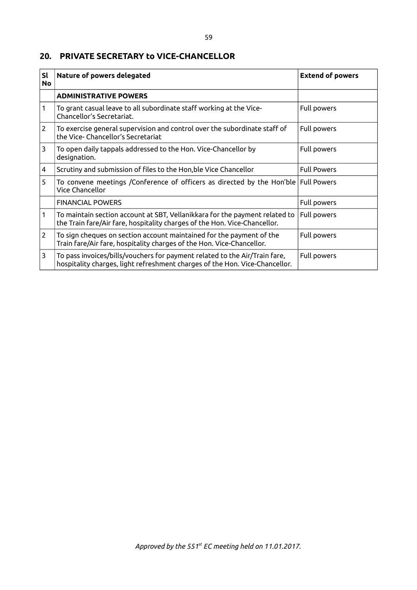#### **20. PRIVATE SECRETARY to VICE-CHANCELLOR**

| <b>Sl</b><br><b>No</b> | Nature of powers delegated                                                                                                                                | <b>Extend of powers</b> |
|------------------------|-----------------------------------------------------------------------------------------------------------------------------------------------------------|-------------------------|
|                        | <b>ADMINISTRATIVE POWERS</b>                                                                                                                              |                         |
| 1                      | To grant casual leave to all subordinate staff working at the Vice-<br>Chancellor's Secretariat.                                                          | Full powers             |
| $\overline{2}$         | To exercise general supervision and control over the subordinate staff of<br>the Vice- Chancellor's Secretariat                                           | Full powers             |
| 3                      | To open daily tappals addressed to the Hon. Vice-Chancellor by<br>designation.                                                                            | Full powers             |
| 4                      | Scrutiny and submission of files to the Hon, ble Vice Chancellor                                                                                          | <b>Full Powers</b>      |
| 5                      | To convene meetings / Conference of officers as directed by the Hon'ble<br>Vice Chancellor                                                                | <b>Full Powers</b>      |
|                        | <b>FINANCIAL POWERS</b>                                                                                                                                   | Full powers             |
| 1                      | To maintain section account at SBT, Vellanikkara for the payment related to<br>the Train fare/Air fare, hospitality charges of the Hon. Vice-Chancellor.  | Full powers             |
| $\overline{2}$         | To sign cheques on section account maintained for the payment of the<br>Train fare/Air fare, hospitality charges of the Hon. Vice-Chancellor.             | Full powers             |
| 3                      | To pass invoices/bills/vouchers for payment related to the Air/Train fare,<br>hospitality charges, light refreshment charges of the Hon. Vice-Chancellor. | Full powers             |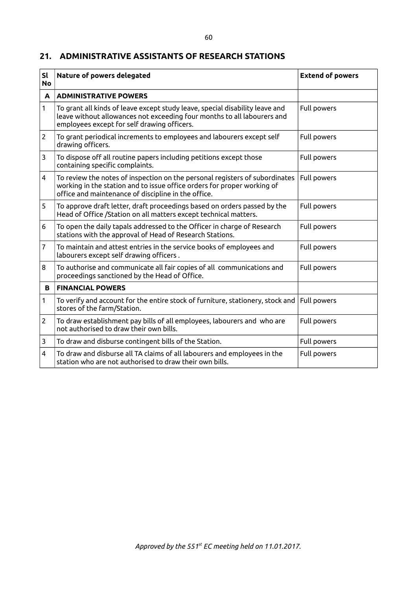#### **21. ADMINISTRATIVE ASSISTANTS OF RESEARCH STATIONS**

| SI<br><b>No</b>         | Nature of powers delegated                                                                                                                                                                                    | <b>Extend of powers</b> |
|-------------------------|---------------------------------------------------------------------------------------------------------------------------------------------------------------------------------------------------------------|-------------------------|
| A                       | <b>ADMINISTRATIVE POWERS</b>                                                                                                                                                                                  |                         |
| 1                       | To grant all kinds of leave except study leave, special disability leave and<br>leave without allowances not exceeding four months to all labourers and<br>employees except for self drawing officers.        | Full powers             |
| $\overline{2}$          | To grant periodical increments to employees and labourers except self<br>drawing officers.                                                                                                                    | Full powers             |
| 3                       | To dispose off all routine papers including petitions except those<br>containing specific complaints.                                                                                                         | Full powers             |
| $\overline{4}$          | To review the notes of inspection on the personal registers of subordinates<br>working in the station and to issue office orders for proper working of<br>office and maintenance of discipline in the office. | Full powers             |
| 5                       | To approve draft letter, draft proceedings based on orders passed by the<br>Head of Office /Station on all matters except technical matters.                                                                  | Full powers             |
| 6                       | To open the daily tapals addressed to the Officer in charge of Research<br>stations with the approval of Head of Research Stations.                                                                           | Full powers             |
| $\overline{7}$          | To maintain and attest entries in the service books of employees and<br>labourers except self drawing officers.                                                                                               | Full powers             |
| 8                       | To authorise and communicate all fair copies of all communications and<br>proceedings sanctioned by the Head of Office.                                                                                       | Full powers             |
| B                       | <b>FINANCIAL POWERS</b>                                                                                                                                                                                       |                         |
| 1                       | To verify and account for the entire stock of furniture, stationery, stock and $ $<br>stores of the farm/Station.                                                                                             | Full powers             |
| $\overline{2}$          | To draw establishment pay bills of all employees, labourers and who are<br>not authorised to draw their own bills.                                                                                            | Full powers             |
| 3                       | To draw and disburse contingent bills of the Station.                                                                                                                                                         | Full powers             |
| $\overline{\mathbf{4}}$ | To draw and disburse all TA claims of all labourers and employees in the<br>station who are not authorised to draw their own bills.                                                                           | Full powers             |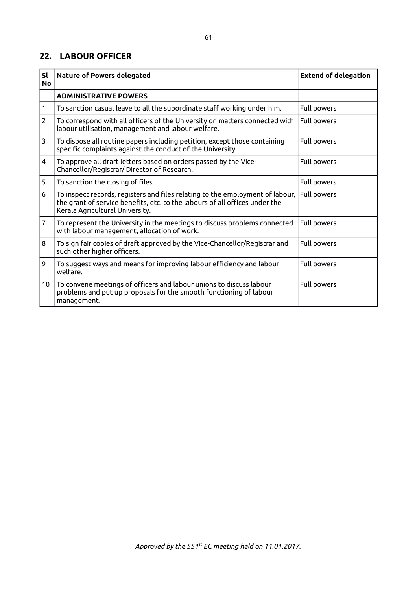#### **22. LABOUR OFFICER**

| <b>Sl</b><br><b>No</b> | <b>Nature of Powers delegated</b>                                                                                                                                                               | <b>Extend of delegation</b> |
|------------------------|-------------------------------------------------------------------------------------------------------------------------------------------------------------------------------------------------|-----------------------------|
|                        | <b>ADMINISTRATIVE POWERS</b>                                                                                                                                                                    |                             |
| 1                      | To sanction casual leave to all the subordinate staff working under him.                                                                                                                        | Full powers                 |
| $\overline{2}$         | To correspond with all officers of the University on matters connected with<br>labour utilisation, management and labour welfare.                                                               | Full powers                 |
| 3                      | To dispose all routine papers including petition, except those containing<br>specific complaints against the conduct of the University.                                                         | Full powers                 |
| 4                      | To approve all draft letters based on orders passed by the Vice-<br>Chancellor/Registrar/ Director of Research.                                                                                 | Full powers                 |
| 5                      | To sanction the closing of files.                                                                                                                                                               | Full powers                 |
| 6                      | To inspect records, registers and files relating to the employment of labour,<br>the grant of service benefits, etc. to the labours of all offices under the<br>Kerala Agricultural University. | Full powers                 |
| 7                      | To represent the University in the meetings to discuss problems connected<br>with labour management, allocation of work.                                                                        | Full powers                 |
| 8                      | To sign fair copies of draft approved by the Vice-Chancellor/Registrar and<br>such other higher officers.                                                                                       | Full powers                 |
| 9                      | To suggest ways and means for improving labour efficiency and labour<br>welfare.                                                                                                                | Full powers                 |
| 10                     | To convene meetings of officers and labour unions to discuss labour<br>problems and put up proposals for the smooth functioning of labour<br>management.                                        | Full powers                 |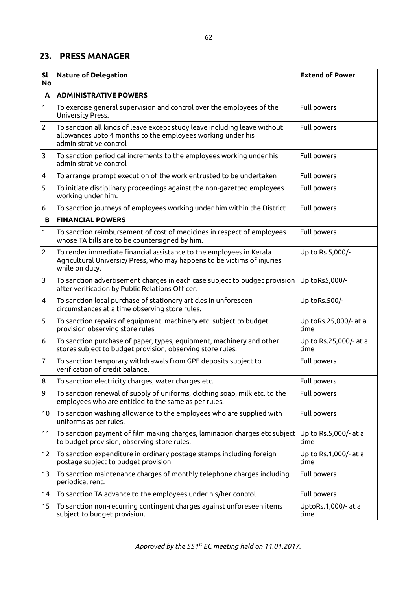#### **23. PRESS MANAGER**

| SI<br><b>No</b> | <b>Nature of Delegation</b>                                                                                                                                        | <b>Extend of Power</b>         |
|-----------------|--------------------------------------------------------------------------------------------------------------------------------------------------------------------|--------------------------------|
| A               | <b>ADMINISTRATIVE POWERS</b>                                                                                                                                       |                                |
| 1               | To exercise general supervision and control over the employees of the<br>University Press.                                                                         | Full powers                    |
| $\overline{2}$  | To sanction all kinds of leave except study leave including leave without<br>allowances upto 4 months to the employees working under his<br>administrative control | Full powers                    |
| 3               | To sanction periodical increments to the employees working under his<br>administrative control                                                                     | Full powers                    |
| 4               | To arrange prompt execution of the work entrusted to be undertaken                                                                                                 | Full powers                    |
| 5               | To initiate disciplinary proceedings against the non-gazetted employees<br>working under him.                                                                      | Full powers                    |
| 6               | To sanction journeys of employees working under him within the District                                                                                            | Full powers                    |
| B               | <b>FINANCIAL POWERS</b>                                                                                                                                            |                                |
| 1               | To sanction reimbursement of cost of medicines in respect of employees<br>whose TA bills are to be countersigned by him.                                           | Full powers                    |
| $\overline{2}$  | To render immediate financial assistance to the employees in Kerala<br>Agricultural University Press, who may happens to be victims of injuries<br>while on duty.  | Up to Rs 5,000/-               |
| 3               | To sanction advertisement charges in each case subject to budget provision<br>after verification by Public Relations Officer.                                      | Up toRs5,000/-                 |
| 4               | To sanction local purchase of stationery articles in unforeseen<br>circumstances at a time observing store rules.                                                  | Up toRs.500/-                  |
| 5               | To sanction repairs of equipment, machinery etc. subject to budget<br>provision observing store rules                                                              | Up toRs.25,000/- at a<br>time  |
| 6               | To sanction purchase of paper, types, equipment, machinery and other<br>stores subject to budget provision, observing store rules.                                 | Up to Rs.25,000/- at a<br>time |
| 7               | To sanction temporary withdrawals from GPF deposits subject to<br>verification of credit balance.                                                                  | Full powers                    |
| 8               | To sanction electricity charges, water charges etc.                                                                                                                | Full powers                    |
| 9               | To sanction renewal of supply of uniforms, clothing soap, milk etc. to the<br>employees who are entitled to the same as per rules.                                 | Full powers                    |
| 10              | To sanction washing allowance to the employees who are supplied with<br>uniforms as per rules.                                                                     | Full powers                    |
| 11              | To sanction payment of film making charges, lamination charges etc subject<br>to budget provision, observing store rules.                                          | Up to Rs.5,000/- at a<br>time  |
| 12              | To sanction expenditure in ordinary postage stamps including foreign<br>postage subject to budget provision                                                        | Up to Rs.1,000/- at a<br>time  |
| 13              | To sanction maintenance charges of monthly telephone charges including<br>periodical rent.                                                                         | Full powers                    |
| 14              | To sanction TA advance to the employees under his/her control                                                                                                      | Full powers                    |
| 15              | To sanction non-recurring contingent charges against unforeseen items<br>subject to budget provision.                                                              | UptoRs.1,000/- at a<br>time    |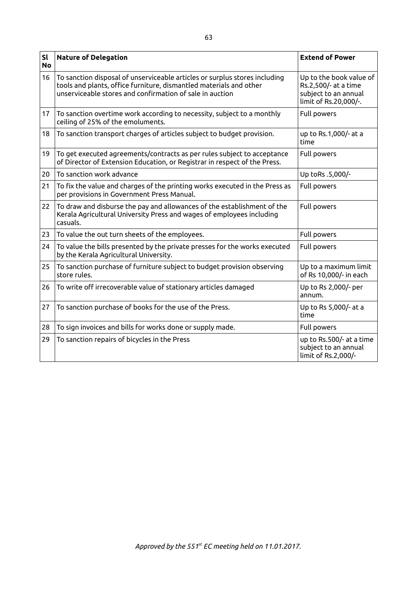| <b>Sl</b><br><b>No</b> | <b>Nature of Delegation</b>                                                                                                                                                                                  | <b>Extend of Power</b>                                                                           |
|------------------------|--------------------------------------------------------------------------------------------------------------------------------------------------------------------------------------------------------------|--------------------------------------------------------------------------------------------------|
| 16                     | To sanction disposal of unserviceable articles or surplus stores including<br>tools and plants, office furniture, dismantled materials and other<br>unserviceable stores and confirmation of sale in auction | Up to the book value of<br>Rs.2,500/- at a time<br>subject to an annual<br>limit of Rs.20,000/-. |
| 17                     | To sanction overtime work according to necessity, subject to a monthly<br>ceiling of 25% of the emoluments.                                                                                                  | Full powers                                                                                      |
| 18                     | To sanction transport charges of articles subject to budget provision.                                                                                                                                       | up to Rs.1,000/- at a<br>time                                                                    |
| 19                     | To get executed agreements/contracts as per rules subject to acceptance<br>of Director of Extension Education, or Registrar in respect of the Press.                                                         | Full powers                                                                                      |
| 20                     | To sanction work advance                                                                                                                                                                                     | Up toRs .5,000/-                                                                                 |
| 21                     | To fix the value and charges of the printing works executed in the Press as<br>per provisions in Government Press Manual.                                                                                    | <b>Full powers</b>                                                                               |
| 22                     | To draw and disburse the pay and allowances of the establishment of the<br>Kerala Agricultural University Press and wages of employees including<br>casuals.                                                 | <b>Full powers</b>                                                                               |
| 23                     | To value the out turn sheets of the employees.                                                                                                                                                               | Full powers                                                                                      |
| 24                     | To value the bills presented by the private presses for the works executed<br>by the Kerala Agricultural University.                                                                                         | <b>Full powers</b>                                                                               |
| 25                     | To sanction purchase of furniture subject to budget provision observing<br>store rules.                                                                                                                      | Up to a maximum limit<br>of Rs 10,000/- in each                                                  |
| 26                     | To write off irrecoverable value of stationary articles damaged                                                                                                                                              | Up to Rs 2,000/- per<br>annum.                                                                   |
| 27                     | To sanction purchase of books for the use of the Press.                                                                                                                                                      | Up to Rs 5,000/- at a<br>time                                                                    |
| 28                     | To sign invoices and bills for works done or supply made.                                                                                                                                                    | Full powers                                                                                      |
| 29                     | To sanction repairs of bicycles in the Press                                                                                                                                                                 | up to Rs.500/- at a time<br>subject to an annual<br>limit of Rs.2,000/-                          |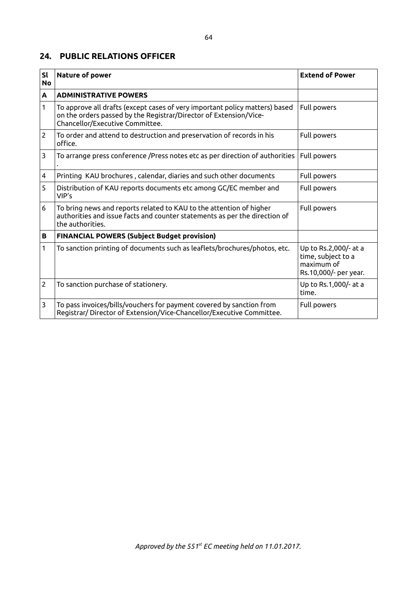#### **24. PUBLIC RELATIONS OFFICER**

| <b>Sl</b><br><b>No</b> | Nature of power                                                                                                                                                                     | <b>Extend of Power</b>                                                             |
|------------------------|-------------------------------------------------------------------------------------------------------------------------------------------------------------------------------------|------------------------------------------------------------------------------------|
| A                      | <b>ADMINISTRATIVE POWERS</b>                                                                                                                                                        |                                                                                    |
| 1                      | To approve all drafts (except cases of very important policy matters) based<br>on the orders passed by the Registrar/Director of Extension/Vice-<br>Chancellor/Executive Committee. | Full powers                                                                        |
| $\overline{2}$         | To order and attend to destruction and preservation of records in his<br>office.                                                                                                    | Full powers                                                                        |
| 3                      | To arrange press conference /Press notes etc as per direction of authorities                                                                                                        | Full powers                                                                        |
| 4                      | Printing KAU brochures, calendar, diaries and such other documents                                                                                                                  | Full powers                                                                        |
| 5                      | Distribution of KAU reports documents etc among GC/EC member and<br>VIP's                                                                                                           | Full powers                                                                        |
| 6                      | To bring news and reports related to KAU to the attention of higher<br>authorities and issue facts and counter statements as per the direction of<br>the authorities.               | Full powers                                                                        |
| В                      | <b>FINANCIAL POWERS (Subject Budget provision)</b>                                                                                                                                  |                                                                                    |
| 1                      | To sanction printing of documents such as leaflets/brochures/photos, etc.                                                                                                           | Up to Rs.2,000/- at a<br>time, subject to a<br>maximum of<br>Rs.10,000/- per year. |
| $\overline{2}$         | To sanction purchase of stationery.                                                                                                                                                 | Up to Rs.1,000/- at a<br>time.                                                     |
| 3                      | To pass invoices/bills/vouchers for payment covered by sanction from<br>Registrar/ Director of Extension/Vice-Chancellor/Executive Committee.                                       | Full powers                                                                        |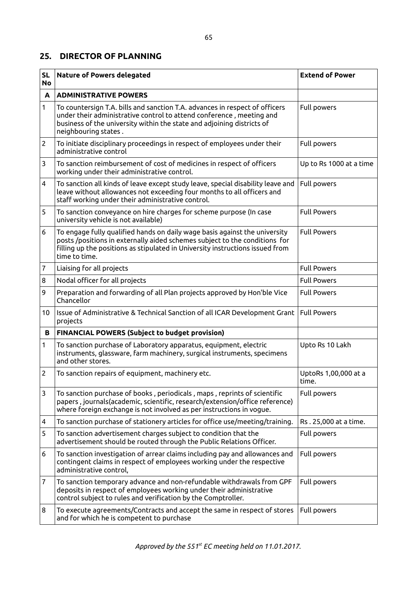#### **25. DIRECTOR OF PLANNING**

| <b>SL</b><br><b>No</b> | <b>Nature of Powers delegated</b>                                                                                                                                                                                                                          | <b>Extend of Power</b>        |
|------------------------|------------------------------------------------------------------------------------------------------------------------------------------------------------------------------------------------------------------------------------------------------------|-------------------------------|
| A                      | <b>ADMINISTRATIVE POWERS</b>                                                                                                                                                                                                                               |                               |
| 1                      | To countersign T.A. bills and sanction T.A. advances in respect of officers<br>under their administrative control to attend conference, meeting and<br>business of the university within the state and adjoining districts of<br>neighbouring states.      | Full powers                   |
| $\overline{c}$         | To initiate disciplinary proceedings in respect of employees under their<br>administrative control                                                                                                                                                         | Full powers                   |
| 3                      | To sanction reimbursement of cost of medicines in respect of officers<br>working under their administrative control.                                                                                                                                       | Up to Rs 1000 at a time       |
| 4                      | To sanction all kinds of leave except study leave, special disability leave and<br>leave without allowances not exceeding four months to all officers and<br>staff working under their administrative control.                                             | Full powers                   |
| 5                      | To sanction conveyance on hire charges for scheme purpose (In case<br>university vehicle is not available)                                                                                                                                                 | <b>Full Powers</b>            |
| 6                      | To engage fully qualified hands on daily wage basis against the university<br>posts /positions in externally aided schemes subject to the conditions for<br>filling up the positions as stipulated in University instructions issued from<br>time to time. | <b>Full Powers</b>            |
| 7                      | Liaising for all projects                                                                                                                                                                                                                                  | <b>Full Powers</b>            |
| 8                      | Nodal officer for all projects                                                                                                                                                                                                                             | <b>Full Powers</b>            |
| 9                      | Preparation and forwarding of all Plan projects approved by Hon'ble Vice<br>Chancellor                                                                                                                                                                     | <b>Full Powers</b>            |
| 10                     | Issue of Administrative & Technical Sanction of all ICAR Development Grant<br>projects                                                                                                                                                                     | <b>Full Powers</b>            |
| В                      | <b>FINANCIAL POWERS (Subject to budget provision)</b>                                                                                                                                                                                                      |                               |
| 1                      | To sanction purchase of Laboratory apparatus, equipment, electric<br>instruments, glassware, farm machinery, surgical instruments, specimens<br>and other stores.                                                                                          | Upto Rs 10 Lakh               |
| $\overline{2}$         | To sanction repairs of equipment, machinery etc.                                                                                                                                                                                                           | UptoRs 1,00,000 at a<br>time. |
| 3                      | To sanction purchase of books, periodicals, maps, reprints of scientific<br>papers, journals(academic, scientific, research/extension/office reference)<br>where foreign exchange is not involved as per instructions in vogue.                            | Full powers                   |
| 4                      | To sanction purchase of stationery articles for office use/meeting/training.                                                                                                                                                                               | Rs. 25,000 at a time.         |
| 5                      | To sanction advertisement charges subject to condition that the<br>advertisement should be routed through the Public Relations Officer.                                                                                                                    | Full powers                   |
| 6                      | To sanction investigation of arrear claims including pay and allowances and<br>contingent claims in respect of employees working under the respective<br>administrative control,                                                                           | Full powers                   |
| 7                      | To sanction temporary advance and non-refundable withdrawals from GPF<br>deposits in respect of employees working under their administrative<br>control subject to rules and verification by the Comptroller.                                              | Full powers                   |
| 8                      | To execute agreements/Contracts and accept the same in respect of stores<br>and for which he is competent to purchase                                                                                                                                      | Full powers                   |